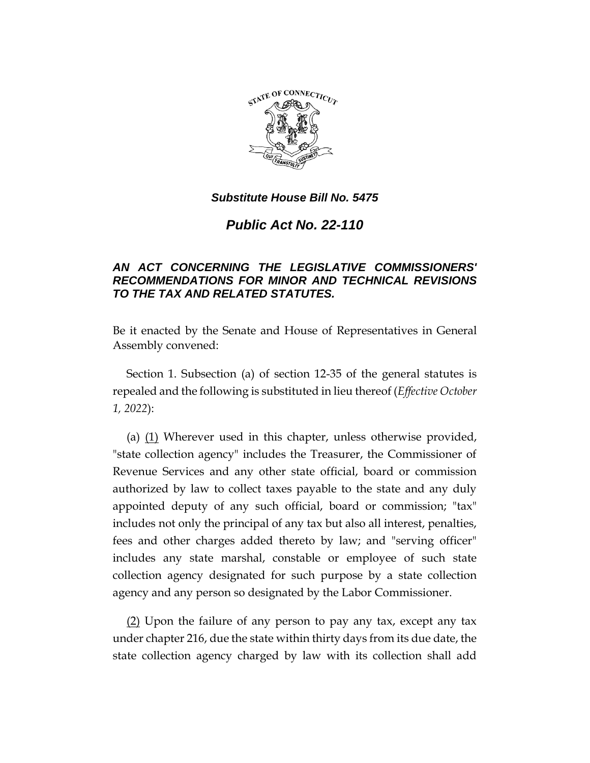

*Public Act No. 22-110*

## *AN ACT CONCERNING THE LEGISLATIVE COMMISSIONERS' RECOMMENDATIONS FOR MINOR AND TECHNICAL REVISIONS TO THE TAX AND RELATED STATUTES.*

Be it enacted by the Senate and House of Representatives in General Assembly convened:

Section 1. Subsection (a) of section 12-35 of the general statutes is repealed and the following is substituted in lieu thereof (*Effective October 1, 2022*):

(a) (1) Wherever used in this chapter, unless otherwise provided, "state collection agency" includes the Treasurer, the Commissioner of Revenue Services and any other state official, board or commission authorized by law to collect taxes payable to the state and any duly appointed deputy of any such official, board or commission; "tax" includes not only the principal of any tax but also all interest, penalties, fees and other charges added thereto by law; and "serving officer" includes any state marshal, constable or employee of such state collection agency designated for such purpose by a state collection agency and any person so designated by the Labor Commissioner.

(2) Upon the failure of any person to pay any tax, except any tax under chapter 216, due the state within thirty days from its due date, the state collection agency charged by law with its collection shall add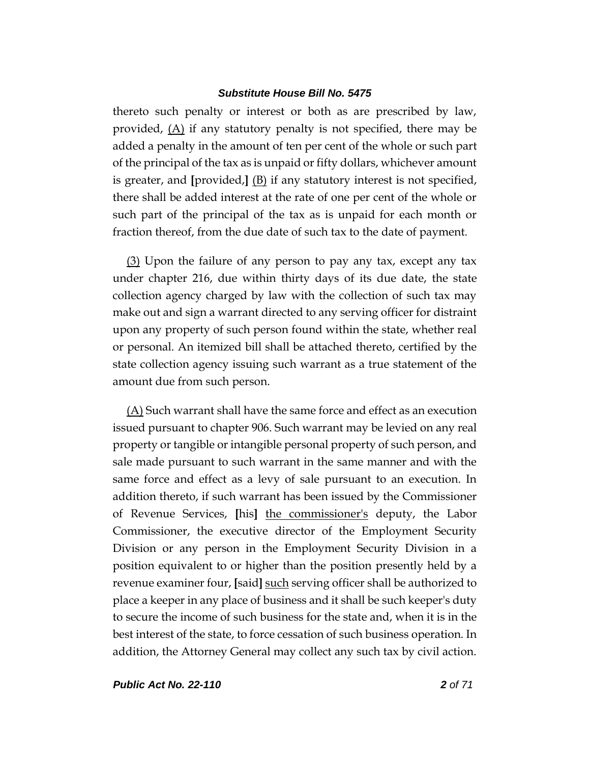thereto such penalty or interest or both as are prescribed by law, provided, (A) if any statutory penalty is not specified, there may be added a penalty in the amount of ten per cent of the whole or such part of the principal of the tax as is unpaid or fifty dollars, whichever amount is greater, and **[**provided,**]** (B) if any statutory interest is not specified, there shall be added interest at the rate of one per cent of the whole or such part of the principal of the tax as is unpaid for each month or fraction thereof, from the due date of such tax to the date of payment.

(3) Upon the failure of any person to pay any tax, except any tax under chapter 216, due within thirty days of its due date, the state collection agency charged by law with the collection of such tax may make out and sign a warrant directed to any serving officer for distraint upon any property of such person found within the state, whether real or personal. An itemized bill shall be attached thereto, certified by the state collection agency issuing such warrant as a true statement of the amount due from such person.

(A) Such warrant shall have the same force and effect as an execution issued pursuant to chapter 906. Such warrant may be levied on any real property or tangible or intangible personal property of such person, and sale made pursuant to such warrant in the same manner and with the same force and effect as a levy of sale pursuant to an execution. In addition thereto, if such warrant has been issued by the Commissioner of Revenue Services, **[**his**]** the commissioner's deputy, the Labor Commissioner, the executive director of the Employment Security Division or any person in the Employment Security Division in a position equivalent to or higher than the position presently held by a revenue examiner four, **[**said**]** such serving officer shall be authorized to place a keeper in any place of business and it shall be such keeper's duty to secure the income of such business for the state and, when it is in the best interest of the state, to force cessation of such business operation. In addition, the Attorney General may collect any such tax by civil action.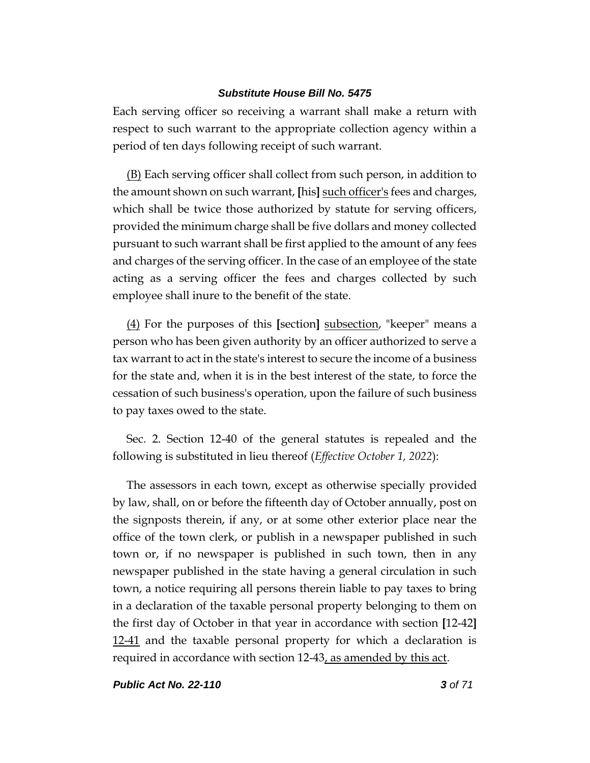Each serving officer so receiving a warrant shall make a return with respect to such warrant to the appropriate collection agency within a period of ten days following receipt of such warrant.

(B) Each serving officer shall collect from such person, in addition to the amount shown on such warrant, **[**his**]** such officer's fees and charges, which shall be twice those authorized by statute for serving officers, provided the minimum charge shall be five dollars and money collected pursuant to such warrant shall be first applied to the amount of any fees and charges of the serving officer. In the case of an employee of the state acting as a serving officer the fees and charges collected by such employee shall inure to the benefit of the state.

(4) For the purposes of this **[**section**]** subsection, "keeper" means a person who has been given authority by an officer authorized to serve a tax warrant to act in the state's interest to secure the income of a business for the state and, when it is in the best interest of the state, to force the cessation of such business's operation, upon the failure of such business to pay taxes owed to the state.

Sec. 2. Section 12-40 of the general statutes is repealed and the following is substituted in lieu thereof (*Effective October 1, 2022*):

The assessors in each town, except as otherwise specially provided by law, shall, on or before the fifteenth day of October annually, post on the signposts therein, if any, or at some other exterior place near the office of the town clerk, or publish in a newspaper published in such town or, if no newspaper is published in such town, then in any newspaper published in the state having a general circulation in such town, a notice requiring all persons therein liable to pay taxes to bring in a declaration of the taxable personal property belonging to them on the first day of October in that year in accordance with section **[**12-42**]** 12-41 and the taxable personal property for which a declaration is required in accordance with section 12-43, as amended by this act.

*Public Act No. 22-110 3 of 71*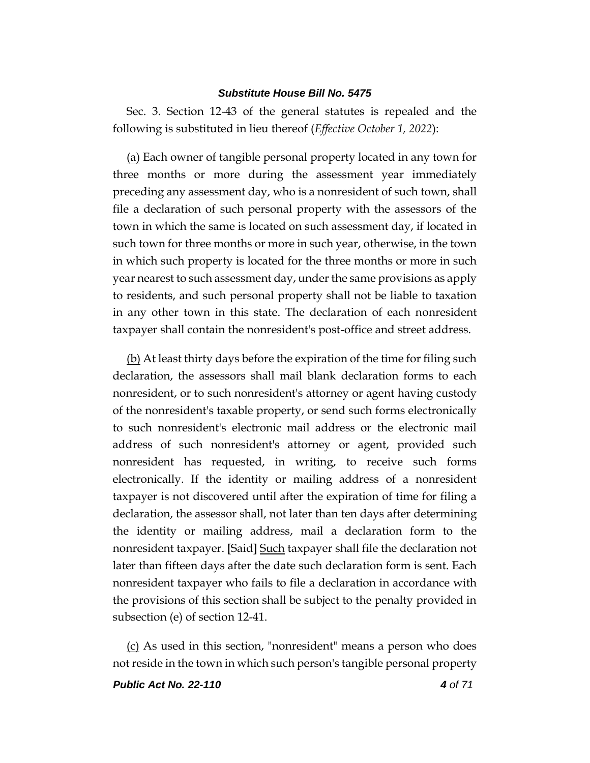Sec. 3. Section 12-43 of the general statutes is repealed and the following is substituted in lieu thereof (*Effective October 1, 2022*):

(a) Each owner of tangible personal property located in any town for three months or more during the assessment year immediately preceding any assessment day, who is a nonresident of such town, shall file a declaration of such personal property with the assessors of the town in which the same is located on such assessment day, if located in such town for three months or more in such year, otherwise, in the town in which such property is located for the three months or more in such year nearest to such assessment day, under the same provisions as apply to residents, and such personal property shall not be liable to taxation in any other town in this state. The declaration of each nonresident taxpayer shall contain the nonresident's post-office and street address.

(b) At least thirty days before the expiration of the time for filing such declaration, the assessors shall mail blank declaration forms to each nonresident, or to such nonresident's attorney or agent having custody of the nonresident's taxable property, or send such forms electronically to such nonresident's electronic mail address or the electronic mail address of such nonresident's attorney or agent, provided such nonresident has requested, in writing, to receive such forms electronically. If the identity or mailing address of a nonresident taxpayer is not discovered until after the expiration of time for filing a declaration, the assessor shall, not later than ten days after determining the identity or mailing address, mail a declaration form to the nonresident taxpayer. **[**Said**]** Such taxpayer shall file the declaration not later than fifteen days after the date such declaration form is sent. Each nonresident taxpayer who fails to file a declaration in accordance with the provisions of this section shall be subject to the penalty provided in subsection (e) of section 12-41.

(c) As used in this section, "nonresident" means a person who does not reside in the town in which such person's tangible personal property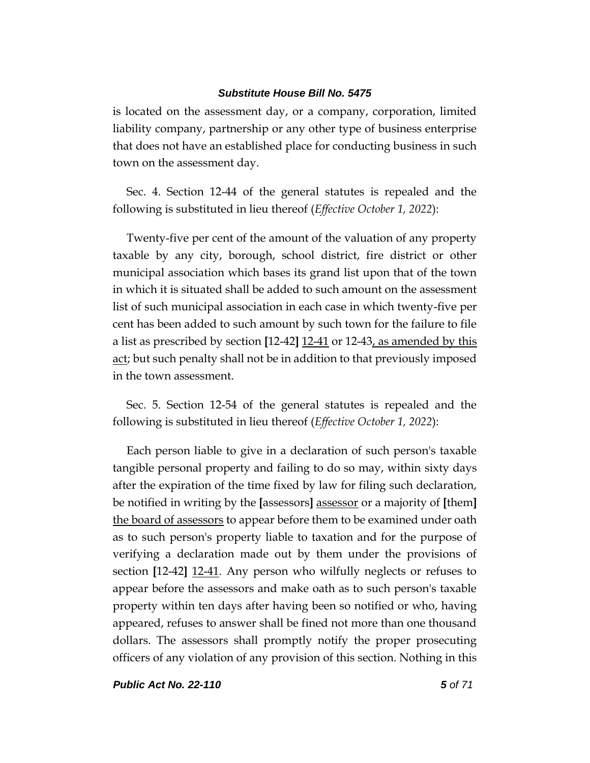is located on the assessment day, or a company, corporation, limited liability company, partnership or any other type of business enterprise that does not have an established place for conducting business in such town on the assessment day.

Sec. 4. Section 12-44 of the general statutes is repealed and the following is substituted in lieu thereof (*Effective October 1, 2022*):

Twenty-five per cent of the amount of the valuation of any property taxable by any city, borough, school district, fire district or other municipal association which bases its grand list upon that of the town in which it is situated shall be added to such amount on the assessment list of such municipal association in each case in which twenty-five per cent has been added to such amount by such town for the failure to file a list as prescribed by section **[**12-42**]** 12-41 or 12-43, as amended by this act; but such penalty shall not be in addition to that previously imposed in the town assessment.

Sec. 5. Section 12-54 of the general statutes is repealed and the following is substituted in lieu thereof (*Effective October 1, 2022*):

Each person liable to give in a declaration of such person's taxable tangible personal property and failing to do so may, within sixty days after the expiration of the time fixed by law for filing such declaration, be notified in writing by the **[**assessors**]** assessor or a majority of **[**them**]** the board of assessors to appear before them to be examined under oath as to such person's property liable to taxation and for the purpose of verifying a declaration made out by them under the provisions of section **[**12-42**]** 12-41. Any person who wilfully neglects or refuses to appear before the assessors and make oath as to such person's taxable property within ten days after having been so notified or who, having appeared, refuses to answer shall be fined not more than one thousand dollars. The assessors shall promptly notify the proper prosecuting officers of any violation of any provision of this section. Nothing in this

*Public Act No. 22-110 5 of 71*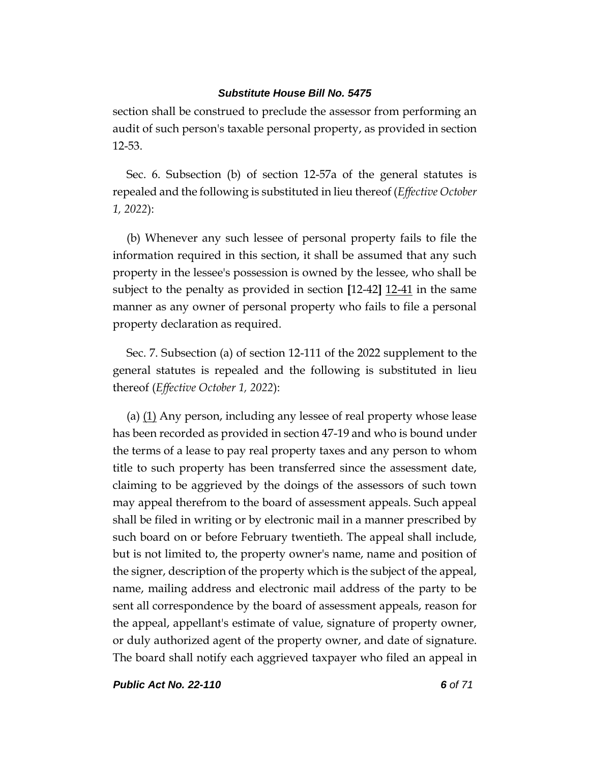section shall be construed to preclude the assessor from performing an audit of such person's taxable personal property, as provided in section 12-53.

Sec. 6. Subsection (b) of section 12-57a of the general statutes is repealed and the following is substituted in lieu thereof (*Effective October 1, 2022*):

(b) Whenever any such lessee of personal property fails to file the information required in this section, it shall be assumed that any such property in the lessee's possession is owned by the lessee, who shall be subject to the penalty as provided in section **[**12-42**]** 12-41 in the same manner as any owner of personal property who fails to file a personal property declaration as required.

Sec. 7. Subsection (a) of section 12-111 of the 2022 supplement to the general statutes is repealed and the following is substituted in lieu thereof (*Effective October 1, 2022*):

(a)  $(1)$  Any person, including any lessee of real property whose lease has been recorded as provided in section 47-19 and who is bound under the terms of a lease to pay real property taxes and any person to whom title to such property has been transferred since the assessment date, claiming to be aggrieved by the doings of the assessors of such town may appeal therefrom to the board of assessment appeals. Such appeal shall be filed in writing or by electronic mail in a manner prescribed by such board on or before February twentieth. The appeal shall include, but is not limited to, the property owner's name, name and position of the signer, description of the property which is the subject of the appeal, name, mailing address and electronic mail address of the party to be sent all correspondence by the board of assessment appeals, reason for the appeal, appellant's estimate of value, signature of property owner, or duly authorized agent of the property owner, and date of signature. The board shall notify each aggrieved taxpayer who filed an appeal in

*Public Act No. 22-110 6 of 71*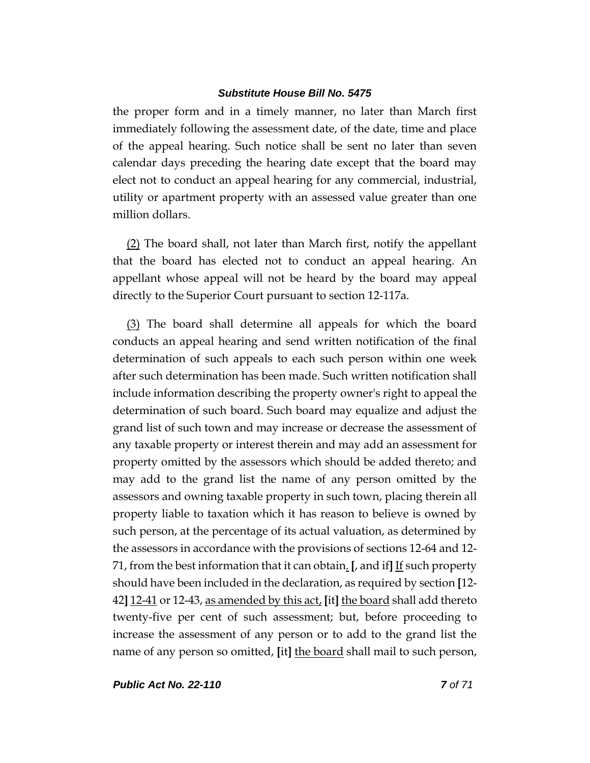the proper form and in a timely manner, no later than March first immediately following the assessment date, of the date, time and place of the appeal hearing. Such notice shall be sent no later than seven calendar days preceding the hearing date except that the board may elect not to conduct an appeal hearing for any commercial, industrial, utility or apartment property with an assessed value greater than one million dollars.

(2) The board shall, not later than March first, notify the appellant that the board has elected not to conduct an appeal hearing. An appellant whose appeal will not be heard by the board may appeal directly to the Superior Court pursuant to section 12-117a.

(3) The board shall determine all appeals for which the board conducts an appeal hearing and send written notification of the final determination of such appeals to each such person within one week after such determination has been made. Such written notification shall include information describing the property owner's right to appeal the determination of such board. Such board may equalize and adjust the grand list of such town and may increase or decrease the assessment of any taxable property or interest therein and may add an assessment for property omitted by the assessors which should be added thereto; and may add to the grand list the name of any person omitted by the assessors and owning taxable property in such town, placing therein all property liable to taxation which it has reason to believe is owned by such person, at the percentage of its actual valuation, as determined by the assessors in accordance with the provisions of sections 12-64 and 12- 71, from the best information that it can obtain. **[**, and if**]** If such property should have been included in the declaration, as required by section **[**12- 42**]** 12-41 or 12-43, as amended by this act, **[**it**]** the board shall add thereto twenty-five per cent of such assessment; but, before proceeding to increase the assessment of any person or to add to the grand list the name of any person so omitted, **[**it**]** the board shall mail to such person,

*Public Act No. 22-110 7 of 71*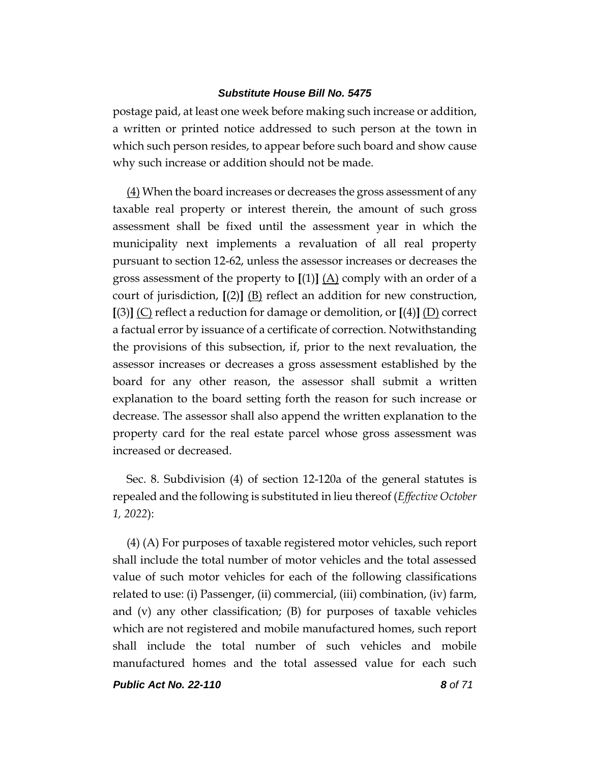postage paid, at least one week before making such increase or addition, a written or printed notice addressed to such person at the town in which such person resides, to appear before such board and show cause why such increase or addition should not be made.

(4) When the board increases or decreases the gross assessment of any taxable real property or interest therein, the amount of such gross assessment shall be fixed until the assessment year in which the municipality next implements a revaluation of all real property pursuant to section 12-62, unless the assessor increases or decreases the gross assessment of the property to **[**(1)**]** (A) comply with an order of a court of jurisdiction, **[**(2)**]** (B) reflect an addition for new construction, **[**(3)**]** (C) reflect a reduction for damage or demolition, or **[**(4)**]** (D) correct a factual error by issuance of a certificate of correction. Notwithstanding the provisions of this subsection, if, prior to the next revaluation, the assessor increases or decreases a gross assessment established by the board for any other reason, the assessor shall submit a written explanation to the board setting forth the reason for such increase or decrease. The assessor shall also append the written explanation to the property card for the real estate parcel whose gross assessment was increased or decreased.

Sec. 8. Subdivision (4) of section 12-120a of the general statutes is repealed and the following is substituted in lieu thereof (*Effective October 1, 2022*):

(4) (A) For purposes of taxable registered motor vehicles, such report shall include the total number of motor vehicles and the total assessed value of such motor vehicles for each of the following classifications related to use: (i) Passenger, (ii) commercial, (iii) combination, (iv) farm, and  $(v)$  any other classification;  $(B)$  for purposes of taxable vehicles which are not registered and mobile manufactured homes, such report shall include the total number of such vehicles and mobile manufactured homes and the total assessed value for each such

*Public Act No. 22-110 8 of 71*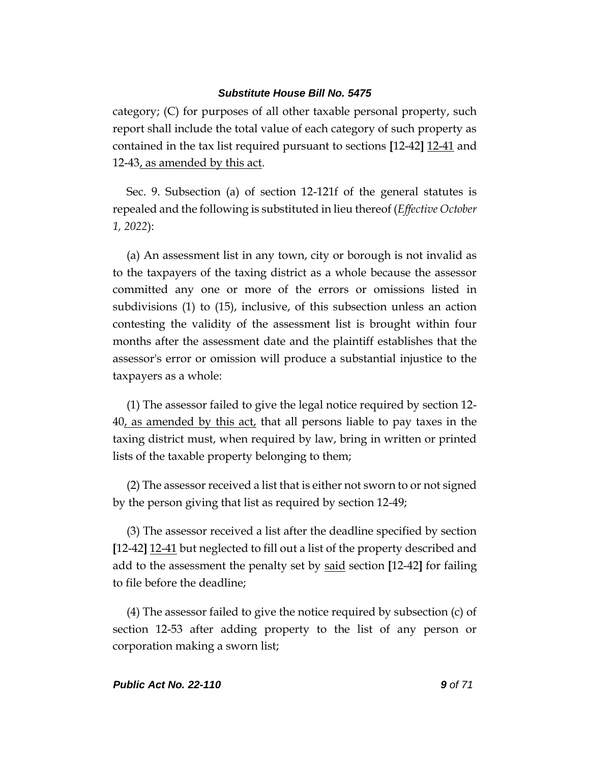category; (C) for purposes of all other taxable personal property, such report shall include the total value of each category of such property as contained in the tax list required pursuant to sections **[**12-42**]** 12-41 and 12-43, as amended by this act.

Sec. 9. Subsection (a) of section 12-121f of the general statutes is repealed and the following is substituted in lieu thereof (*Effective October 1, 2022*):

(a) An assessment list in any town, city or borough is not invalid as to the taxpayers of the taxing district as a whole because the assessor committed any one or more of the errors or omissions listed in subdivisions (1) to (15), inclusive, of this subsection unless an action contesting the validity of the assessment list is brought within four months after the assessment date and the plaintiff establishes that the assessor's error or omission will produce a substantial injustice to the taxpayers as a whole:

(1) The assessor failed to give the legal notice required by section 12- 40, as amended by this act, that all persons liable to pay taxes in the taxing district must, when required by law, bring in written or printed lists of the taxable property belonging to them;

(2) The assessor received a list that is either not sworn to or not signed by the person giving that list as required by section 12-49;

(3) The assessor received a list after the deadline specified by section **[**12-42**]** 12-41 but neglected to fill out a list of the property described and add to the assessment the penalty set by said section **[**12-42**]** for failing to file before the deadline;

(4) The assessor failed to give the notice required by subsection (c) of section 12-53 after adding property to the list of any person or corporation making a sworn list;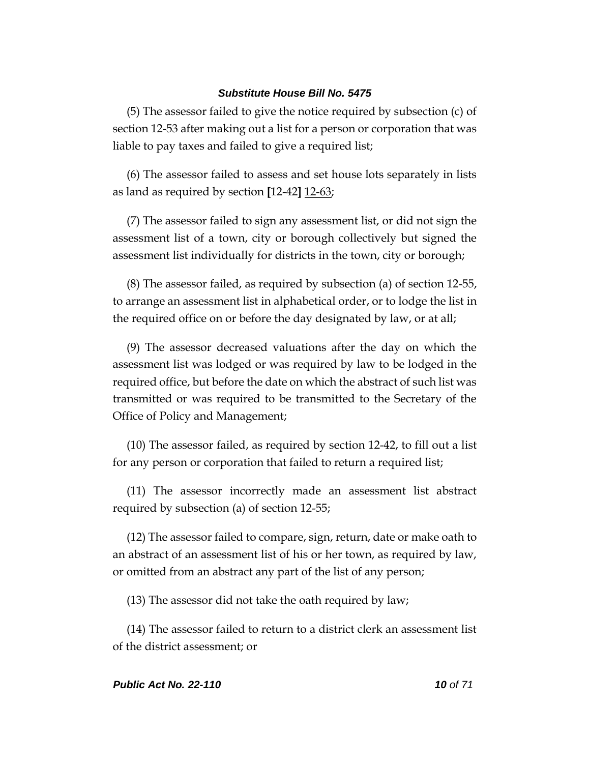(5) The assessor failed to give the notice required by subsection (c) of section 12-53 after making out a list for a person or corporation that was liable to pay taxes and failed to give a required list;

(6) The assessor failed to assess and set house lots separately in lists as land as required by section **[**12-42**]** 12-63;

(7) The assessor failed to sign any assessment list, or did not sign the assessment list of a town, city or borough collectively but signed the assessment list individually for districts in the town, city or borough;

(8) The assessor failed, as required by subsection (a) of section 12-55, to arrange an assessment list in alphabetical order, or to lodge the list in the required office on or before the day designated by law, or at all;

(9) The assessor decreased valuations after the day on which the assessment list was lodged or was required by law to be lodged in the required office, but before the date on which the abstract of such list was transmitted or was required to be transmitted to the Secretary of the Office of Policy and Management;

(10) The assessor failed, as required by section 12-42, to fill out a list for any person or corporation that failed to return a required list;

(11) The assessor incorrectly made an assessment list abstract required by subsection (a) of section 12-55;

(12) The assessor failed to compare, sign, return, date or make oath to an abstract of an assessment list of his or her town, as required by law, or omitted from an abstract any part of the list of any person;

(13) The assessor did not take the oath required by law;

(14) The assessor failed to return to a district clerk an assessment list of the district assessment; or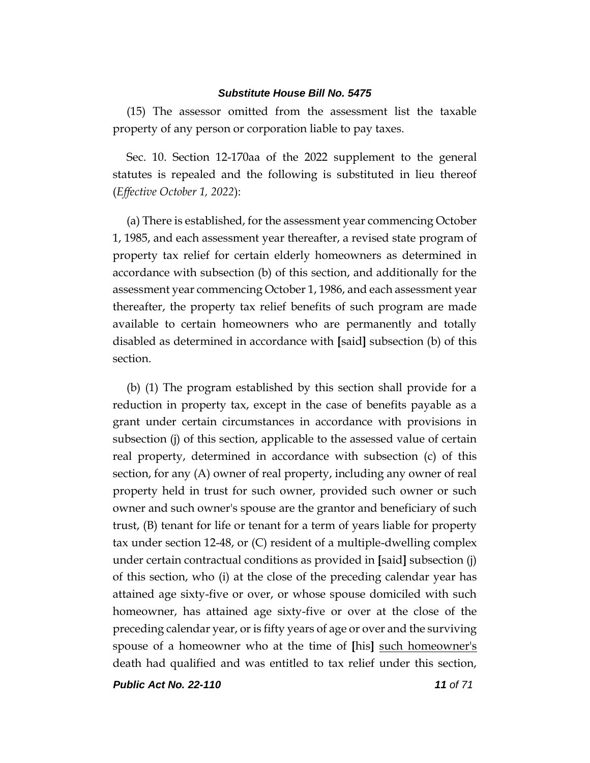(15) The assessor omitted from the assessment list the taxable property of any person or corporation liable to pay taxes.

Sec. 10. Section 12-170aa of the 2022 supplement to the general statutes is repealed and the following is substituted in lieu thereof (*Effective October 1, 2022*):

(a) There is established, for the assessment year commencing October 1, 1985, and each assessment year thereafter, a revised state program of property tax relief for certain elderly homeowners as determined in accordance with subsection (b) of this section, and additionally for the assessment year commencing October 1, 1986, and each assessment year thereafter, the property tax relief benefits of such program are made available to certain homeowners who are permanently and totally disabled as determined in accordance with **[**said**]** subsection (b) of this section.

(b) (1) The program established by this section shall provide for a reduction in property tax, except in the case of benefits payable as a grant under certain circumstances in accordance with provisions in subsection (j) of this section, applicable to the assessed value of certain real property, determined in accordance with subsection (c) of this section, for any (A) owner of real property, including any owner of real property held in trust for such owner, provided such owner or such owner and such owner's spouse are the grantor and beneficiary of such trust, (B) tenant for life or tenant for a term of years liable for property tax under section 12-48, or (C) resident of a multiple-dwelling complex under certain contractual conditions as provided in **[**said**]** subsection (j) of this section, who (i) at the close of the preceding calendar year has attained age sixty-five or over, or whose spouse domiciled with such homeowner, has attained age sixty-five or over at the close of the preceding calendar year, or is fifty years of age or over and the surviving spouse of a homeowner who at the time of **[**his**]** such homeowner's death had qualified and was entitled to tax relief under this section,

*Public Act No. 22-110 11 of 71*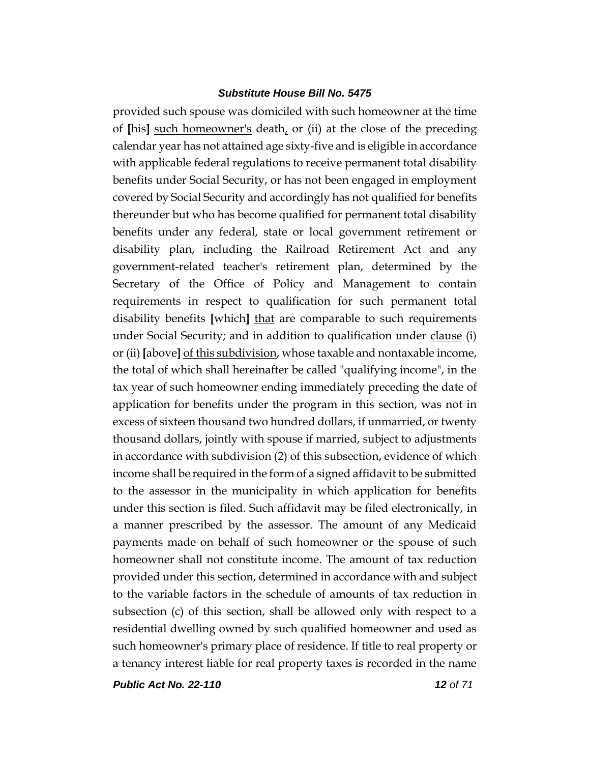provided such spouse was domiciled with such homeowner at the time of **[**his**]** such homeowner's death, or (ii) at the close of the preceding calendar year has not attained age sixty-five and is eligible in accordance with applicable federal regulations to receive permanent total disability benefits under Social Security, or has not been engaged in employment covered by Social Security and accordingly has not qualified for benefits thereunder but who has become qualified for permanent total disability benefits under any federal, state or local government retirement or disability plan, including the Railroad Retirement Act and any government-related teacher's retirement plan, determined by the Secretary of the Office of Policy and Management to contain requirements in respect to qualification for such permanent total disability benefits **[**which**]** that are comparable to such requirements under Social Security; and in addition to qualification under clause (i) or (ii) **[**above**]** of this subdivision, whose taxable and nontaxable income, the total of which shall hereinafter be called "qualifying income", in the tax year of such homeowner ending immediately preceding the date of application for benefits under the program in this section, was not in excess of sixteen thousand two hundred dollars, if unmarried, or twenty thousand dollars, jointly with spouse if married, subject to adjustments in accordance with subdivision (2) of this subsection, evidence of which income shall be required in the form of a signed affidavit to be submitted to the assessor in the municipality in which application for benefits under this section is filed. Such affidavit may be filed electronically, in a manner prescribed by the assessor. The amount of any Medicaid payments made on behalf of such homeowner or the spouse of such homeowner shall not constitute income. The amount of tax reduction provided under this section, determined in accordance with and subject to the variable factors in the schedule of amounts of tax reduction in subsection (c) of this section, shall be allowed only with respect to a residential dwelling owned by such qualified homeowner and used as such homeowner's primary place of residence. If title to real property or a tenancy interest liable for real property taxes is recorded in the name

*Public Act No. 22-110 12 of 71*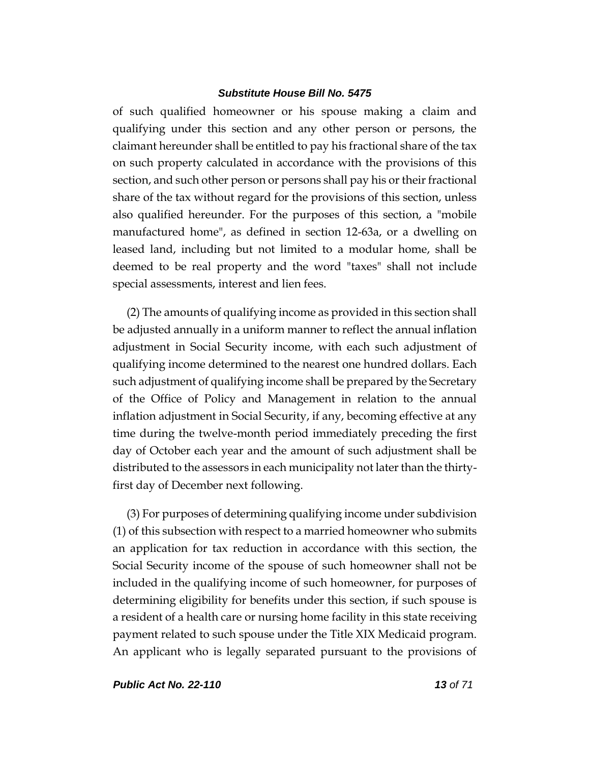of such qualified homeowner or his spouse making a claim and qualifying under this section and any other person or persons, the claimant hereunder shall be entitled to pay his fractional share of the tax on such property calculated in accordance with the provisions of this section, and such other person or persons shall pay his or their fractional share of the tax without regard for the provisions of this section, unless also qualified hereunder. For the purposes of this section, a "mobile manufactured home", as defined in section 12-63a, or a dwelling on leased land, including but not limited to a modular home, shall be deemed to be real property and the word "taxes" shall not include special assessments, interest and lien fees.

(2) The amounts of qualifying income as provided in this section shall be adjusted annually in a uniform manner to reflect the annual inflation adjustment in Social Security income, with each such adjustment of qualifying income determined to the nearest one hundred dollars. Each such adjustment of qualifying income shall be prepared by the Secretary of the Office of Policy and Management in relation to the annual inflation adjustment in Social Security, if any, becoming effective at any time during the twelve-month period immediately preceding the first day of October each year and the amount of such adjustment shall be distributed to the assessors in each municipality not later than the thirtyfirst day of December next following.

(3) For purposes of determining qualifying income under subdivision (1) of this subsection with respect to a married homeowner who submits an application for tax reduction in accordance with this section, the Social Security income of the spouse of such homeowner shall not be included in the qualifying income of such homeowner, for purposes of determining eligibility for benefits under this section, if such spouse is a resident of a health care or nursing home facility in this state receiving payment related to such spouse under the Title XIX Medicaid program. An applicant who is legally separated pursuant to the provisions of

*Public Act No. 22-110 13 of 71*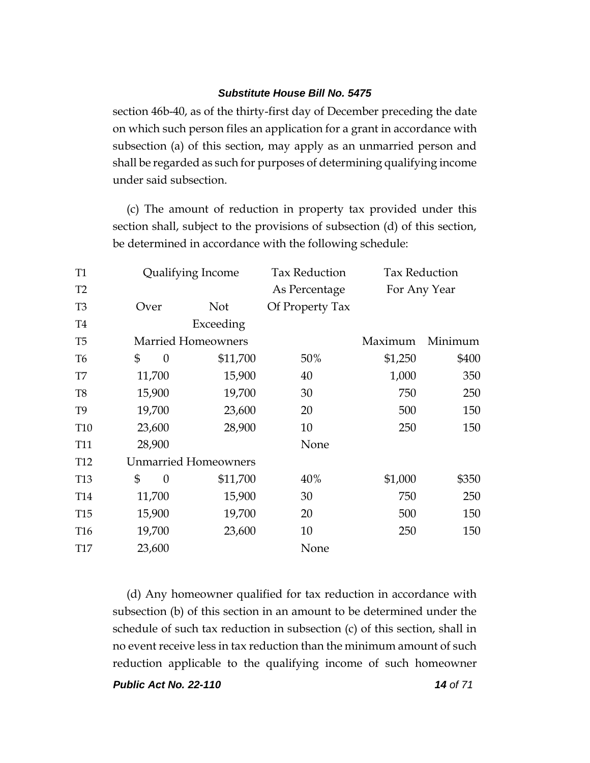section 46b-40, as of the thirty-first day of December preceding the date on which such person files an application for a grant in accordance with subsection (a) of this section, may apply as an unmarried person and shall be regarded as such for purposes of determining qualifying income under said subsection.

(c) The amount of reduction in property tax provided under this section shall, subject to the provisions of subsection (d) of this section, be determined in accordance with the following schedule:

| <b>T1</b>       | Qualifying Income           |                           | <b>Tax Reduction</b> | <b>Tax Reduction</b> |         |
|-----------------|-----------------------------|---------------------------|----------------------|----------------------|---------|
| T <sub>2</sub>  |                             |                           | As Percentage        | For Any Year         |         |
| T <sub>3</sub>  | Over                        | <b>Not</b>                | Of Property Tax      |                      |         |
| <b>T4</b>       |                             | Exceeding                 |                      |                      |         |
| T <sub>5</sub>  |                             | <b>Married Homeowners</b> |                      | Maximum              | Minimum |
| T <sub>6</sub>  | \$<br>$\theta$              | \$11,700                  | 50%                  | \$1,250              | \$400   |
| T7              | 11,700                      | 15,900                    | 40                   | 1,000                | 350     |
| T <sub>8</sub>  | 15,900                      | 19,700                    | 30                   | 750                  | 250     |
| T <sub>9</sub>  | 19,700                      | 23,600                    | 20                   | 500                  | 150     |
| <b>T10</b>      | 23,600                      | 28,900                    | 10                   | 250                  | 150     |
| <b>T11</b>      | 28,900                      |                           | None                 |                      |         |
| T <sub>12</sub> | <b>Unmarried Homeowners</b> |                           |                      |                      |         |
| T <sub>13</sub> | \$<br>$\theta$              | \$11,700                  | 40%                  | \$1,000              | \$350   |
| T <sub>14</sub> | 11,700                      | 15,900                    | 30                   | 750                  | 250     |
| <b>T15</b>      | 15,900                      | 19,700                    | 20                   | 500                  | 150     |
| T <sub>16</sub> | 19,700                      | 23,600                    | 10                   | 250                  | 150     |
| <b>T17</b>      | 23,600                      |                           | None                 |                      |         |

(d) Any homeowner qualified for tax reduction in accordance with subsection (b) of this section in an amount to be determined under the schedule of such tax reduction in subsection (c) of this section, shall in no event receive less in tax reduction than the minimum amount of such reduction applicable to the qualifying income of such homeowner

*Public Act No. 22-110 14 of 71*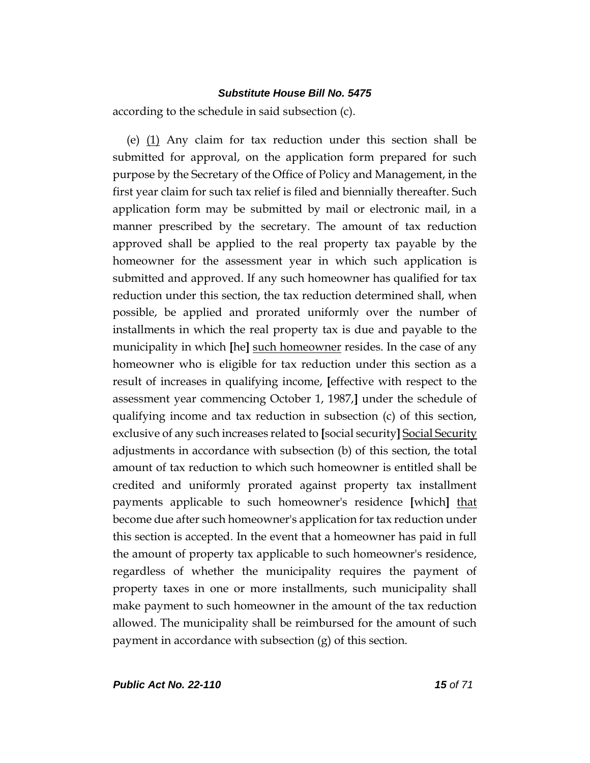according to the schedule in said subsection (c).

(e) (1) Any claim for tax reduction under this section shall be submitted for approval, on the application form prepared for such purpose by the Secretary of the Office of Policy and Management, in the first year claim for such tax relief is filed and biennially thereafter. Such application form may be submitted by mail or electronic mail, in a manner prescribed by the secretary. The amount of tax reduction approved shall be applied to the real property tax payable by the homeowner for the assessment year in which such application is submitted and approved. If any such homeowner has qualified for tax reduction under this section, the tax reduction determined shall, when possible, be applied and prorated uniformly over the number of installments in which the real property tax is due and payable to the municipality in which **[**he**]** such homeowner resides. In the case of any homeowner who is eligible for tax reduction under this section as a result of increases in qualifying income, **[**effective with respect to the assessment year commencing October 1, 1987,**]** under the schedule of qualifying income and tax reduction in subsection (c) of this section, exclusive of any such increases related to **[**social security**]** Social Security adjustments in accordance with subsection (b) of this section, the total amount of tax reduction to which such homeowner is entitled shall be credited and uniformly prorated against property tax installment payments applicable to such homeowner's residence **[**which**]** that become due after such homeowner's application for tax reduction under this section is accepted. In the event that a homeowner has paid in full the amount of property tax applicable to such homeowner's residence, regardless of whether the municipality requires the payment of property taxes in one or more installments, such municipality shall make payment to such homeowner in the amount of the tax reduction allowed. The municipality shall be reimbursed for the amount of such payment in accordance with subsection (g) of this section.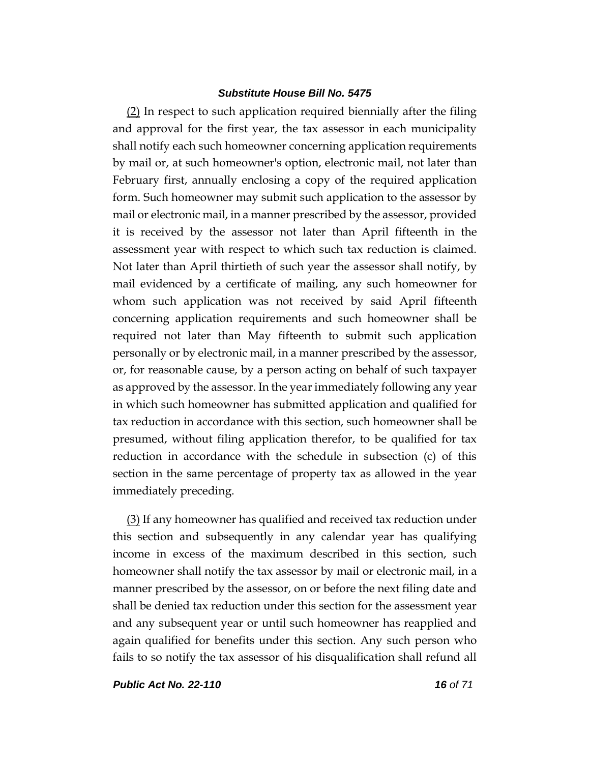(2) In respect to such application required biennially after the filing and approval for the first year, the tax assessor in each municipality shall notify each such homeowner concerning application requirements by mail or, at such homeowner's option, electronic mail, not later than February first, annually enclosing a copy of the required application form. Such homeowner may submit such application to the assessor by mail or electronic mail, in a manner prescribed by the assessor, provided it is received by the assessor not later than April fifteenth in the assessment year with respect to which such tax reduction is claimed. Not later than April thirtieth of such year the assessor shall notify, by mail evidenced by a certificate of mailing, any such homeowner for whom such application was not received by said April fifteenth concerning application requirements and such homeowner shall be required not later than May fifteenth to submit such application personally or by electronic mail, in a manner prescribed by the assessor, or, for reasonable cause, by a person acting on behalf of such taxpayer as approved by the assessor. In the year immediately following any year in which such homeowner has submitted application and qualified for tax reduction in accordance with this section, such homeowner shall be presumed, without filing application therefor, to be qualified for tax reduction in accordance with the schedule in subsection (c) of this section in the same percentage of property tax as allowed in the year immediately preceding.

(3) If any homeowner has qualified and received tax reduction under this section and subsequently in any calendar year has qualifying income in excess of the maximum described in this section, such homeowner shall notify the tax assessor by mail or electronic mail, in a manner prescribed by the assessor, on or before the next filing date and shall be denied tax reduction under this section for the assessment year and any subsequent year or until such homeowner has reapplied and again qualified for benefits under this section. Any such person who fails to so notify the tax assessor of his disqualification shall refund all

*Public Act No. 22-110 16 of 71*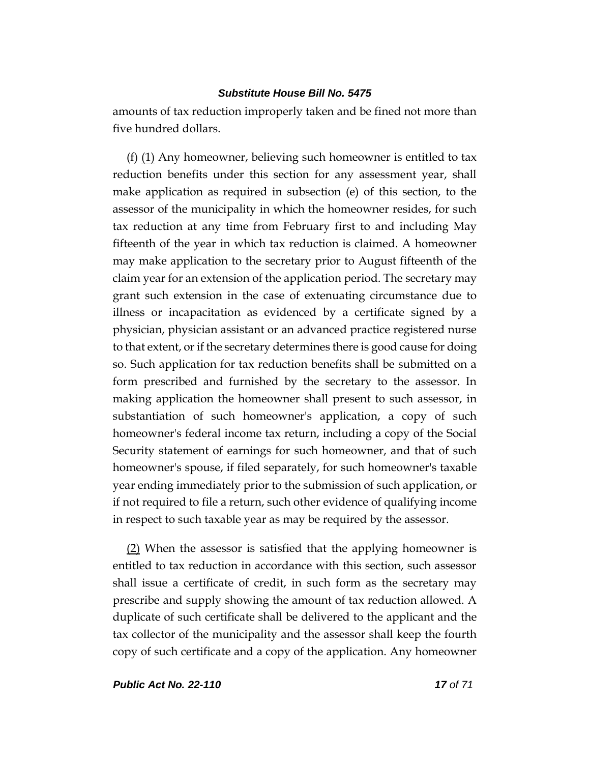amounts of tax reduction improperly taken and be fined not more than five hundred dollars.

(f)  $(1)$  Any homeowner, believing such homeowner is entitled to tax reduction benefits under this section for any assessment year, shall make application as required in subsection (e) of this section, to the assessor of the municipality in which the homeowner resides, for such tax reduction at any time from February first to and including May fifteenth of the year in which tax reduction is claimed. A homeowner may make application to the secretary prior to August fifteenth of the claim year for an extension of the application period. The secretary may grant such extension in the case of extenuating circumstance due to illness or incapacitation as evidenced by a certificate signed by a physician, physician assistant or an advanced practice registered nurse to that extent, or if the secretary determines there is good cause for doing so. Such application for tax reduction benefits shall be submitted on a form prescribed and furnished by the secretary to the assessor. In making application the homeowner shall present to such assessor, in substantiation of such homeowner's application, a copy of such homeowner's federal income tax return, including a copy of the Social Security statement of earnings for such homeowner, and that of such homeowner's spouse, if filed separately, for such homeowner's taxable year ending immediately prior to the submission of such application, or if not required to file a return, such other evidence of qualifying income in respect to such taxable year as may be required by the assessor.

(2) When the assessor is satisfied that the applying homeowner is entitled to tax reduction in accordance with this section, such assessor shall issue a certificate of credit, in such form as the secretary may prescribe and supply showing the amount of tax reduction allowed. A duplicate of such certificate shall be delivered to the applicant and the tax collector of the municipality and the assessor shall keep the fourth copy of such certificate and a copy of the application. Any homeowner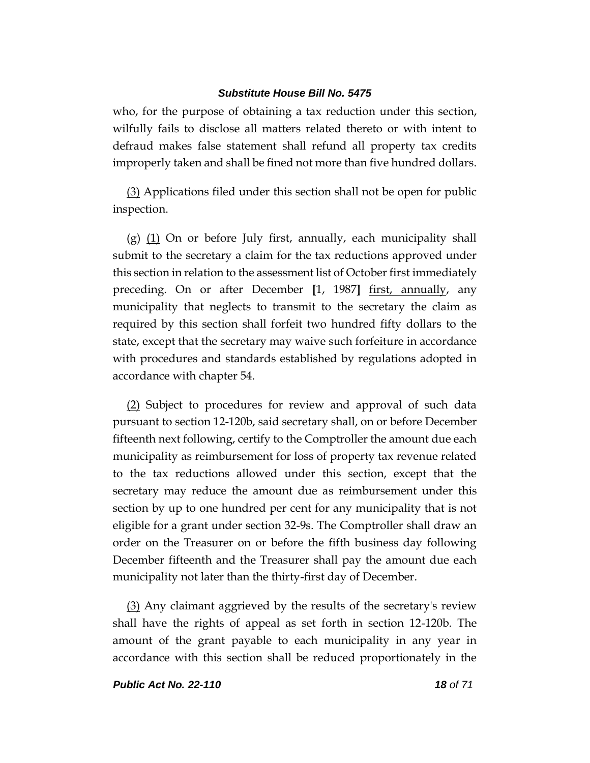who, for the purpose of obtaining a tax reduction under this section, wilfully fails to disclose all matters related thereto or with intent to defraud makes false statement shall refund all property tax credits improperly taken and shall be fined not more than five hundred dollars.

(3) Applications filed under this section shall not be open for public inspection.

 $(g)$   $(1)$  On or before July first, annually, each municipality shall submit to the secretary a claim for the tax reductions approved under this section in relation to the assessment list of October first immediately preceding. On or after December **[**1, 1987**]** first, annually, any municipality that neglects to transmit to the secretary the claim as required by this section shall forfeit two hundred fifty dollars to the state, except that the secretary may waive such forfeiture in accordance with procedures and standards established by regulations adopted in accordance with chapter 54.

(2) Subject to procedures for review and approval of such data pursuant to section 12-120b, said secretary shall, on or before December fifteenth next following, certify to the Comptroller the amount due each municipality as reimbursement for loss of property tax revenue related to the tax reductions allowed under this section, except that the secretary may reduce the amount due as reimbursement under this section by up to one hundred per cent for any municipality that is not eligible for a grant under section 32-9s. The Comptroller shall draw an order on the Treasurer on or before the fifth business day following December fifteenth and the Treasurer shall pay the amount due each municipality not later than the thirty-first day of December.

(3) Any claimant aggrieved by the results of the secretary's review shall have the rights of appeal as set forth in section 12-120b. The amount of the grant payable to each municipality in any year in accordance with this section shall be reduced proportionately in the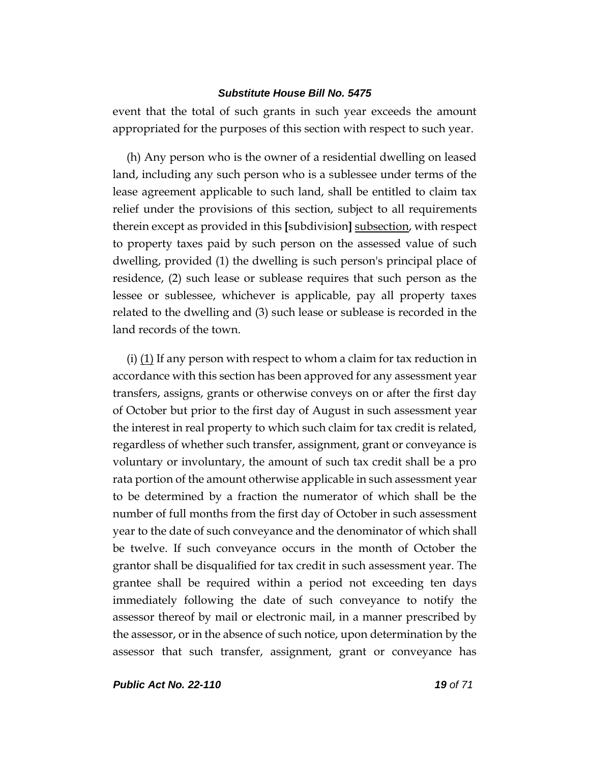event that the total of such grants in such year exceeds the amount appropriated for the purposes of this section with respect to such year.

(h) Any person who is the owner of a residential dwelling on leased land, including any such person who is a sublessee under terms of the lease agreement applicable to such land, shall be entitled to claim tax relief under the provisions of this section, subject to all requirements therein except as provided in this **[**subdivision**]** subsection, with respect to property taxes paid by such person on the assessed value of such dwelling, provided (1) the dwelling is such person's principal place of residence, (2) such lease or sublease requires that such person as the lessee or sublessee, whichever is applicable, pay all property taxes related to the dwelling and (3) such lease or sublease is recorded in the land records of the town.

(i)  $(1)$  If any person with respect to whom a claim for tax reduction in accordance with this section has been approved for any assessment year transfers, assigns, grants or otherwise conveys on or after the first day of October but prior to the first day of August in such assessment year the interest in real property to which such claim for tax credit is related, regardless of whether such transfer, assignment, grant or conveyance is voluntary or involuntary, the amount of such tax credit shall be a pro rata portion of the amount otherwise applicable in such assessment year to be determined by a fraction the numerator of which shall be the number of full months from the first day of October in such assessment year to the date of such conveyance and the denominator of which shall be twelve. If such conveyance occurs in the month of October the grantor shall be disqualified for tax credit in such assessment year. The grantee shall be required within a period not exceeding ten days immediately following the date of such conveyance to notify the assessor thereof by mail or electronic mail, in a manner prescribed by the assessor, or in the absence of such notice, upon determination by the assessor that such transfer, assignment, grant or conveyance has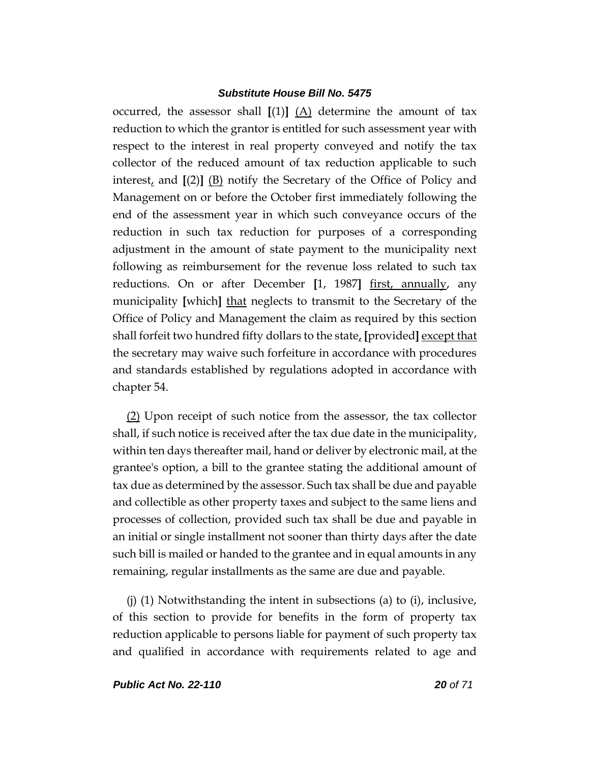occurred, the assessor shall **[**(1)**]** (A) determine the amount of tax reduction to which the grantor is entitled for such assessment year with respect to the interest in real property conveyed and notify the tax collector of the reduced amount of tax reduction applicable to such interest, and **[**(2)**]** (B) notify the Secretary of the Office of Policy and Management on or before the October first immediately following the end of the assessment year in which such conveyance occurs of the reduction in such tax reduction for purposes of a corresponding adjustment in the amount of state payment to the municipality next following as reimbursement for the revenue loss related to such tax reductions. On or after December **[**1, 1987**]** first, annually, any municipality [which] that neglects to transmit to the Secretary of the Office of Policy and Management the claim as required by this section shall forfeit two hundred fifty dollars to the state, **[**provided**]** except that the secretary may waive such forfeiture in accordance with procedures and standards established by regulations adopted in accordance with chapter 54.

(2) Upon receipt of such notice from the assessor, the tax collector shall, if such notice is received after the tax due date in the municipality, within ten days thereafter mail, hand or deliver by electronic mail, at the grantee's option, a bill to the grantee stating the additional amount of tax due as determined by the assessor. Such tax shall be due and payable and collectible as other property taxes and subject to the same liens and processes of collection, provided such tax shall be due and payable in an initial or single installment not sooner than thirty days after the date such bill is mailed or handed to the grantee and in equal amounts in any remaining, regular installments as the same are due and payable.

(j) (1) Notwithstanding the intent in subsections (a) to (i), inclusive, of this section to provide for benefits in the form of property tax reduction applicable to persons liable for payment of such property tax and qualified in accordance with requirements related to age and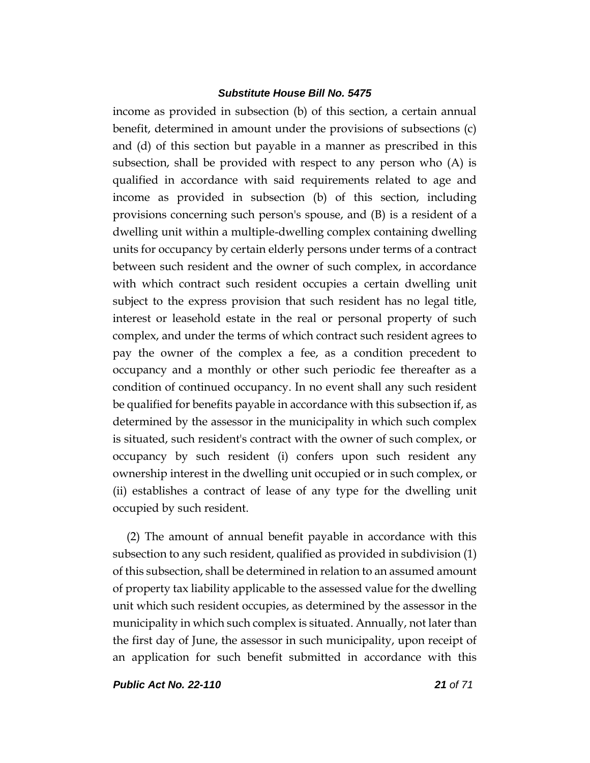income as provided in subsection (b) of this section, a certain annual benefit, determined in amount under the provisions of subsections (c) and (d) of this section but payable in a manner as prescribed in this subsection, shall be provided with respect to any person who (A) is qualified in accordance with said requirements related to age and income as provided in subsection (b) of this section, including provisions concerning such person's spouse, and (B) is a resident of a dwelling unit within a multiple-dwelling complex containing dwelling units for occupancy by certain elderly persons under terms of a contract between such resident and the owner of such complex, in accordance with which contract such resident occupies a certain dwelling unit subject to the express provision that such resident has no legal title, interest or leasehold estate in the real or personal property of such complex, and under the terms of which contract such resident agrees to pay the owner of the complex a fee, as a condition precedent to occupancy and a monthly or other such periodic fee thereafter as a condition of continued occupancy. In no event shall any such resident be qualified for benefits payable in accordance with this subsection if, as determined by the assessor in the municipality in which such complex is situated, such resident's contract with the owner of such complex, or occupancy by such resident (i) confers upon such resident any ownership interest in the dwelling unit occupied or in such complex, or (ii) establishes a contract of lease of any type for the dwelling unit occupied by such resident.

(2) The amount of annual benefit payable in accordance with this subsection to any such resident, qualified as provided in subdivision (1) of this subsection, shall be determined in relation to an assumed amount of property tax liability applicable to the assessed value for the dwelling unit which such resident occupies, as determined by the assessor in the municipality in which such complex is situated. Annually, not later than the first day of June, the assessor in such municipality, upon receipt of an application for such benefit submitted in accordance with this

*Public Act No. 22-110 21 of 71*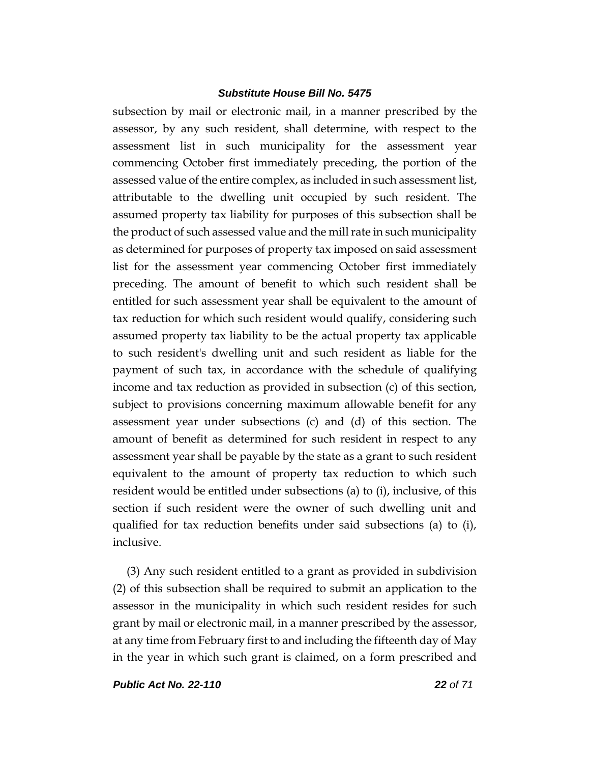subsection by mail or electronic mail, in a manner prescribed by the assessor, by any such resident, shall determine, with respect to the assessment list in such municipality for the assessment year commencing October first immediately preceding, the portion of the assessed value of the entire complex, as included in such assessment list, attributable to the dwelling unit occupied by such resident. The assumed property tax liability for purposes of this subsection shall be the product of such assessed value and the mill rate in such municipality as determined for purposes of property tax imposed on said assessment list for the assessment year commencing October first immediately preceding. The amount of benefit to which such resident shall be entitled for such assessment year shall be equivalent to the amount of tax reduction for which such resident would qualify, considering such assumed property tax liability to be the actual property tax applicable to such resident's dwelling unit and such resident as liable for the payment of such tax, in accordance with the schedule of qualifying income and tax reduction as provided in subsection (c) of this section, subject to provisions concerning maximum allowable benefit for any assessment year under subsections (c) and (d) of this section. The amount of benefit as determined for such resident in respect to any assessment year shall be payable by the state as a grant to such resident equivalent to the amount of property tax reduction to which such resident would be entitled under subsections (a) to (i), inclusive, of this section if such resident were the owner of such dwelling unit and qualified for tax reduction benefits under said subsections (a) to (i), inclusive.

(3) Any such resident entitled to a grant as provided in subdivision (2) of this subsection shall be required to submit an application to the assessor in the municipality in which such resident resides for such grant by mail or electronic mail, in a manner prescribed by the assessor, at any time from February first to and including the fifteenth day of May in the year in which such grant is claimed, on a form prescribed and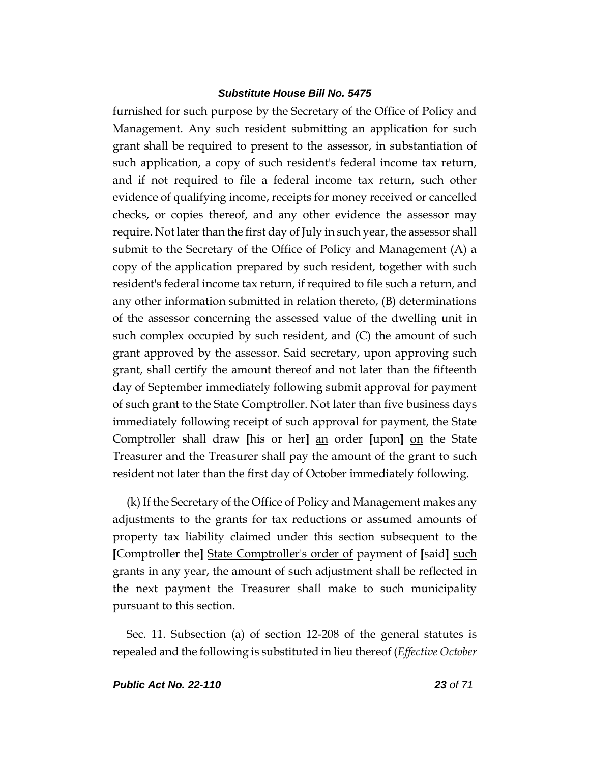furnished for such purpose by the Secretary of the Office of Policy and Management. Any such resident submitting an application for such grant shall be required to present to the assessor, in substantiation of such application, a copy of such resident's federal income tax return, and if not required to file a federal income tax return, such other evidence of qualifying income, receipts for money received or cancelled checks, or copies thereof, and any other evidence the assessor may require. Not later than the first day of July in such year, the assessor shall submit to the Secretary of the Office of Policy and Management (A) a copy of the application prepared by such resident, together with such resident's federal income tax return, if required to file such a return, and any other information submitted in relation thereto, (B) determinations of the assessor concerning the assessed value of the dwelling unit in such complex occupied by such resident, and (C) the amount of such grant approved by the assessor. Said secretary, upon approving such grant, shall certify the amount thereof and not later than the fifteenth day of September immediately following submit approval for payment of such grant to the State Comptroller. Not later than five business days immediately following receipt of such approval for payment, the State Comptroller shall draw **[**his or her**]** an order **[**upon**]** on the State Treasurer and the Treasurer shall pay the amount of the grant to such resident not later than the first day of October immediately following.

(k) If the Secretary of the Office of Policy and Management makes any adjustments to the grants for tax reductions or assumed amounts of property tax liability claimed under this section subsequent to the **[**Comptroller the**]** State Comptroller's order of payment of **[**said**]** such grants in any year, the amount of such adjustment shall be reflected in the next payment the Treasurer shall make to such municipality pursuant to this section.

Sec. 11. Subsection (a) of section 12-208 of the general statutes is repealed and the following is substituted in lieu thereof (*Effective October*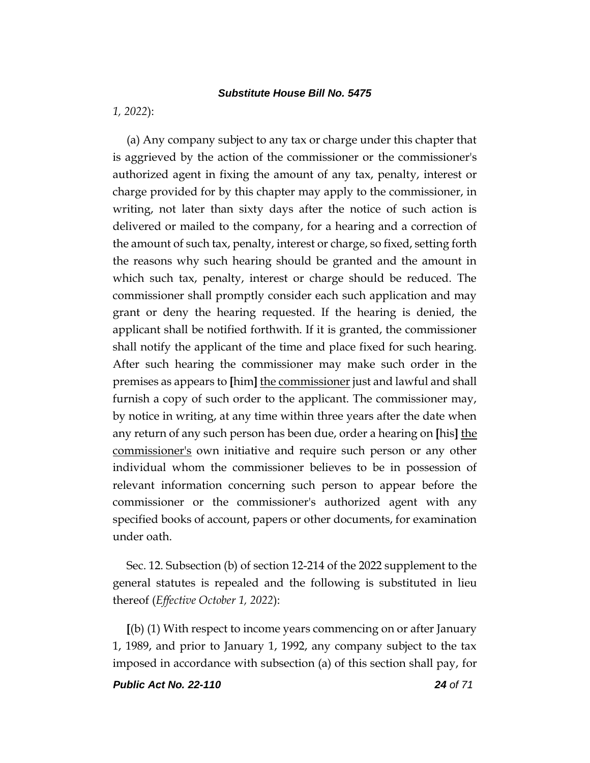*1, 2022*):

(a) Any company subject to any tax or charge under this chapter that is aggrieved by the action of the commissioner or the commissioner's authorized agent in fixing the amount of any tax, penalty, interest or charge provided for by this chapter may apply to the commissioner, in writing, not later than sixty days after the notice of such action is delivered or mailed to the company, for a hearing and a correction of the amount of such tax, penalty, interest or charge, so fixed, setting forth the reasons why such hearing should be granted and the amount in which such tax, penalty, interest or charge should be reduced. The commissioner shall promptly consider each such application and may grant or deny the hearing requested. If the hearing is denied, the applicant shall be notified forthwith. If it is granted, the commissioner shall notify the applicant of the time and place fixed for such hearing. After such hearing the commissioner may make such order in the premises as appears to **[**him**]** the commissioner just and lawful and shall furnish a copy of such order to the applicant. The commissioner may, by notice in writing, at any time within three years after the date when any return of any such person has been due, order a hearing on **[**his**]** the commissioner's own initiative and require such person or any other individual whom the commissioner believes to be in possession of relevant information concerning such person to appear before the commissioner or the commissioner's authorized agent with any specified books of account, papers or other documents, for examination under oath.

Sec. 12. Subsection (b) of section 12-214 of the 2022 supplement to the general statutes is repealed and the following is substituted in lieu thereof (*Effective October 1, 2022*):

**[**(b) (1) With respect to income years commencing on or after January 1, 1989, and prior to January 1, 1992, any company subject to the tax imposed in accordance with subsection (a) of this section shall pay, for

*Public Act No. 22-110 24 of 71*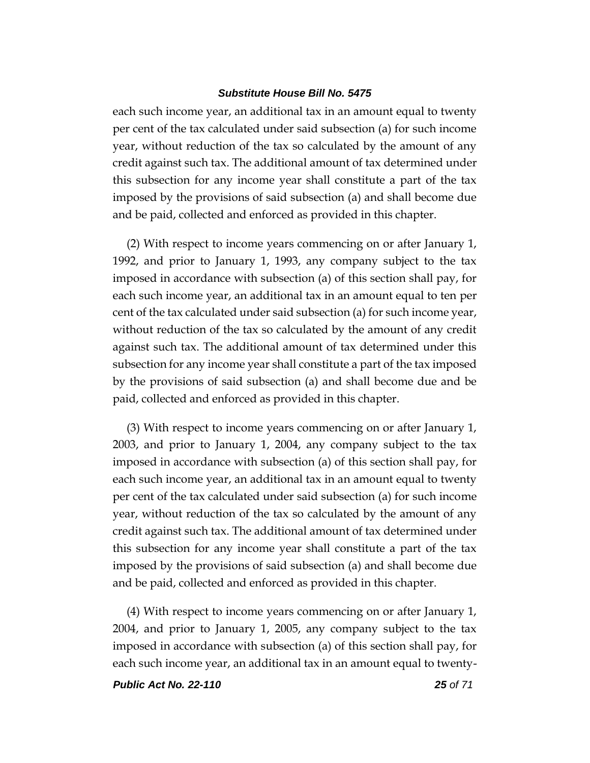each such income year, an additional tax in an amount equal to twenty per cent of the tax calculated under said subsection (a) for such income year, without reduction of the tax so calculated by the amount of any credit against such tax. The additional amount of tax determined under this subsection for any income year shall constitute a part of the tax imposed by the provisions of said subsection (a) and shall become due and be paid, collected and enforced as provided in this chapter.

(2) With respect to income years commencing on or after January 1, 1992, and prior to January 1, 1993, any company subject to the tax imposed in accordance with subsection (a) of this section shall pay, for each such income year, an additional tax in an amount equal to ten per cent of the tax calculated under said subsection (a) for such income year, without reduction of the tax so calculated by the amount of any credit against such tax. The additional amount of tax determined under this subsection for any income year shall constitute a part of the tax imposed by the provisions of said subsection (a) and shall become due and be paid, collected and enforced as provided in this chapter.

(3) With respect to income years commencing on or after January 1, 2003, and prior to January 1, 2004, any company subject to the tax imposed in accordance with subsection (a) of this section shall pay, for each such income year, an additional tax in an amount equal to twenty per cent of the tax calculated under said subsection (a) for such income year, without reduction of the tax so calculated by the amount of any credit against such tax. The additional amount of tax determined under this subsection for any income year shall constitute a part of the tax imposed by the provisions of said subsection (a) and shall become due and be paid, collected and enforced as provided in this chapter.

(4) With respect to income years commencing on or after January 1, 2004, and prior to January 1, 2005, any company subject to the tax imposed in accordance with subsection (a) of this section shall pay, for each such income year, an additional tax in an amount equal to twenty-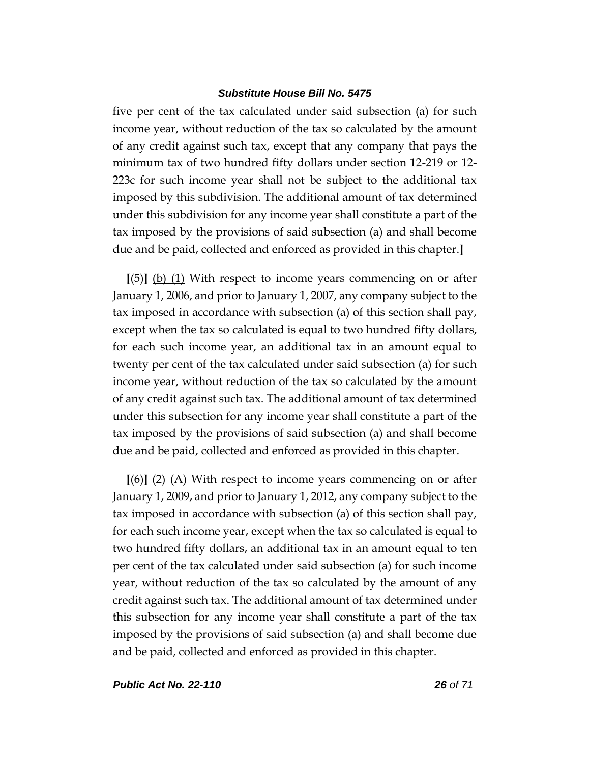five per cent of the tax calculated under said subsection (a) for such income year, without reduction of the tax so calculated by the amount of any credit against such tax, except that any company that pays the minimum tax of two hundred fifty dollars under section 12-219 or 12- 223c for such income year shall not be subject to the additional tax imposed by this subdivision. The additional amount of tax determined under this subdivision for any income year shall constitute a part of the tax imposed by the provisions of said subsection (a) and shall become due and be paid, collected and enforced as provided in this chapter.**]**

**[**(5)**]** (b) (1) With respect to income years commencing on or after January 1, 2006, and prior to January 1, 2007, any company subject to the tax imposed in accordance with subsection (a) of this section shall pay, except when the tax so calculated is equal to two hundred fifty dollars, for each such income year, an additional tax in an amount equal to twenty per cent of the tax calculated under said subsection (a) for such income year, without reduction of the tax so calculated by the amount of any credit against such tax. The additional amount of tax determined under this subsection for any income year shall constitute a part of the tax imposed by the provisions of said subsection (a) and shall become due and be paid, collected and enforced as provided in this chapter.

**[**(6)**]** (2) (A) With respect to income years commencing on or after January 1, 2009, and prior to January 1, 2012, any company subject to the tax imposed in accordance with subsection (a) of this section shall pay, for each such income year, except when the tax so calculated is equal to two hundred fifty dollars, an additional tax in an amount equal to ten per cent of the tax calculated under said subsection (a) for such income year, without reduction of the tax so calculated by the amount of any credit against such tax. The additional amount of tax determined under this subsection for any income year shall constitute a part of the tax imposed by the provisions of said subsection (a) and shall become due and be paid, collected and enforced as provided in this chapter.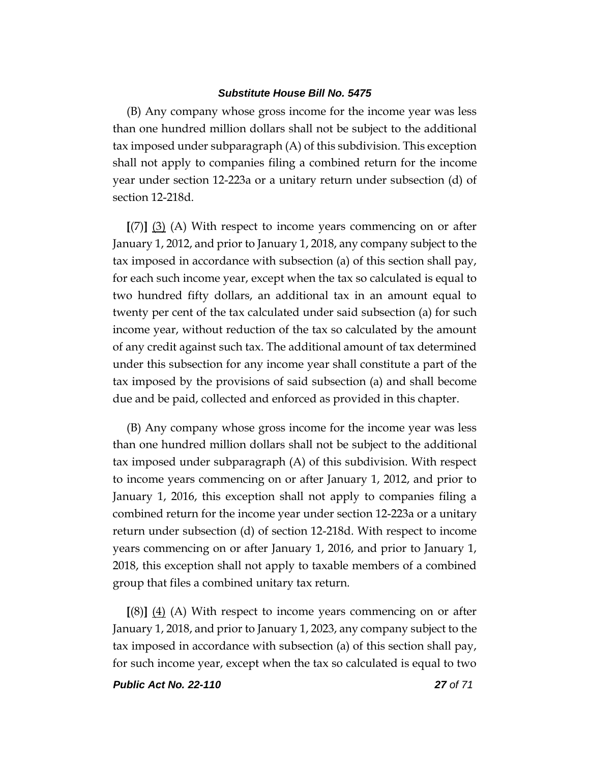(B) Any company whose gross income for the income year was less than one hundred million dollars shall not be subject to the additional tax imposed under subparagraph (A) of this subdivision. This exception shall not apply to companies filing a combined return for the income year under section 12-223a or a unitary return under subsection (d) of section 12-218d.

**[**(7)**]** (3) (A) With respect to income years commencing on or after January 1, 2012, and prior to January 1, 2018, any company subject to the tax imposed in accordance with subsection (a) of this section shall pay, for each such income year, except when the tax so calculated is equal to two hundred fifty dollars, an additional tax in an amount equal to twenty per cent of the tax calculated under said subsection (a) for such income year, without reduction of the tax so calculated by the amount of any credit against such tax. The additional amount of tax determined under this subsection for any income year shall constitute a part of the tax imposed by the provisions of said subsection (a) and shall become due and be paid, collected and enforced as provided in this chapter.

(B) Any company whose gross income for the income year was less than one hundred million dollars shall not be subject to the additional tax imposed under subparagraph (A) of this subdivision. With respect to income years commencing on or after January 1, 2012, and prior to January 1, 2016, this exception shall not apply to companies filing a combined return for the income year under section 12-223a or a unitary return under subsection (d) of section 12-218d. With respect to income years commencing on or after January 1, 2016, and prior to January 1, 2018, this exception shall not apply to taxable members of a combined group that files a combined unitary tax return.

**[**(8)**]** (4) (A) With respect to income years commencing on or after January 1, 2018, and prior to January 1, 2023, any company subject to the tax imposed in accordance with subsection (a) of this section shall pay, for such income year, except when the tax so calculated is equal to two

*Public Act No. 22-110 27 of 71*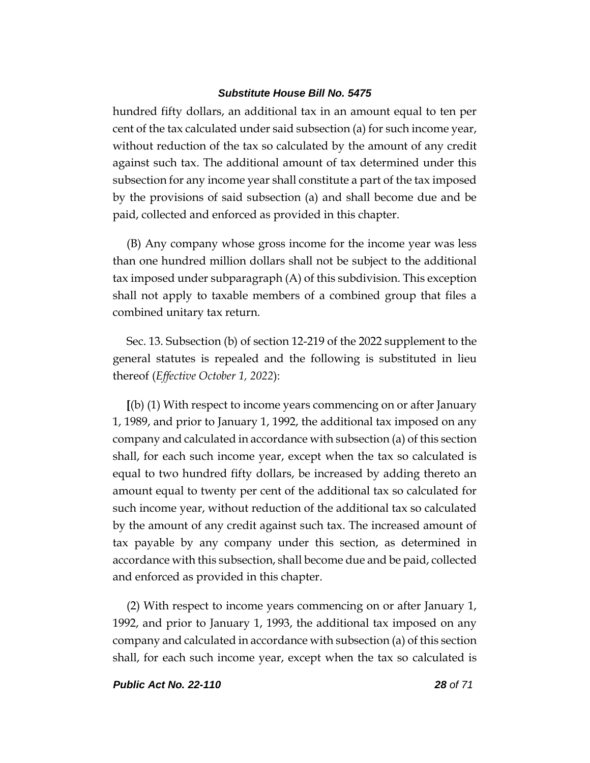hundred fifty dollars, an additional tax in an amount equal to ten per cent of the tax calculated under said subsection (a) for such income year, without reduction of the tax so calculated by the amount of any credit against such tax. The additional amount of tax determined under this subsection for any income year shall constitute a part of the tax imposed by the provisions of said subsection (a) and shall become due and be paid, collected and enforced as provided in this chapter.

(B) Any company whose gross income for the income year was less than one hundred million dollars shall not be subject to the additional tax imposed under subparagraph (A) of this subdivision. This exception shall not apply to taxable members of a combined group that files a combined unitary tax return.

Sec. 13. Subsection (b) of section 12-219 of the 2022 supplement to the general statutes is repealed and the following is substituted in lieu thereof (*Effective October 1, 2022*):

**[**(b) (1) With respect to income years commencing on or after January 1, 1989, and prior to January 1, 1992, the additional tax imposed on any company and calculated in accordance with subsection (a) of this section shall, for each such income year, except when the tax so calculated is equal to two hundred fifty dollars, be increased by adding thereto an amount equal to twenty per cent of the additional tax so calculated for such income year, without reduction of the additional tax so calculated by the amount of any credit against such tax. The increased amount of tax payable by any company under this section, as determined in accordance with this subsection, shall become due and be paid, collected and enforced as provided in this chapter.

(2) With respect to income years commencing on or after January 1, 1992, and prior to January 1, 1993, the additional tax imposed on any company and calculated in accordance with subsection (a) of this section shall, for each such income year, except when the tax so calculated is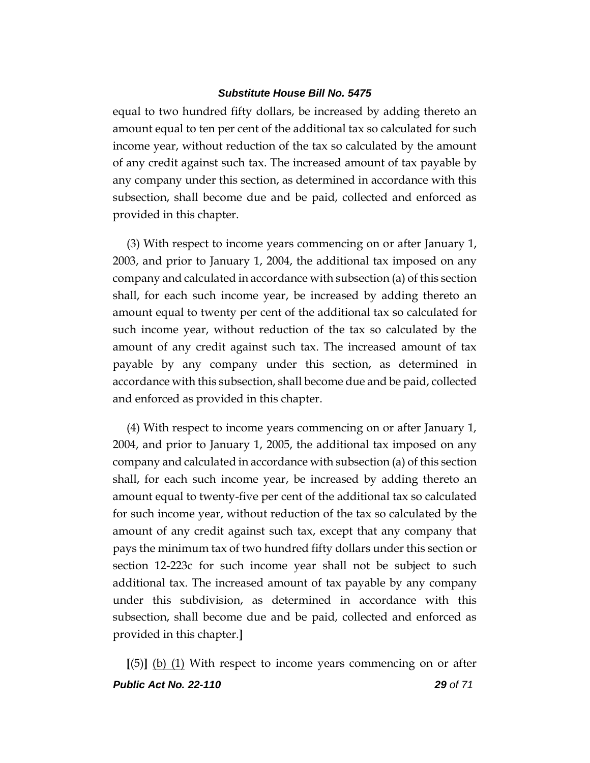equal to two hundred fifty dollars, be increased by adding thereto an amount equal to ten per cent of the additional tax so calculated for such income year, without reduction of the tax so calculated by the amount of any credit against such tax. The increased amount of tax payable by any company under this section, as determined in accordance with this subsection, shall become due and be paid, collected and enforced as provided in this chapter.

(3) With respect to income years commencing on or after January 1, 2003, and prior to January 1, 2004, the additional tax imposed on any company and calculated in accordance with subsection (a) of this section shall, for each such income year, be increased by adding thereto an amount equal to twenty per cent of the additional tax so calculated for such income year, without reduction of the tax so calculated by the amount of any credit against such tax. The increased amount of tax payable by any company under this section, as determined in accordance with this subsection, shall become due and be paid, collected and enforced as provided in this chapter.

(4) With respect to income years commencing on or after January 1, 2004, and prior to January 1, 2005, the additional tax imposed on any company and calculated in accordance with subsection (a) of this section shall, for each such income year, be increased by adding thereto an amount equal to twenty-five per cent of the additional tax so calculated for such income year, without reduction of the tax so calculated by the amount of any credit against such tax, except that any company that pays the minimum tax of two hundred fifty dollars under this section or section 12-223c for such income year shall not be subject to such additional tax. The increased amount of tax payable by any company under this subdivision, as determined in accordance with this subsection, shall become due and be paid, collected and enforced as provided in this chapter.**]**

*Public Act No. 22-110 29 of 71* **[**(5)**]** (b) (1) With respect to income years commencing on or after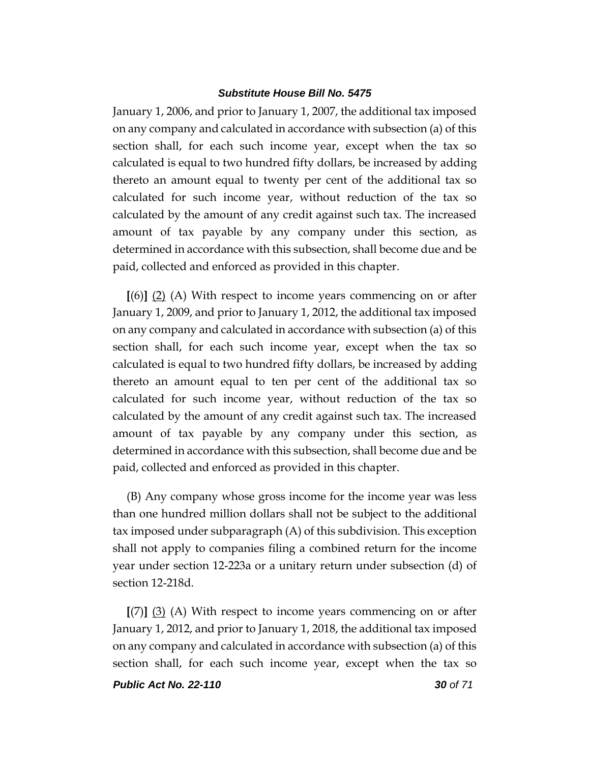January 1, 2006, and prior to January 1, 2007, the additional tax imposed on any company and calculated in accordance with subsection (a) of this section shall, for each such income year, except when the tax so calculated is equal to two hundred fifty dollars, be increased by adding thereto an amount equal to twenty per cent of the additional tax so calculated for such income year, without reduction of the tax so calculated by the amount of any credit against such tax. The increased amount of tax payable by any company under this section, as determined in accordance with this subsection, shall become due and be paid, collected and enforced as provided in this chapter.

**[**(6)**]** (2) (A) With respect to income years commencing on or after January 1, 2009, and prior to January 1, 2012, the additional tax imposed on any company and calculated in accordance with subsection (a) of this section shall, for each such income year, except when the tax so calculated is equal to two hundred fifty dollars, be increased by adding thereto an amount equal to ten per cent of the additional tax so calculated for such income year, without reduction of the tax so calculated by the amount of any credit against such tax. The increased amount of tax payable by any company under this section, as determined in accordance with this subsection, shall become due and be paid, collected and enforced as provided in this chapter.

(B) Any company whose gross income for the income year was less than one hundred million dollars shall not be subject to the additional tax imposed under subparagraph (A) of this subdivision. This exception shall not apply to companies filing a combined return for the income year under section 12-223a or a unitary return under subsection (d) of section 12-218d.

**[**(7)**]** (3) (A) With respect to income years commencing on or after January 1, 2012, and prior to January 1, 2018, the additional tax imposed on any company and calculated in accordance with subsection (a) of this section shall, for each such income year, except when the tax so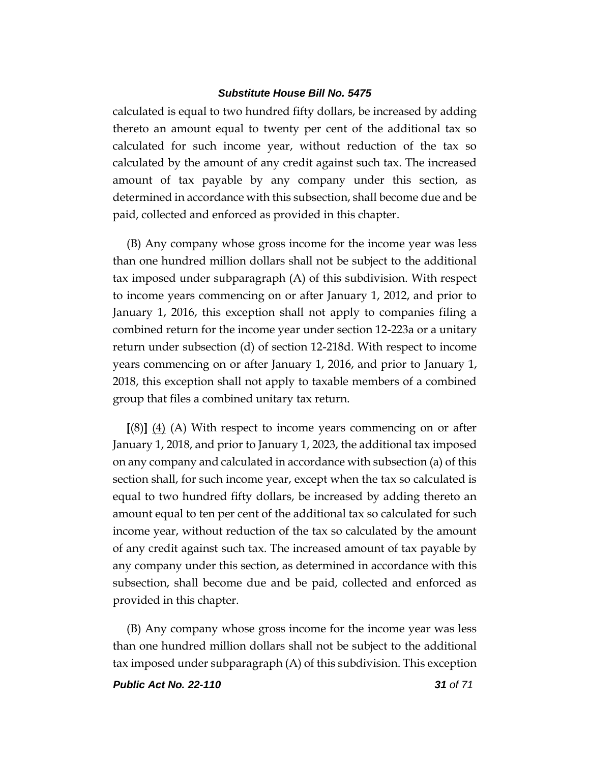calculated is equal to two hundred fifty dollars, be increased by adding thereto an amount equal to twenty per cent of the additional tax so calculated for such income year, without reduction of the tax so calculated by the amount of any credit against such tax. The increased amount of tax payable by any company under this section, as determined in accordance with this subsection, shall become due and be paid, collected and enforced as provided in this chapter.

(B) Any company whose gross income for the income year was less than one hundred million dollars shall not be subject to the additional tax imposed under subparagraph (A) of this subdivision. With respect to income years commencing on or after January 1, 2012, and prior to January 1, 2016, this exception shall not apply to companies filing a combined return for the income year under section 12-223a or a unitary return under subsection (d) of section 12-218d. With respect to income years commencing on or after January 1, 2016, and prior to January 1, 2018, this exception shall not apply to taxable members of a combined group that files a combined unitary tax return.

**[**(8)**]** (4) (A) With respect to income years commencing on or after January 1, 2018, and prior to January 1, 2023, the additional tax imposed on any company and calculated in accordance with subsection (a) of this section shall, for such income year, except when the tax so calculated is equal to two hundred fifty dollars, be increased by adding thereto an amount equal to ten per cent of the additional tax so calculated for such income year, without reduction of the tax so calculated by the amount of any credit against such tax. The increased amount of tax payable by any company under this section, as determined in accordance with this subsection, shall become due and be paid, collected and enforced as provided in this chapter.

(B) Any company whose gross income for the income year was less than one hundred million dollars shall not be subject to the additional tax imposed under subparagraph (A) of this subdivision. This exception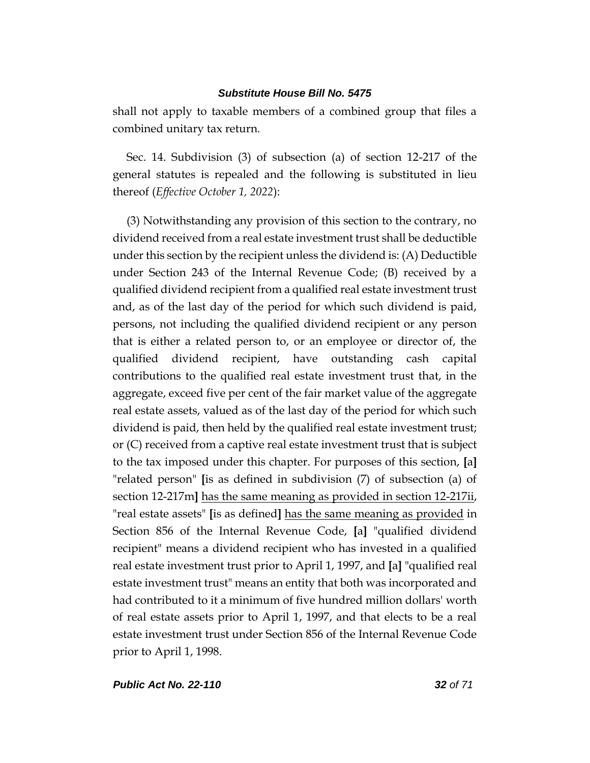shall not apply to taxable members of a combined group that files a combined unitary tax return.

Sec. 14. Subdivision (3) of subsection (a) of section 12-217 of the general statutes is repealed and the following is substituted in lieu thereof (*Effective October 1, 2022*):

(3) Notwithstanding any provision of this section to the contrary, no dividend received from a real estate investment trust shall be deductible under this section by the recipient unless the dividend is: (A) Deductible under Section 243 of the Internal Revenue Code; (B) received by a qualified dividend recipient from a qualified real estate investment trust and, as of the last day of the period for which such dividend is paid, persons, not including the qualified dividend recipient or any person that is either a related person to, or an employee or director of, the qualified dividend recipient, have outstanding cash capital contributions to the qualified real estate investment trust that, in the aggregate, exceed five per cent of the fair market value of the aggregate real estate assets, valued as of the last day of the period for which such dividend is paid, then held by the qualified real estate investment trust; or (C) received from a captive real estate investment trust that is subject to the tax imposed under this chapter. For purposes of this section, **[**a**]** "related person" **[**is as defined in subdivision (7) of subsection (a) of section 12-217m**]** has the same meaning as provided in section 12-217ii, "real estate assets" **[**is as defined**]** has the same meaning as provided in Section 856 of the Internal Revenue Code, **[**a**]** "qualified dividend recipient" means a dividend recipient who has invested in a qualified real estate investment trust prior to April 1, 1997, and **[**a**]** "qualified real estate investment trust" means an entity that both was incorporated and had contributed to it a minimum of five hundred million dollars' worth of real estate assets prior to April 1, 1997, and that elects to be a real estate investment trust under Section 856 of the Internal Revenue Code prior to April 1, 1998.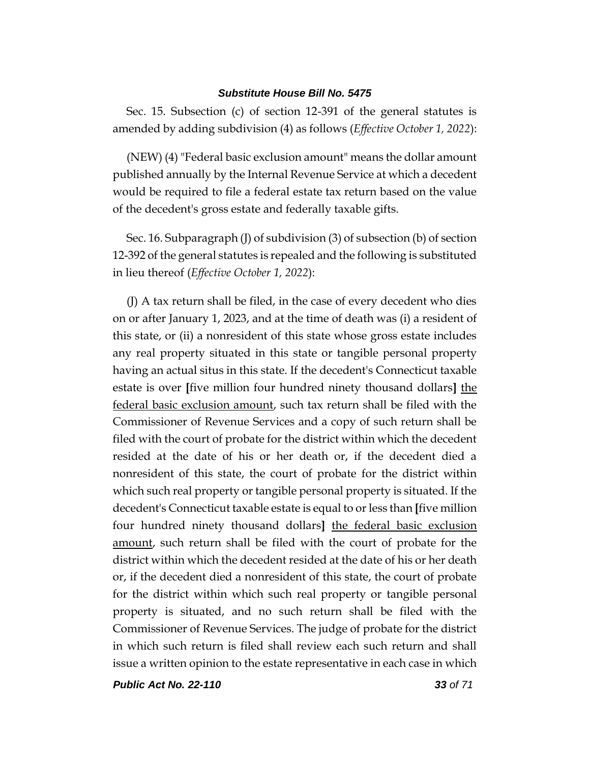Sec. 15. Subsection (c) of section 12-391 of the general statutes is amended by adding subdivision (4) as follows (*Effective October 1, 2022*):

(NEW) (4) "Federal basic exclusion amount" means the dollar amount published annually by the Internal Revenue Service at which a decedent would be required to file a federal estate tax return based on the value of the decedent's gross estate and federally taxable gifts.

Sec. 16. Subparagraph (J) of subdivision (3) of subsection (b) of section 12-392 of the general statutes is repealed and the following is substituted in lieu thereof (*Effective October 1, 2022*):

(J) A tax return shall be filed, in the case of every decedent who dies on or after January 1, 2023, and at the time of death was (i) a resident of this state, or (ii) a nonresident of this state whose gross estate includes any real property situated in this state or tangible personal property having an actual situs in this state. If the decedent's Connecticut taxable estate is over **[**five million four hundred ninety thousand dollars**]** the federal basic exclusion amount, such tax return shall be filed with the Commissioner of Revenue Services and a copy of such return shall be filed with the court of probate for the district within which the decedent resided at the date of his or her death or, if the decedent died a nonresident of this state, the court of probate for the district within which such real property or tangible personal property is situated. If the decedent's Connecticut taxable estate is equal to or less than **[**five million four hundred ninety thousand dollars**]** the federal basic exclusion amount, such return shall be filed with the court of probate for the district within which the decedent resided at the date of his or her death or, if the decedent died a nonresident of this state, the court of probate for the district within which such real property or tangible personal property is situated, and no such return shall be filed with the Commissioner of Revenue Services. The judge of probate for the district in which such return is filed shall review each such return and shall issue a written opinion to the estate representative in each case in which

*Public Act No. 22-110 33 of 71*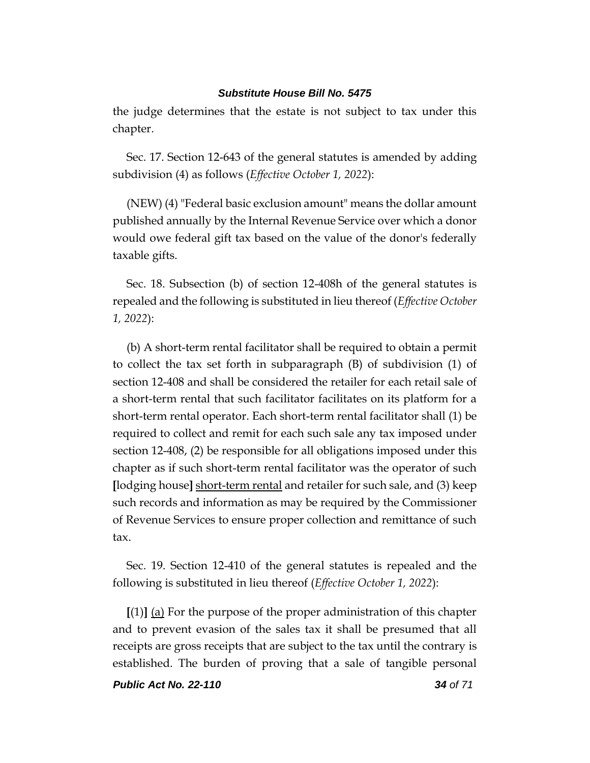the judge determines that the estate is not subject to tax under this chapter.

Sec. 17. Section 12-643 of the general statutes is amended by adding subdivision (4) as follows (*Effective October 1, 2022*):

(NEW) (4) "Federal basic exclusion amount" means the dollar amount published annually by the Internal Revenue Service over which a donor would owe federal gift tax based on the value of the donor's federally taxable gifts.

Sec. 18. Subsection (b) of section 12-408h of the general statutes is repealed and the following is substituted in lieu thereof (*Effective October 1, 2022*):

(b) A short-term rental facilitator shall be required to obtain a permit to collect the tax set forth in subparagraph (B) of subdivision (1) of section 12-408 and shall be considered the retailer for each retail sale of a short-term rental that such facilitator facilitates on its platform for a short-term rental operator. Each short-term rental facilitator shall (1) be required to collect and remit for each such sale any tax imposed under section 12-408, (2) be responsible for all obligations imposed under this chapter as if such short-term rental facilitator was the operator of such **[**lodging house**]** short-term rental and retailer for such sale, and (3) keep such records and information as may be required by the Commissioner of Revenue Services to ensure proper collection and remittance of such tax.

Sec. 19. Section 12-410 of the general statutes is repealed and the following is substituted in lieu thereof (*Effective October 1, 2022*):

**[**(1)**]** (a) For the purpose of the proper administration of this chapter and to prevent evasion of the sales tax it shall be presumed that all receipts are gross receipts that are subject to the tax until the contrary is established. The burden of proving that a sale of tangible personal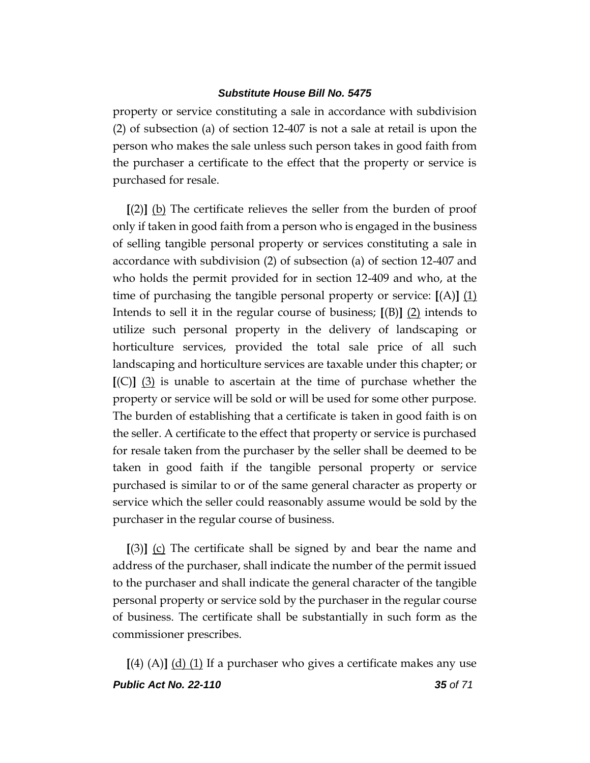property or service constituting a sale in accordance with subdivision (2) of subsection (a) of section 12-407 is not a sale at retail is upon the person who makes the sale unless such person takes in good faith from the purchaser a certificate to the effect that the property or service is purchased for resale.

**[**(2)**]** (b) The certificate relieves the seller from the burden of proof only if taken in good faith from a person who is engaged in the business of selling tangible personal property or services constituting a sale in accordance with subdivision (2) of subsection (a) of section 12-407 and who holds the permit provided for in section 12-409 and who, at the time of purchasing the tangible personal property or service: **[**(A)**]** (1) Intends to sell it in the regular course of business;  $[(B)]$  (2) intends to utilize such personal property in the delivery of landscaping or horticulture services, provided the total sale price of all such landscaping and horticulture services are taxable under this chapter; or **[**(C)**]** (3) is unable to ascertain at the time of purchase whether the property or service will be sold or will be used for some other purpose. The burden of establishing that a certificate is taken in good faith is on the seller. A certificate to the effect that property or service is purchased for resale taken from the purchaser by the seller shall be deemed to be taken in good faith if the tangible personal property or service purchased is similar to or of the same general character as property or service which the seller could reasonably assume would be sold by the purchaser in the regular course of business.

**[**(3)**]** (c) The certificate shall be signed by and bear the name and address of the purchaser, shall indicate the number of the permit issued to the purchaser and shall indicate the general character of the tangible personal property or service sold by the purchaser in the regular course of business. The certificate shall be substantially in such form as the commissioner prescribes.

*Public Act No. 22-110 35 of 71* **[**(4) (A)**]** (d) (1) If a purchaser who gives a certificate makes any use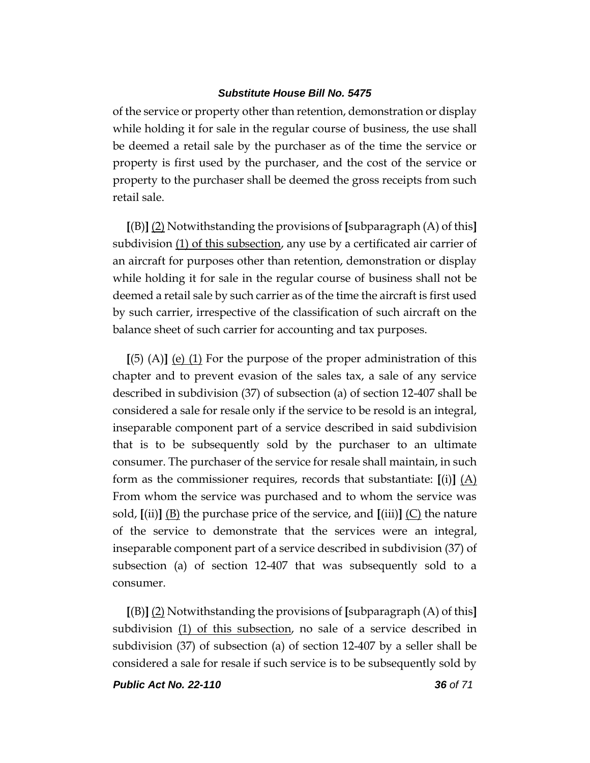of the service or property other than retention, demonstration or display while holding it for sale in the regular course of business, the use shall be deemed a retail sale by the purchaser as of the time the service or property is first used by the purchaser, and the cost of the service or property to the purchaser shall be deemed the gross receipts from such retail sale.

**[**(B)**]** (2) Notwithstanding the provisions of **[**subparagraph (A) of this**]** subdivision (1) of this subsection, any use by a certificated air carrier of an aircraft for purposes other than retention, demonstration or display while holding it for sale in the regular course of business shall not be deemed a retail sale by such carrier as of the time the aircraft is first used by such carrier, irrespective of the classification of such aircraft on the balance sheet of such carrier for accounting and tax purposes.

**[**(5) (A)**]** (e) (1) For the purpose of the proper administration of this chapter and to prevent evasion of the sales tax, a sale of any service described in subdivision (37) of subsection (a) of section 12-407 shall be considered a sale for resale only if the service to be resold is an integral, inseparable component part of a service described in said subdivision that is to be subsequently sold by the purchaser to an ultimate consumer. The purchaser of the service for resale shall maintain, in such form as the commissioner requires, records that substantiate:  $[(i)] (A)$ From whom the service was purchased and to whom the service was sold,  $\left[\text{(ii)}\right]$  (B) the purchase price of the service, and  $\left[\text{(iii)}\right]$  (C) the nature of the service to demonstrate that the services were an integral, inseparable component part of a service described in subdivision (37) of subsection (a) of section 12-407 that was subsequently sold to a consumer.

**[**(B)**]** (2) Notwithstanding the provisions of **[**subparagraph (A) of this**]** subdivision (1) of this subsection, no sale of a service described in subdivision (37) of subsection (a) of section 12-407 by a seller shall be considered a sale for resale if such service is to be subsequently sold by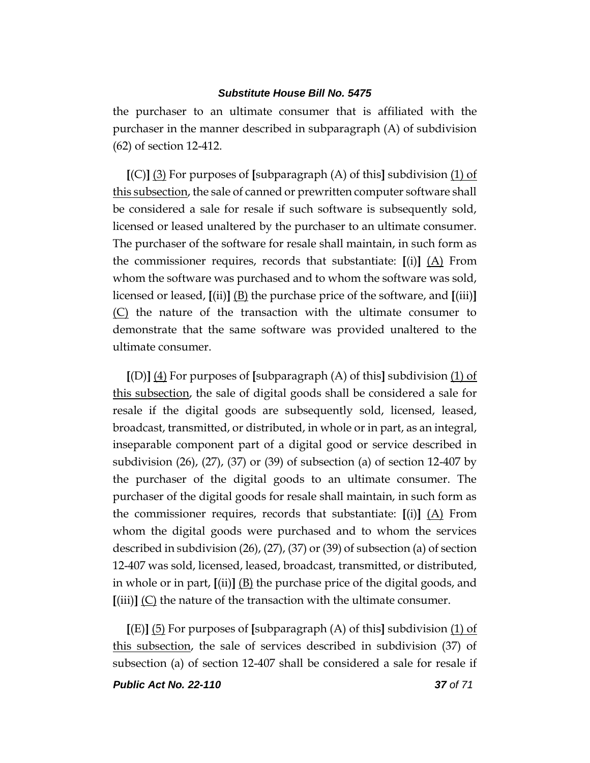the purchaser to an ultimate consumer that is affiliated with the purchaser in the manner described in subparagraph (A) of subdivision (62) of section 12-412.

**[**(C)**]** (3) For purposes of **[**subparagraph (A) of this**]** subdivision (1) of this subsection, the sale of canned or prewritten computer software shall be considered a sale for resale if such software is subsequently sold, licensed or leased unaltered by the purchaser to an ultimate consumer. The purchaser of the software for resale shall maintain, in such form as the commissioner requires, records that substantiate:  $[(i)]$   $(A)$  From whom the software was purchased and to whom the software was sold, licensed or leased, **[**(ii)**]** (B) the purchase price of the software, and **[**(iii)**]** (C) the nature of the transaction with the ultimate consumer to demonstrate that the same software was provided unaltered to the ultimate consumer.

**[**(D)**]** (4) For purposes of **[**subparagraph (A) of this**]** subdivision (1) of this subsection, the sale of digital goods shall be considered a sale for resale if the digital goods are subsequently sold, licensed, leased, broadcast, transmitted, or distributed, in whole or in part, as an integral, inseparable component part of a digital good or service described in subdivision  $(26)$ ,  $(27)$ ,  $(37)$  or  $(39)$  of subsection  $(a)$  of section 12-407 by the purchaser of the digital goods to an ultimate consumer. The purchaser of the digital goods for resale shall maintain, in such form as the commissioner requires, records that substantiate: **[**(i)**]** (A) From whom the digital goods were purchased and to whom the services described in subdivision (26), (27), (37) or (39) of subsection (a) of section 12-407 was sold, licensed, leased, broadcast, transmitted, or distributed, in whole or in part, **[**(ii)**]** (B) the purchase price of the digital goods, and **[**(iii)**]** (C) the nature of the transaction with the ultimate consumer.

**[**(E)**]** (5) For purposes of **[**subparagraph (A) of this**]** subdivision (1) of this subsection, the sale of services described in subdivision (37) of subsection (a) of section 12-407 shall be considered a sale for resale if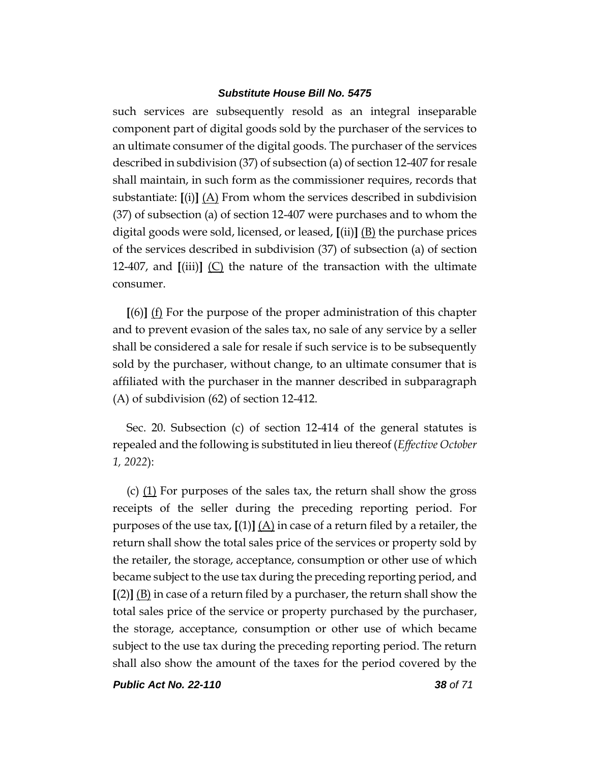such services are subsequently resold as an integral inseparable component part of digital goods sold by the purchaser of the services to an ultimate consumer of the digital goods. The purchaser of the services described in subdivision (37) of subsection (a) of section 12-407 for resale shall maintain, in such form as the commissioner requires, records that substantiate: **[**(i)**]** (A) From whom the services described in subdivision (37) of subsection (a) of section 12-407 were purchases and to whom the digital goods were sold, licensed, or leased, **[**(ii)**]** (B) the purchase prices of the services described in subdivision (37) of subsection (a) of section 12-407, and **[**(iii)**]** (C) the nature of the transaction with the ultimate consumer.

**[**(6)**]** (f) For the purpose of the proper administration of this chapter and to prevent evasion of the sales tax, no sale of any service by a seller shall be considered a sale for resale if such service is to be subsequently sold by the purchaser, without change, to an ultimate consumer that is affiliated with the purchaser in the manner described in subparagraph (A) of subdivision (62) of section 12-412.

Sec. 20. Subsection (c) of section 12-414 of the general statutes is repealed and the following is substituted in lieu thereof (*Effective October 1, 2022*):

(c)  $(1)$  For purposes of the sales tax, the return shall show the gross receipts of the seller during the preceding reporting period. For purposes of the use tax,  $[(1)] (A)$  in case of a return filed by a retailer, the return shall show the total sales price of the services or property sold by the retailer, the storage, acceptance, consumption or other use of which became subject to the use tax during the preceding reporting period, and **[**(2)**]** (B) in case of a return filed by a purchaser, the return shall show the total sales price of the service or property purchased by the purchaser, the storage, acceptance, consumption or other use of which became subject to the use tax during the preceding reporting period. The return shall also show the amount of the taxes for the period covered by the

*Public Act No. 22-110 38 of 71*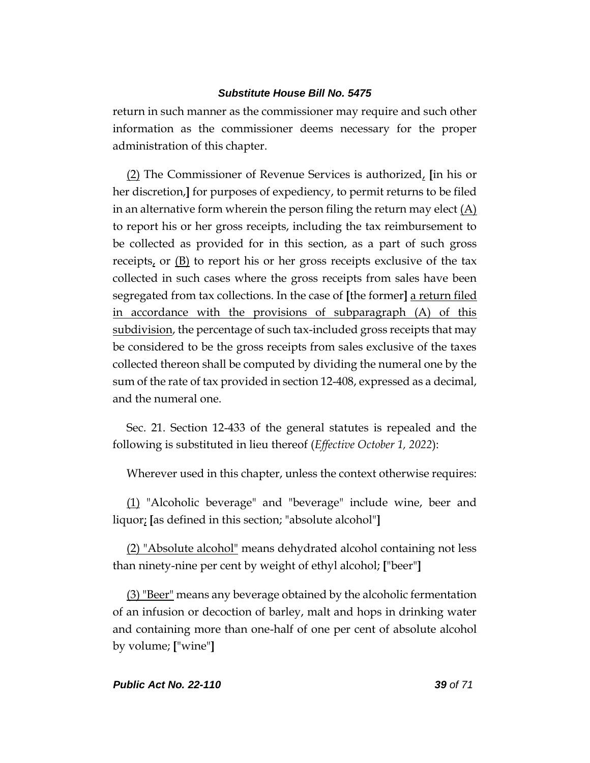return in such manner as the commissioner may require and such other information as the commissioner deems necessary for the proper administration of this chapter.

(2) The Commissioner of Revenue Services is authorized, **[**in his or her discretion,**]** for purposes of expediency, to permit returns to be filed in an alternative form wherein the person filing the return may elect  $(A)$ to report his or her gross receipts, including the tax reimbursement to be collected as provided for in this section, as a part of such gross receipts, or  $(B)$  to report his or her gross receipts exclusive of the tax collected in such cases where the gross receipts from sales have been segregated from tax collections. In the case of **[**the former**]** a return filed in accordance with the provisions of subparagraph (A) of this subdivision, the percentage of such tax-included gross receipts that may be considered to be the gross receipts from sales exclusive of the taxes collected thereon shall be computed by dividing the numeral one by the sum of the rate of tax provided in section 12-408, expressed as a decimal, and the numeral one.

Sec. 21. Section 12-433 of the general statutes is repealed and the following is substituted in lieu thereof (*Effective October 1, 2022*):

Wherever used in this chapter, unless the context otherwise requires:

(1) "Alcoholic beverage" and "beverage" include wine, beer and liquor; **[**as defined in this section; "absolute alcohol"**]**

(2) "Absolute alcohol" means dehydrated alcohol containing not less than ninety-nine per cent by weight of ethyl alcohol; **[**"beer"**]**

 $(3)$  "Beer" means any beverage obtained by the alcoholic fermentation of an infusion or decoction of barley, malt and hops in drinking water and containing more than one-half of one per cent of absolute alcohol by volume; **[**"wine"**]**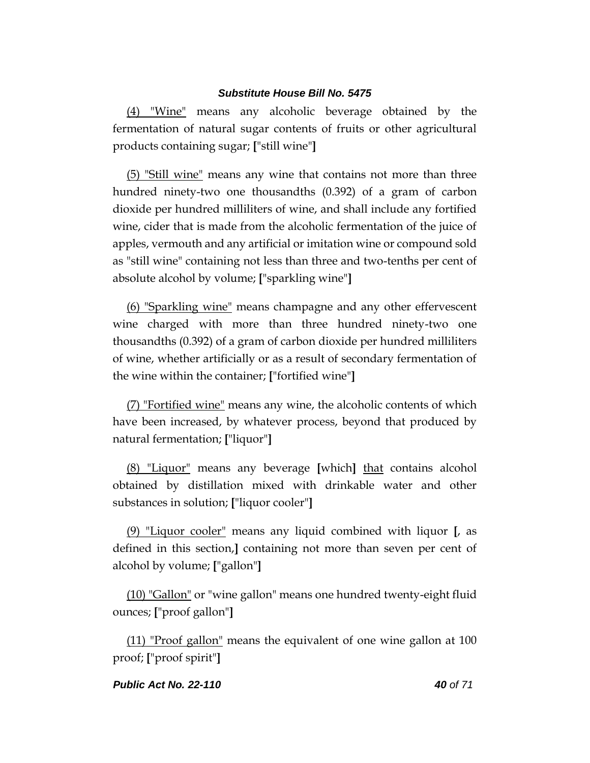(4) "Wine" means any alcoholic beverage obtained by the fermentation of natural sugar contents of fruits or other agricultural products containing sugar; **[**"still wine"**]**

(5) "Still wine" means any wine that contains not more than three hundred ninety-two one thousandths (0.392) of a gram of carbon dioxide per hundred milliliters of wine, and shall include any fortified wine, cider that is made from the alcoholic fermentation of the juice of apples, vermouth and any artificial or imitation wine or compound sold as "still wine" containing not less than three and two-tenths per cent of absolute alcohol by volume; **[**"sparkling wine"**]**

(6) "Sparkling wine" means champagne and any other effervescent wine charged with more than three hundred ninety-two one thousandths (0.392) of a gram of carbon dioxide per hundred milliliters of wine, whether artificially or as a result of secondary fermentation of the wine within the container; **[**"fortified wine"**]**

(7) "Fortified wine" means any wine, the alcoholic contents of which have been increased, by whatever process, beyond that produced by natural fermentation; **[**"liquor"**]**

(8) "Liquor" means any beverage **[**which**]** that contains alcohol obtained by distillation mixed with drinkable water and other substances in solution; **[**"liquor cooler"**]**

(9) "Liquor cooler" means any liquid combined with liquor **[**, as defined in this section,**]** containing not more than seven per cent of alcohol by volume; **[**"gallon"**]**

(10) "Gallon" or "wine gallon" means one hundred twenty-eight fluid ounces; **[**"proof gallon"**]**

(11) "Proof gallon" means the equivalent of one wine gallon at 100 proof; **[**"proof spirit"**]**

### *Public Act No. 22-110 40 of 71*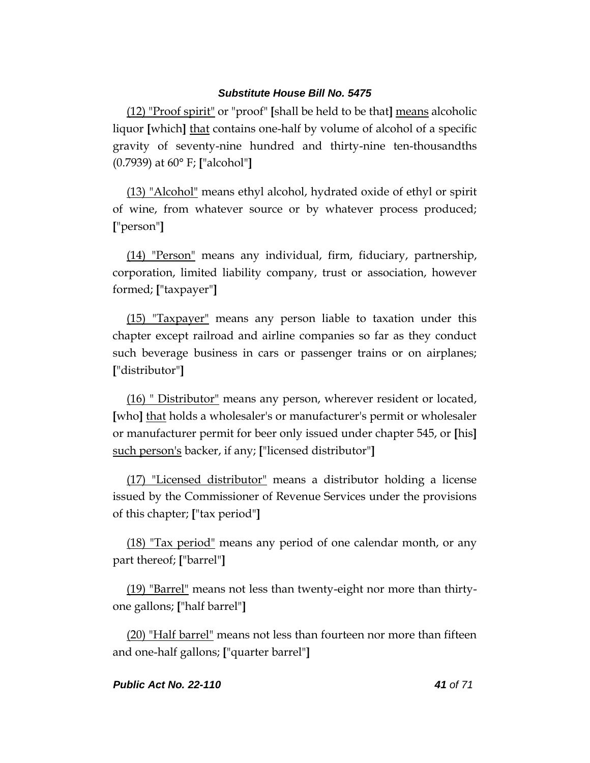(12) "Proof spirit" or "proof" **[**shall be held to be that**]** means alcoholic liquor **[**which**]** that contains one-half by volume of alcohol of a specific gravity of seventy-nine hundred and thirty-nine ten-thousandths (0.7939) at 60**°** F; **[**"alcohol"**]**

(13) "Alcohol" means ethyl alcohol, hydrated oxide of ethyl or spirit of wine, from whatever source or by whatever process produced; **[**"person"**]**

(14) "Person" means any individual, firm, fiduciary, partnership, corporation, limited liability company, trust or association, however formed; **[**"taxpayer"**]**

(15) "Taxpayer" means any person liable to taxation under this chapter except railroad and airline companies so far as they conduct such beverage business in cars or passenger trains or on airplanes; **[**"distributor"**]**

(16) " Distributor" means any person, wherever resident or located, **[**who**]** that holds a wholesaler's or manufacturer's permit or wholesaler or manufacturer permit for beer only issued under chapter 545, or **[**his**]** such person's backer, if any; **[**"licensed distributor"**]**

(17) "Licensed distributor" means a distributor holding a license issued by the Commissioner of Revenue Services under the provisions of this chapter; **[**"tax period"**]**

(18) "Tax period" means any period of one calendar month, or any part thereof; **[**"barrel"**]**

(19) "Barrel" means not less than twenty-eight nor more than thirtyone gallons; **[**"half barrel"**]**

(20) "Half barrel" means not less than fourteen nor more than fifteen and one-half gallons; **[**"quarter barrel"**]**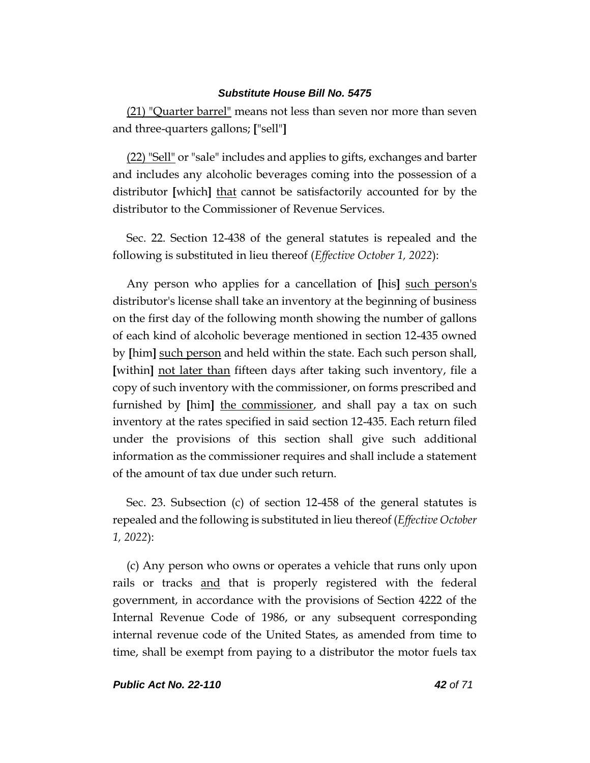(21) "Quarter barrel" means not less than seven nor more than seven and three-quarters gallons; **[**"sell"**]**

(22) "Sell" or "sale" includes and applies to gifts, exchanges and barter and includes any alcoholic beverages coming into the possession of a distributor **[**which**]** that cannot be satisfactorily accounted for by the distributor to the Commissioner of Revenue Services.

Sec. 22. Section 12-438 of the general statutes is repealed and the following is substituted in lieu thereof (*Effective October 1, 2022*):

Any person who applies for a cancellation of **[**his**]** such person's distributor's license shall take an inventory at the beginning of business on the first day of the following month showing the number of gallons of each kind of alcoholic beverage mentioned in section 12-435 owned by **[**him**]** such person and held within the state. Each such person shall, **[**within**]** not later than fifteen days after taking such inventory, file a copy of such inventory with the commissioner, on forms prescribed and furnished by **[**him**]** the commissioner, and shall pay a tax on such inventory at the rates specified in said section 12-435. Each return filed under the provisions of this section shall give such additional information as the commissioner requires and shall include a statement of the amount of tax due under such return.

Sec. 23. Subsection (c) of section 12-458 of the general statutes is repealed and the following is substituted in lieu thereof (*Effective October 1, 2022*):

(c) Any person who owns or operates a vehicle that runs only upon rails or tracks and that is properly registered with the federal government, in accordance with the provisions of Section 4222 of the Internal Revenue Code of 1986, or any subsequent corresponding internal revenue code of the United States, as amended from time to time, shall be exempt from paying to a distributor the motor fuels tax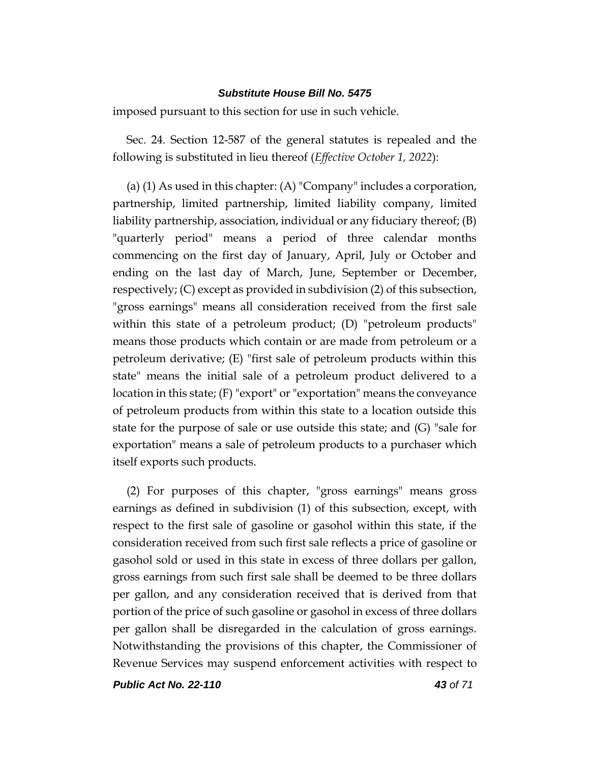imposed pursuant to this section for use in such vehicle.

Sec. 24. Section 12-587 of the general statutes is repealed and the following is substituted in lieu thereof (*Effective October 1, 2022*):

(a) (1) As used in this chapter: (A) "Company" includes a corporation, partnership, limited partnership, limited liability company, limited liability partnership, association, individual or any fiduciary thereof; (B) "quarterly period" means a period of three calendar months commencing on the first day of January, April, July or October and ending on the last day of March, June, September or December, respectively; (C) except as provided in subdivision (2) of this subsection, "gross earnings" means all consideration received from the first sale within this state of a petroleum product; (D) "petroleum products" means those products which contain or are made from petroleum or a petroleum derivative; (E) "first sale of petroleum products within this state" means the initial sale of a petroleum product delivered to a location in this state; (F) "export" or "exportation" means the conveyance of petroleum products from within this state to a location outside this state for the purpose of sale or use outside this state; and (G) "sale for exportation" means a sale of petroleum products to a purchaser which itself exports such products.

(2) For purposes of this chapter, "gross earnings" means gross earnings as defined in subdivision (1) of this subsection, except, with respect to the first sale of gasoline or gasohol within this state, if the consideration received from such first sale reflects a price of gasoline or gasohol sold or used in this state in excess of three dollars per gallon, gross earnings from such first sale shall be deemed to be three dollars per gallon, and any consideration received that is derived from that portion of the price of such gasoline or gasohol in excess of three dollars per gallon shall be disregarded in the calculation of gross earnings. Notwithstanding the provisions of this chapter, the Commissioner of Revenue Services may suspend enforcement activities with respect to

*Public Act No. 22-110 43 of 71*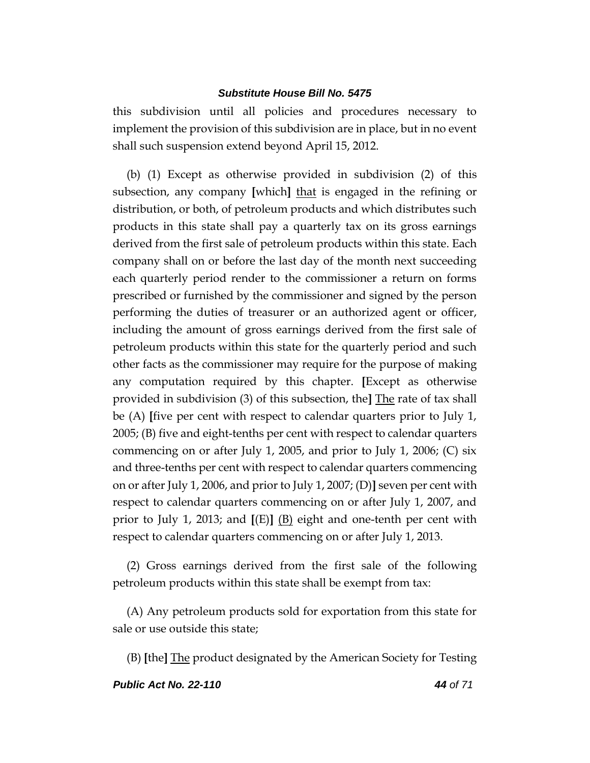this subdivision until all policies and procedures necessary to implement the provision of this subdivision are in place, but in no event shall such suspension extend beyond April 15, 2012.

(b) (1) Except as otherwise provided in subdivision (2) of this subsection, any company **[**which**]** that is engaged in the refining or distribution, or both, of petroleum products and which distributes such products in this state shall pay a quarterly tax on its gross earnings derived from the first sale of petroleum products within this state. Each company shall on or before the last day of the month next succeeding each quarterly period render to the commissioner a return on forms prescribed or furnished by the commissioner and signed by the person performing the duties of treasurer or an authorized agent or officer, including the amount of gross earnings derived from the first sale of petroleum products within this state for the quarterly period and such other facts as the commissioner may require for the purpose of making any computation required by this chapter. **[**Except as otherwise provided in subdivision (3) of this subsection, the**]** The rate of tax shall be (A) **[**five per cent with respect to calendar quarters prior to July 1, 2005; (B) five and eight-tenths per cent with respect to calendar quarters commencing on or after July 1, 2005, and prior to July 1, 2006; (C) six and three-tenths per cent with respect to calendar quarters commencing on or after July 1, 2006, and prior to July 1, 2007; (D)**]** seven per cent with respect to calendar quarters commencing on or after July 1, 2007, and prior to July 1, 2013; and **[**(E)**]** (B) eight and one-tenth per cent with respect to calendar quarters commencing on or after July 1, 2013.

(2) Gross earnings derived from the first sale of the following petroleum products within this state shall be exempt from tax:

(A) Any petroleum products sold for exportation from this state for sale or use outside this state;

(B) **[**the**]** The product designated by the American Society for Testing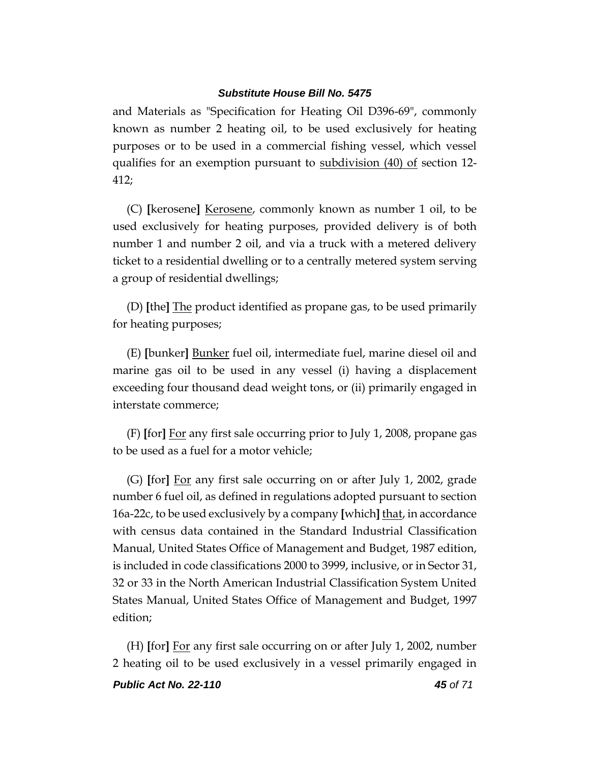and Materials as "Specification for Heating Oil D396-69", commonly known as number 2 heating oil, to be used exclusively for heating purposes or to be used in a commercial fishing vessel, which vessel qualifies for an exemption pursuant to <u>subdivision (40) of</u> section 12-412;

(C) **[**kerosene**]** Kerosene, commonly known as number 1 oil, to be used exclusively for heating purposes, provided delivery is of both number 1 and number 2 oil, and via a truck with a metered delivery ticket to a residential dwelling or to a centrally metered system serving a group of residential dwellings;

(D) **[**the**]** The product identified as propane gas, to be used primarily for heating purposes;

(E) **[**bunker**]** Bunker fuel oil, intermediate fuel, marine diesel oil and marine gas oil to be used in any vessel (i) having a displacement exceeding four thousand dead weight tons, or (ii) primarily engaged in interstate commerce;

(F) **[**for**]** For any first sale occurring prior to July 1, 2008, propane gas to be used as a fuel for a motor vehicle;

(G) **[**for**]** For any first sale occurring on or after July 1, 2002, grade number 6 fuel oil, as defined in regulations adopted pursuant to section 16a-22c, to be used exclusively by a company **[**which**]** that, in accordance with census data contained in the Standard Industrial Classification Manual, United States Office of Management and Budget, 1987 edition, is included in code classifications 2000 to 3999, inclusive, or in Sector 31, 32 or 33 in the North American Industrial Classification System United States Manual, United States Office of Management and Budget, 1997 edition;

(H) **[**for**]** For any first sale occurring on or after July 1, 2002, number 2 heating oil to be used exclusively in a vessel primarily engaged in

*Public Act No. 22-110 45 of 71*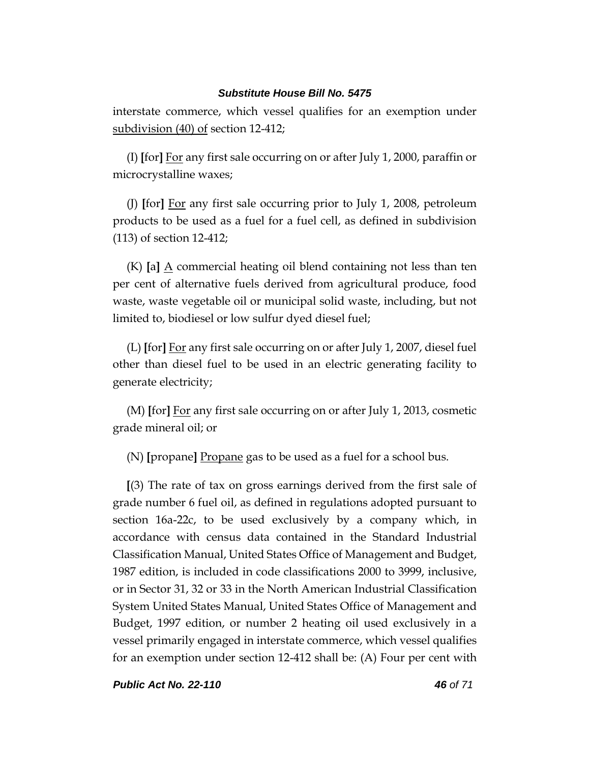interstate commerce, which vessel qualifies for an exemption under subdivision (40) of section 12-412;

(I) **[**for**]** For any first sale occurring on or after July 1, 2000, paraffin or microcrystalline waxes;

(J) **[**for**]** For any first sale occurring prior to July 1, 2008, petroleum products to be used as a fuel for a fuel cell, as defined in subdivision (113) of section 12-412;

 $(K)$  [a]  $\triangle$  commercial heating oil blend containing not less than ten per cent of alternative fuels derived from agricultural produce, food waste, waste vegetable oil or municipal solid waste, including, but not limited to, biodiesel or low sulfur dyed diesel fuel;

(L) **[**for**]** For any first sale occurring on or after July 1, 2007, diesel fuel other than diesel fuel to be used in an electric generating facility to generate electricity;

(M) **[**for**]** For any first sale occurring on or after July 1, 2013, cosmetic grade mineral oil; or

(N) **[**propane**]** Propane gas to be used as a fuel for a school bus.

**[**(3) The rate of tax on gross earnings derived from the first sale of grade number 6 fuel oil, as defined in regulations adopted pursuant to section 16a-22c, to be used exclusively by a company which, in accordance with census data contained in the Standard Industrial Classification Manual, United States Office of Management and Budget, 1987 edition, is included in code classifications 2000 to 3999, inclusive, or in Sector 31, 32 or 33 in the North American Industrial Classification System United States Manual, United States Office of Management and Budget, 1997 edition, or number 2 heating oil used exclusively in a vessel primarily engaged in interstate commerce, which vessel qualifies for an exemption under section 12-412 shall be: (A) Four per cent with

*Public Act No. 22-110 46 of 71*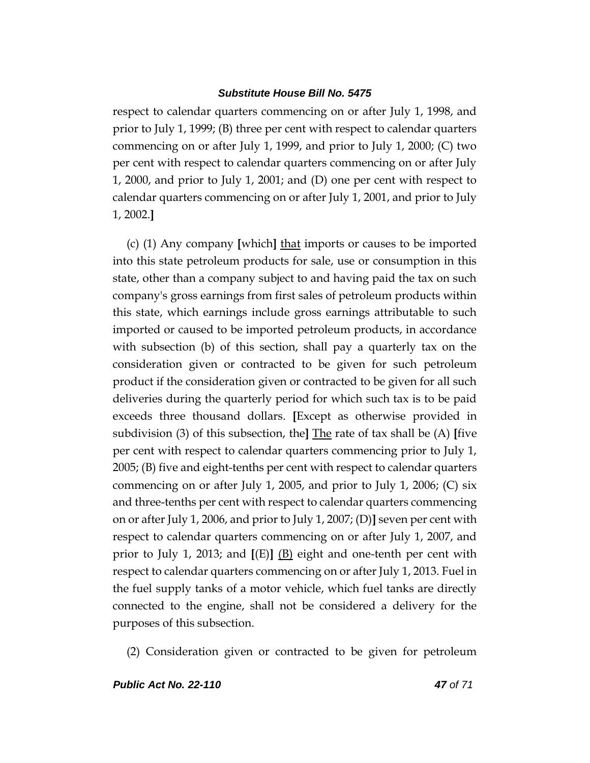respect to calendar quarters commencing on or after July 1, 1998, and prior to July 1, 1999; (B) three per cent with respect to calendar quarters commencing on or after July 1, 1999, and prior to July 1, 2000; (C) two per cent with respect to calendar quarters commencing on or after July 1, 2000, and prior to July 1, 2001; and (D) one per cent with respect to calendar quarters commencing on or after July 1, 2001, and prior to July 1, 2002.**]**

(c) (1) Any company **[**which**]** that imports or causes to be imported into this state petroleum products for sale, use or consumption in this state, other than a company subject to and having paid the tax on such company's gross earnings from first sales of petroleum products within this state, which earnings include gross earnings attributable to such imported or caused to be imported petroleum products, in accordance with subsection (b) of this section, shall pay a quarterly tax on the consideration given or contracted to be given for such petroleum product if the consideration given or contracted to be given for all such deliveries during the quarterly period for which such tax is to be paid exceeds three thousand dollars. **[**Except as otherwise provided in subdivision (3) of this subsection, the**]** The rate of tax shall be (A) **[**five per cent with respect to calendar quarters commencing prior to July 1, 2005; (B) five and eight-tenths per cent with respect to calendar quarters commencing on or after July 1, 2005, and prior to July 1, 2006; (C) six and three-tenths per cent with respect to calendar quarters commencing on or after July 1, 2006, and prior to July 1, 2007; (D)**]** seven per cent with respect to calendar quarters commencing on or after July 1, 2007, and prior to July 1, 2013; and **[**(E)**]** (B) eight and one-tenth per cent with respect to calendar quarters commencing on or after July 1, 2013. Fuel in the fuel supply tanks of a motor vehicle, which fuel tanks are directly connected to the engine, shall not be considered a delivery for the purposes of this subsection.

(2) Consideration given or contracted to be given for petroleum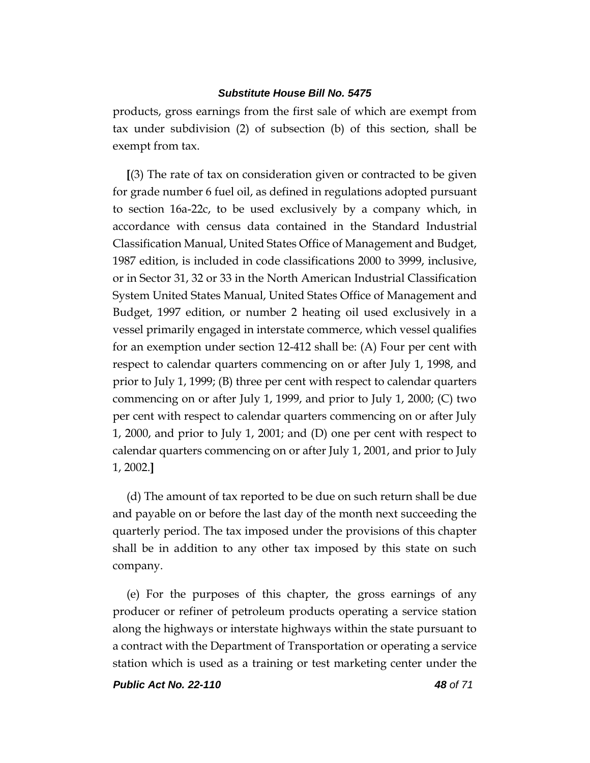products, gross earnings from the first sale of which are exempt from tax under subdivision (2) of subsection (b) of this section, shall be exempt from tax.

**[**(3) The rate of tax on consideration given or contracted to be given for grade number 6 fuel oil, as defined in regulations adopted pursuant to section 16a-22c, to be used exclusively by a company which, in accordance with census data contained in the Standard Industrial Classification Manual, United States Office of Management and Budget, 1987 edition, is included in code classifications 2000 to 3999, inclusive, or in Sector 31, 32 or 33 in the North American Industrial Classification System United States Manual, United States Office of Management and Budget, 1997 edition, or number 2 heating oil used exclusively in a vessel primarily engaged in interstate commerce, which vessel qualifies for an exemption under section 12-412 shall be: (A) Four per cent with respect to calendar quarters commencing on or after July 1, 1998, and prior to July 1, 1999; (B) three per cent with respect to calendar quarters commencing on or after July 1, 1999, and prior to July 1, 2000; (C) two per cent with respect to calendar quarters commencing on or after July 1, 2000, and prior to July 1, 2001; and (D) one per cent with respect to calendar quarters commencing on or after July 1, 2001, and prior to July 1, 2002.**]**

(d) The amount of tax reported to be due on such return shall be due and payable on or before the last day of the month next succeeding the quarterly period. The tax imposed under the provisions of this chapter shall be in addition to any other tax imposed by this state on such company.

(e) For the purposes of this chapter, the gross earnings of any producer or refiner of petroleum products operating a service station along the highways or interstate highways within the state pursuant to a contract with the Department of Transportation or operating a service station which is used as a training or test marketing center under the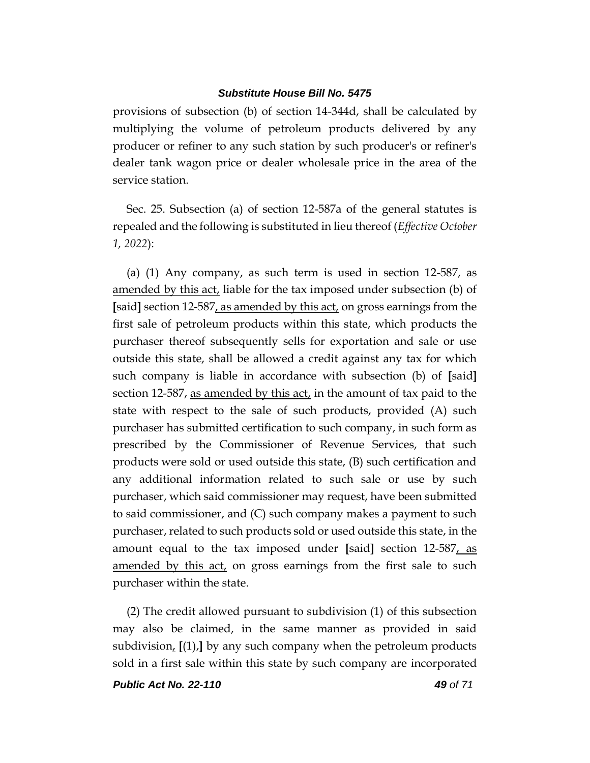provisions of subsection (b) of section 14-344d, shall be calculated by multiplying the volume of petroleum products delivered by any producer or refiner to any such station by such producer's or refiner's dealer tank wagon price or dealer wholesale price in the area of the service station.

Sec. 25. Subsection (a) of section 12-587a of the general statutes is repealed and the following is substituted in lieu thereof (*Effective October 1, 2022*):

(a) (1) Any company, as such term is used in section  $12-587$ , as amended by this act, liable for the tax imposed under subsection (b) of **[**said**]** section 12-587, as amended by this act, on gross earnings from the first sale of petroleum products within this state, which products the purchaser thereof subsequently sells for exportation and sale or use outside this state, shall be allowed a credit against any tax for which such company is liable in accordance with subsection (b) of **[**said**]** section 12-587, as amended by this act, in the amount of tax paid to the state with respect to the sale of such products, provided (A) such purchaser has submitted certification to such company, in such form as prescribed by the Commissioner of Revenue Services, that such products were sold or used outside this state, (B) such certification and any additional information related to such sale or use by such purchaser, which said commissioner may request, have been submitted to said commissioner, and (C) such company makes a payment to such purchaser, related to such products sold or used outside this state, in the amount equal to the tax imposed under **[**said**]** section 12-587, as amended by this act, on gross earnings from the first sale to such purchaser within the state.

(2) The credit allowed pursuant to subdivision (1) of this subsection may also be claimed, in the same manner as provided in said subdivision, **[**(1),**]** by any such company when the petroleum products sold in a first sale within this state by such company are incorporated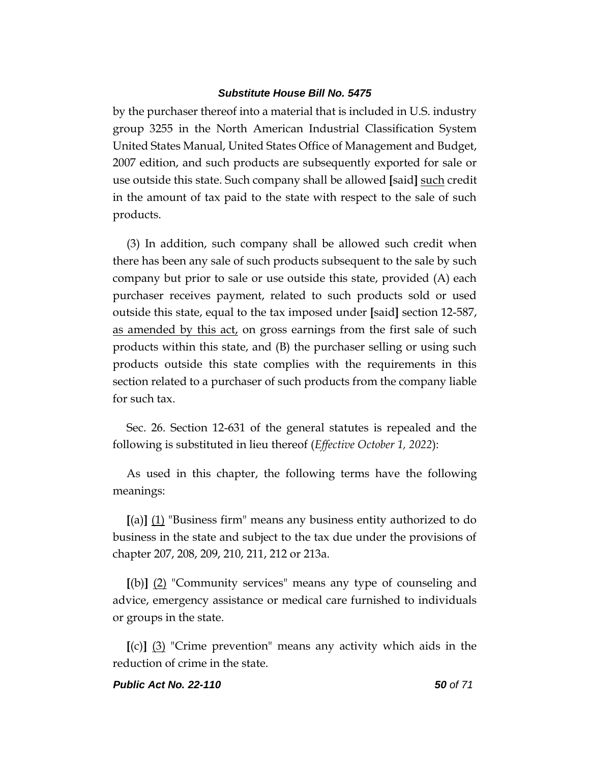by the purchaser thereof into a material that is included in U.S. industry group 3255 in the North American Industrial Classification System United States Manual, United States Office of Management and Budget, 2007 edition, and such products are subsequently exported for sale or use outside this state. Such company shall be allowed **[**said**]** such credit in the amount of tax paid to the state with respect to the sale of such products.

(3) In addition, such company shall be allowed such credit when there has been any sale of such products subsequent to the sale by such company but prior to sale or use outside this state, provided (A) each purchaser receives payment, related to such products sold or used outside this state, equal to the tax imposed under **[**said**]** section 12-587, as amended by this act, on gross earnings from the first sale of such products within this state, and (B) the purchaser selling or using such products outside this state complies with the requirements in this section related to a purchaser of such products from the company liable for such tax.

Sec. 26. Section 12-631 of the general statutes is repealed and the following is substituted in lieu thereof (*Effective October 1, 2022*):

As used in this chapter, the following terms have the following meanings:

**[**(a)**]** (1) "Business firm" means any business entity authorized to do business in the state and subject to the tax due under the provisions of chapter 207, 208, 209, 210, 211, 212 or 213a.

**[**(b)**]** (2) "Community services" means any type of counseling and advice, emergency assistance or medical care furnished to individuals or groups in the state.

**[**(c)**]** (3) "Crime prevention" means any activity which aids in the reduction of crime in the state.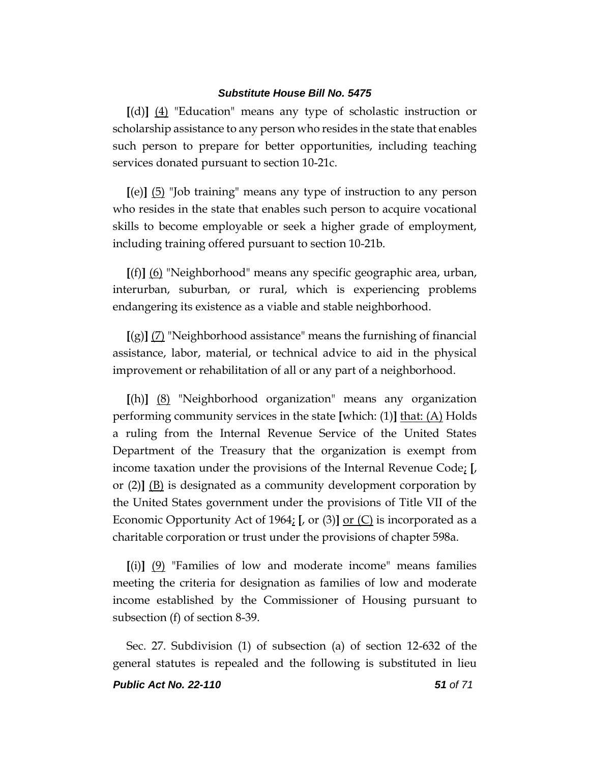**[**(d)**]** (4) "Education" means any type of scholastic instruction or scholarship assistance to any person who resides in the state that enables such person to prepare for better opportunities, including teaching services donated pursuant to section 10-21c.

**[**(e)**]** (5) "Job training" means any type of instruction to any person who resides in the state that enables such person to acquire vocational skills to become employable or seek a higher grade of employment, including training offered pursuant to section 10-21b.

**[**(f)**]** (6) "Neighborhood" means any specific geographic area, urban, interurban, suburban, or rural, which is experiencing problems endangering its existence as a viable and stable neighborhood.

**[**(g)**]** (7) "Neighborhood assistance" means the furnishing of financial assistance, labor, material, or technical advice to aid in the physical improvement or rehabilitation of all or any part of a neighborhood.

**[**(h)**]** (8) "Neighborhood organization" means any organization performing community services in the state **[**which: (1)**]** that: (A) Holds a ruling from the Internal Revenue Service of the United States Department of the Treasury that the organization is exempt from income taxation under the provisions of the Internal Revenue Code; **[**, or  $(2)$   $(B)$  is designated as a community development corporation by the United States government under the provisions of Title VII of the Economic Opportunity Act of 1964; **[**, or (3)**]** or (C) is incorporated as a charitable corporation or trust under the provisions of chapter 598a.

**[**(i)**]** (9) "Families of low and moderate income" means families meeting the criteria for designation as families of low and moderate income established by the Commissioner of Housing pursuant to subsection (f) of section 8-39.

Sec. 27. Subdivision (1) of subsection (a) of section 12-632 of the general statutes is repealed and the following is substituted in lieu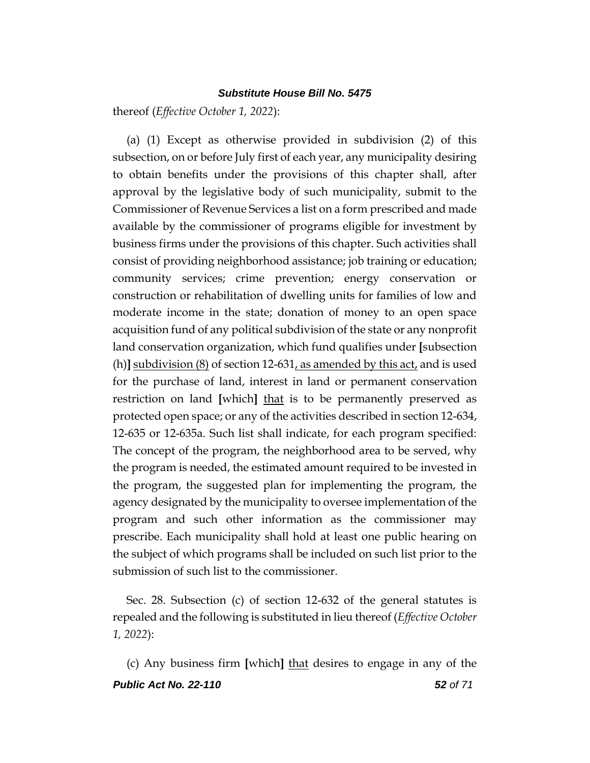thereof (*Effective October 1, 2022*):

(a) (1) Except as otherwise provided in subdivision (2) of this subsection, on or before July first of each year, any municipality desiring to obtain benefits under the provisions of this chapter shall, after approval by the legislative body of such municipality, submit to the Commissioner of Revenue Services a list on a form prescribed and made available by the commissioner of programs eligible for investment by business firms under the provisions of this chapter. Such activities shall consist of providing neighborhood assistance; job training or education; community services; crime prevention; energy conservation or construction or rehabilitation of dwelling units for families of low and moderate income in the state; donation of money to an open space acquisition fund of any political subdivision of the state or any nonprofit land conservation organization, which fund qualifies under **[**subsection (h)**]** subdivision (8) of section 12-631, as amended by this act, and is used for the purchase of land, interest in land or permanent conservation restriction on land **[**which**]** that is to be permanently preserved as protected open space; or any of the activities described in section 12-634, 12-635 or 12-635a. Such list shall indicate, for each program specified: The concept of the program, the neighborhood area to be served, why the program is needed, the estimated amount required to be invested in the program, the suggested plan for implementing the program, the agency designated by the municipality to oversee implementation of the program and such other information as the commissioner may prescribe. Each municipality shall hold at least one public hearing on the subject of which programs shall be included on such list prior to the submission of such list to the commissioner.

Sec. 28. Subsection (c) of section 12-632 of the general statutes is repealed and the following is substituted in lieu thereof (*Effective October 1, 2022*):

*Public Act No. 22-110 52 of 71* (c) Any business firm **[**which**]** that desires to engage in any of the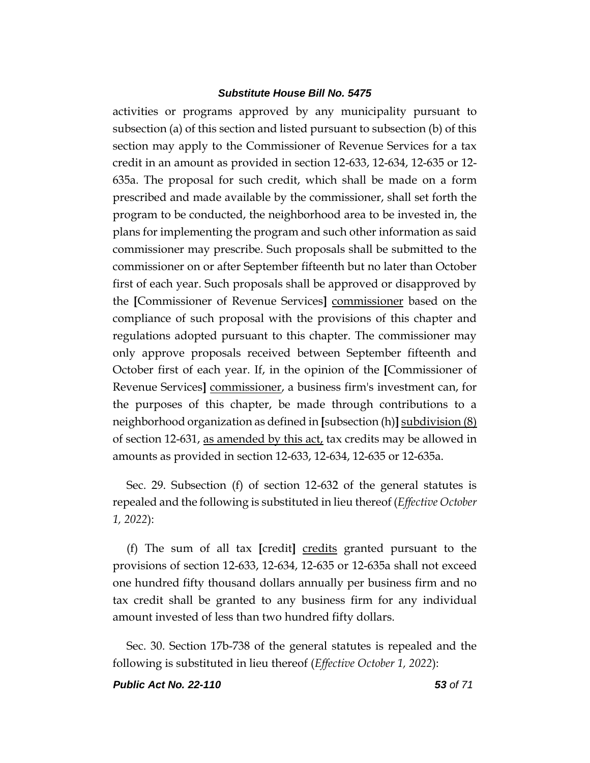activities or programs approved by any municipality pursuant to subsection (a) of this section and listed pursuant to subsection (b) of this section may apply to the Commissioner of Revenue Services for a tax credit in an amount as provided in section 12-633, 12-634, 12-635 or 12- 635a. The proposal for such credit, which shall be made on a form prescribed and made available by the commissioner, shall set forth the program to be conducted, the neighborhood area to be invested in, the plans for implementing the program and such other information as said commissioner may prescribe. Such proposals shall be submitted to the commissioner on or after September fifteenth but no later than October first of each year. Such proposals shall be approved or disapproved by the **[**Commissioner of Revenue Services**]** commissioner based on the compliance of such proposal with the provisions of this chapter and regulations adopted pursuant to this chapter. The commissioner may only approve proposals received between September fifteenth and October first of each year. If, in the opinion of the **[**Commissioner of Revenue Services**]** commissioner, a business firm's investment can, for the purposes of this chapter, be made through contributions to a neighborhood organization as defined in **[**subsection (h)**]** subdivision (8) of section 12-631, as amended by this act, tax credits may be allowed in amounts as provided in section 12-633, 12-634, 12-635 or 12-635a.

Sec. 29. Subsection (f) of section 12-632 of the general statutes is repealed and the following is substituted in lieu thereof (*Effective October 1, 2022*):

(f) The sum of all tax **[**credit**]** credits granted pursuant to the provisions of section 12-633, 12-634, 12-635 or 12-635a shall not exceed one hundred fifty thousand dollars annually per business firm and no tax credit shall be granted to any business firm for any individual amount invested of less than two hundred fifty dollars.

Sec. 30. Section 17b-738 of the general statutes is repealed and the following is substituted in lieu thereof (*Effective October 1, 2022*):

*Public Act No. 22-110 53 of 71*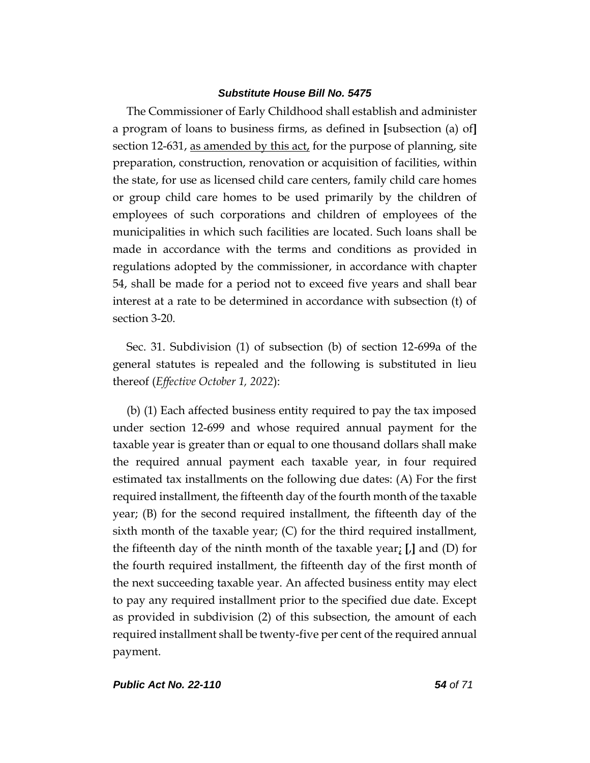The Commissioner of Early Childhood shall establish and administer a program of loans to business firms, as defined in **[**subsection (a) of**]** section 12-631, as amended by this act, for the purpose of planning, site preparation, construction, renovation or acquisition of facilities, within the state, for use as licensed child care centers, family child care homes or group child care homes to be used primarily by the children of employees of such corporations and children of employees of the municipalities in which such facilities are located. Such loans shall be made in accordance with the terms and conditions as provided in regulations adopted by the commissioner, in accordance with chapter 54, shall be made for a period not to exceed five years and shall bear interest at a rate to be determined in accordance with subsection (t) of section 3-20.

Sec. 31. Subdivision (1) of subsection (b) of section 12-699a of the general statutes is repealed and the following is substituted in lieu thereof (*Effective October 1, 2022*):

(b) (1) Each affected business entity required to pay the tax imposed under section 12-699 and whose required annual payment for the taxable year is greater than or equal to one thousand dollars shall make the required annual payment each taxable year, in four required estimated tax installments on the following due dates: (A) For the first required installment, the fifteenth day of the fourth month of the taxable year; (B) for the second required installment, the fifteenth day of the sixth month of the taxable year; (C) for the third required installment, the fifteenth day of the ninth month of the taxable year; **[**,**]** and (D) for the fourth required installment, the fifteenth day of the first month of the next succeeding taxable year. An affected business entity may elect to pay any required installment prior to the specified due date. Except as provided in subdivision (2) of this subsection, the amount of each required installment shall be twenty-five per cent of the required annual payment.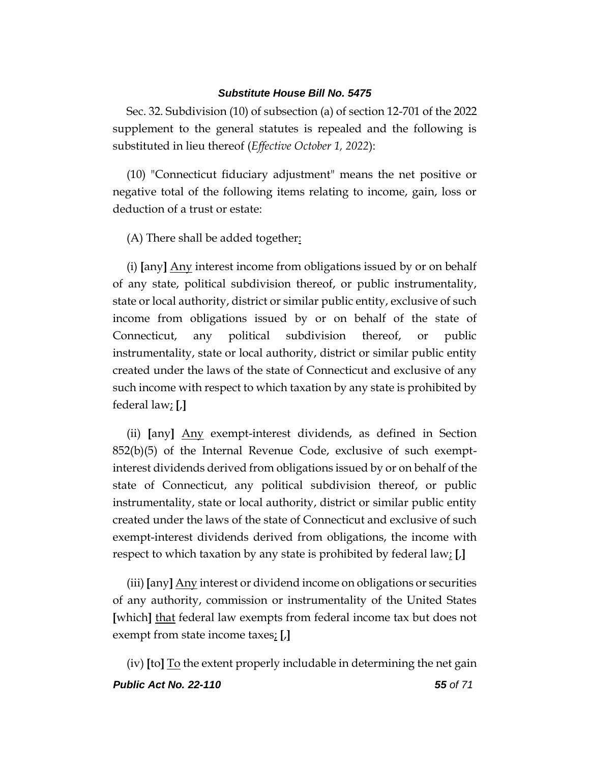Sec. 32. Subdivision (10) of subsection (a) of section 12-701 of the 2022 supplement to the general statutes is repealed and the following is substituted in lieu thereof (*Effective October 1, 2022*):

(10) "Connecticut fiduciary adjustment" means the net positive or negative total of the following items relating to income, gain, loss or deduction of a trust or estate:

(A) There shall be added together:

(i) **[**any**]** Any interest income from obligations issued by or on behalf of any state, political subdivision thereof, or public instrumentality, state or local authority, district or similar public entity, exclusive of such income from obligations issued by or on behalf of the state of Connecticut, any political subdivision thereof, or public instrumentality, state or local authority, district or similar public entity created under the laws of the state of Connecticut and exclusive of any such income with respect to which taxation by any state is prohibited by federal law; **[**,**]**

(ii) **[**any**]** Any exempt-interest dividends, as defined in Section  $852(b)(5)$  of the Internal Revenue Code, exclusive of such exemptinterest dividends derived from obligations issued by or on behalf of the state of Connecticut, any political subdivision thereof, or public instrumentality, state or local authority, district or similar public entity created under the laws of the state of Connecticut and exclusive of such exempt-interest dividends derived from obligations, the income with respect to which taxation by any state is prohibited by federal law; **[**,**]**

(iii) **[**any**]** Any interest or dividend income on obligations or securities of any authority, commission or instrumentality of the United States **[**which**]** that federal law exempts from federal income tax but does not exempt from state income taxes; **[**,**]**

*Public Act No. 22-110 55 of 71* (iv) **[**to**]** To the extent properly includable in determining the net gain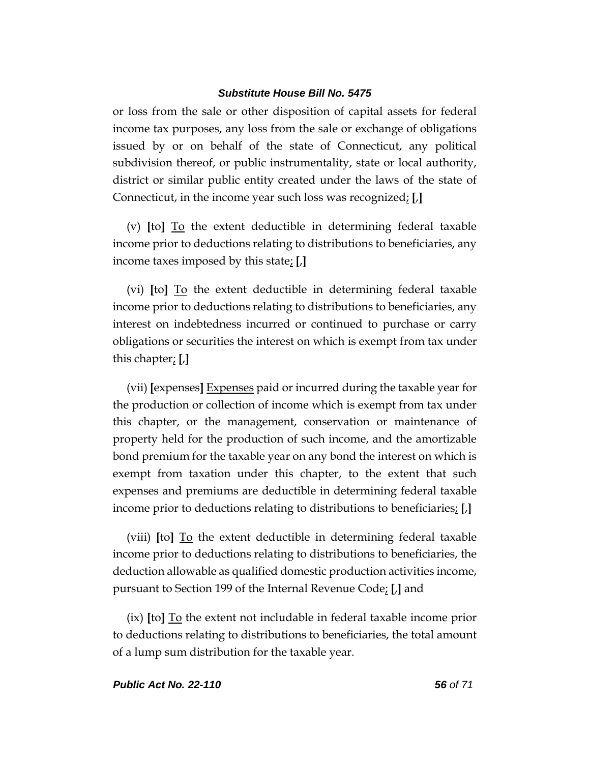or loss from the sale or other disposition of capital assets for federal income tax purposes, any loss from the sale or exchange of obligations issued by or on behalf of the state of Connecticut, any political subdivision thereof, or public instrumentality, state or local authority, district or similar public entity created under the laws of the state of Connecticut, in the income year such loss was recognized; **[**,**]**

(v) **[**to**]** To the extent deductible in determining federal taxable income prior to deductions relating to distributions to beneficiaries, any income taxes imposed by this state; **[**,**]**

(vi) **[**to**]** To the extent deductible in determining federal taxable income prior to deductions relating to distributions to beneficiaries, any interest on indebtedness incurred or continued to purchase or carry obligations or securities the interest on which is exempt from tax under this chapter; **[**,**]**

(vii) **[**expenses**]** Expenses paid or incurred during the taxable year for the production or collection of income which is exempt from tax under this chapter, or the management, conservation or maintenance of property held for the production of such income, and the amortizable bond premium for the taxable year on any bond the interest on which is exempt from taxation under this chapter, to the extent that such expenses and premiums are deductible in determining federal taxable income prior to deductions relating to distributions to beneficiaries; **[**,**]**

(viii) **[**to**]** To the extent deductible in determining federal taxable income prior to deductions relating to distributions to beneficiaries, the deduction allowable as qualified domestic production activities income, pursuant to Section 199 of the Internal Revenue Code; **[**,**]** and

(ix) **[**to**]** To the extent not includable in federal taxable income prior to deductions relating to distributions to beneficiaries, the total amount of a lump sum distribution for the taxable year.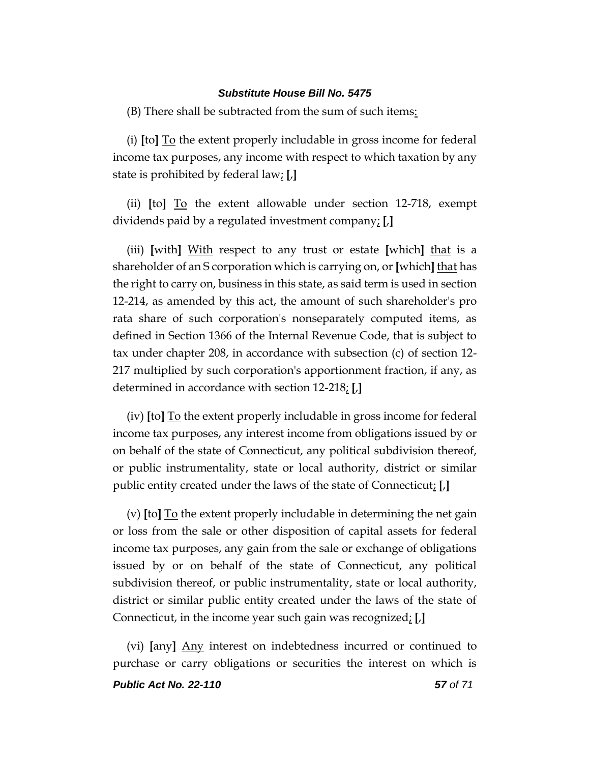(B) There shall be subtracted from the sum of such items:

(i) **[**to**]** To the extent properly includable in gross income for federal income tax purposes, any income with respect to which taxation by any state is prohibited by federal law; **[**,**]**

(ii) **[**to**]** To the extent allowable under section 12-718, exempt dividends paid by a regulated investment company; **[**,**]**

(iii) **[**with**]** With respect to any trust or estate **[**which**]** that is a shareholder of an S corporation which is carrying on, or **[**which**]** that has the right to carry on, business in this state, as said term is used in section 12-214, as amended by this act, the amount of such shareholder's pro rata share of such corporation's nonseparately computed items, as defined in Section 1366 of the Internal Revenue Code, that is subject to tax under chapter 208, in accordance with subsection (c) of section 12- 217 multiplied by such corporation's apportionment fraction, if any, as determined in accordance with section 12-218; **[**,**]**

(iv) **[**to**]** To the extent properly includable in gross income for federal income tax purposes, any interest income from obligations issued by or on behalf of the state of Connecticut, any political subdivision thereof, or public instrumentality, state or local authority, district or similar public entity created under the laws of the state of Connecticut; **[**,**]**

(v) **[**to**]** To the extent properly includable in determining the net gain or loss from the sale or other disposition of capital assets for federal income tax purposes, any gain from the sale or exchange of obligations issued by or on behalf of the state of Connecticut, any political subdivision thereof, or public instrumentality, state or local authority, district or similar public entity created under the laws of the state of Connecticut, in the income year such gain was recognized; **[**,**]**

(vi) **[**any**]** Any interest on indebtedness incurred or continued to purchase or carry obligations or securities the interest on which is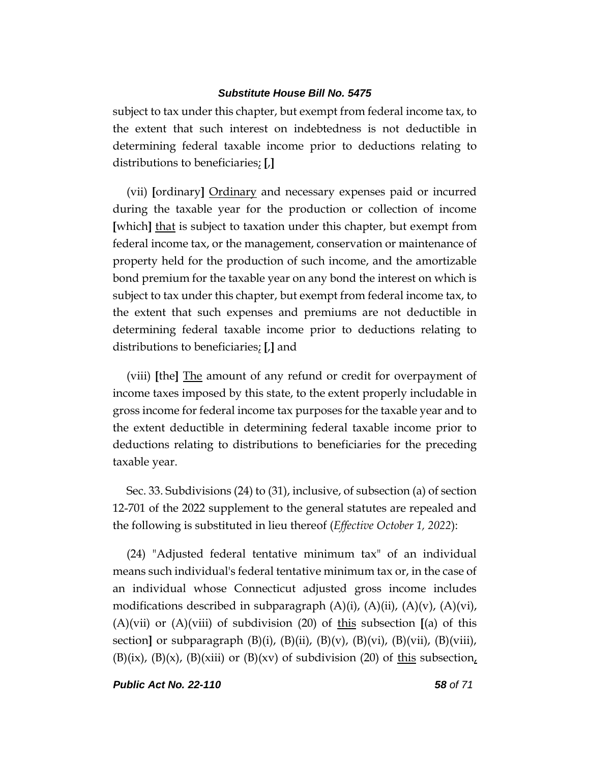subject to tax under this chapter, but exempt from federal income tax, to the extent that such interest on indebtedness is not deductible in determining federal taxable income prior to deductions relating to distributions to beneficiaries; **[**,**]**

(vii) **[**ordinary**]** Ordinary and necessary expenses paid or incurred during the taxable year for the production or collection of income **[**which**]** that is subject to taxation under this chapter, but exempt from federal income tax, or the management, conservation or maintenance of property held for the production of such income, and the amortizable bond premium for the taxable year on any bond the interest on which is subject to tax under this chapter, but exempt from federal income tax, to the extent that such expenses and premiums are not deductible in determining federal taxable income prior to deductions relating to distributions to beneficiaries; **[**,**]** and

(viii) **[**the**]** The amount of any refund or credit for overpayment of income taxes imposed by this state, to the extent properly includable in gross income for federal income tax purposes for the taxable year and to the extent deductible in determining federal taxable income prior to deductions relating to distributions to beneficiaries for the preceding taxable year.

Sec. 33. Subdivisions (24) to (31), inclusive, of subsection (a) of section 12-701 of the 2022 supplement to the general statutes are repealed and the following is substituted in lieu thereof (*Effective October 1, 2022*):

(24) "Adjusted federal tentative minimum tax" of an individual means such individual's federal tentative minimum tax or, in the case of an individual whose Connecticut adjusted gross income includes modifications described in subparagraph  $(A)(i)$ ,  $(A)(ii)$ ,  $(A)(v)$ ,  $(A)(vi)$ , (A)(vii) or (A)(viii) of subdivision (20) of this subsection **[**(a) of this section**]** or subparagraph (B)(i), (B)(ii), (B)(v), (B)(vi), (B)(vii), (B)(viii),  $(B)(ix)$ ,  $(B)(x)$ ,  $(B)(x)$  or  $(B)(xv)$  of subdivision (20) of this subsection,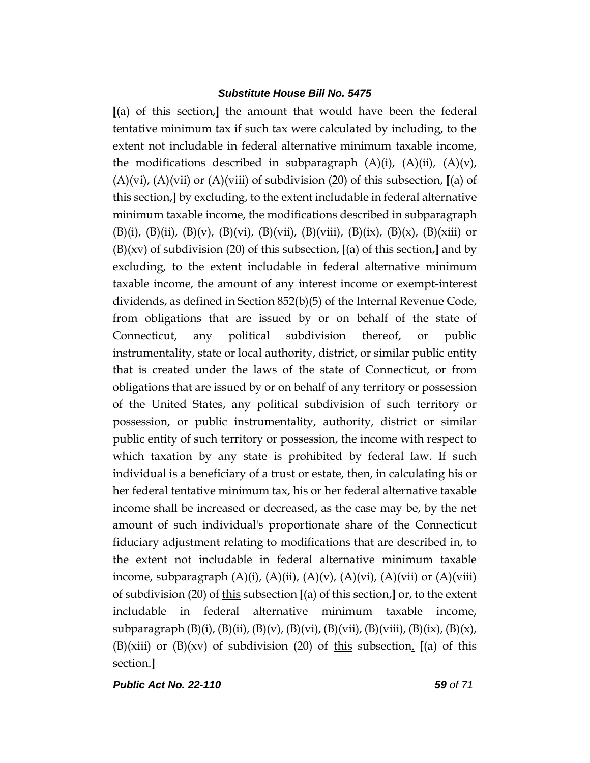**[**(a) of this section,**]** the amount that would have been the federal tentative minimum tax if such tax were calculated by including, to the extent not includable in federal alternative minimum taxable income, the modifications described in subparagraph  $(A)(i)$ ,  $(A)(ii)$ ,  $(A)(v)$ , (A)(vi), (A)(vii) or (A)(viii) of subdivision (20) of this subsection, **[**(a) of this section,**]** by excluding, to the extent includable in federal alternative minimum taxable income, the modifications described in subparagraph (B)(i), (B)(ii), (B)(v), (B)(vi), (B)(vii), (B)(viii), (B)(ix), (B)(x), (B)(xiii) or (B)(xv) of subdivision (20) of this subsection, **[**(a) of this section,**]** and by excluding, to the extent includable in federal alternative minimum taxable income, the amount of any interest income or exempt-interest dividends, as defined in Section 852(b)(5) of the Internal Revenue Code, from obligations that are issued by or on behalf of the state of Connecticut, any political subdivision thereof, or public instrumentality, state or local authority, district, or similar public entity that is created under the laws of the state of Connecticut, or from obligations that are issued by or on behalf of any territory or possession of the United States, any political subdivision of such territory or possession, or public instrumentality, authority, district or similar public entity of such territory or possession, the income with respect to which taxation by any state is prohibited by federal law. If such individual is a beneficiary of a trust or estate, then, in calculating his or her federal tentative minimum tax, his or her federal alternative taxable income shall be increased or decreased, as the case may be, by the net amount of such individual's proportionate share of the Connecticut fiduciary adjustment relating to modifications that are described in, to the extent not includable in federal alternative minimum taxable income, subparagraph  $(A)(i)$ ,  $(A)(ii)$ ,  $(A)(v)$ ,  $(A)(vi)$ ,  $(A)(vii)$  or  $(A)(viii)$ of subdivision (20) of this subsection **[**(a) of this section,**]** or, to the extent includable in federal alternative minimum taxable income, subparagraph  $(B)(i)$ ,  $(B)(ii)$ ,  $(B)(v)$ ,  $(B)(vi)$ ,  $(B)(vii)$ ,  $(B)(viii)$ ,  $(B)(ix)$ ,  $(B)(x)$ , (B)(xiii) or (B)(xv) of subdivision (20) of this subsection. **[**(a) of this section.**]**

*Public Act No. 22-110 59 of 71*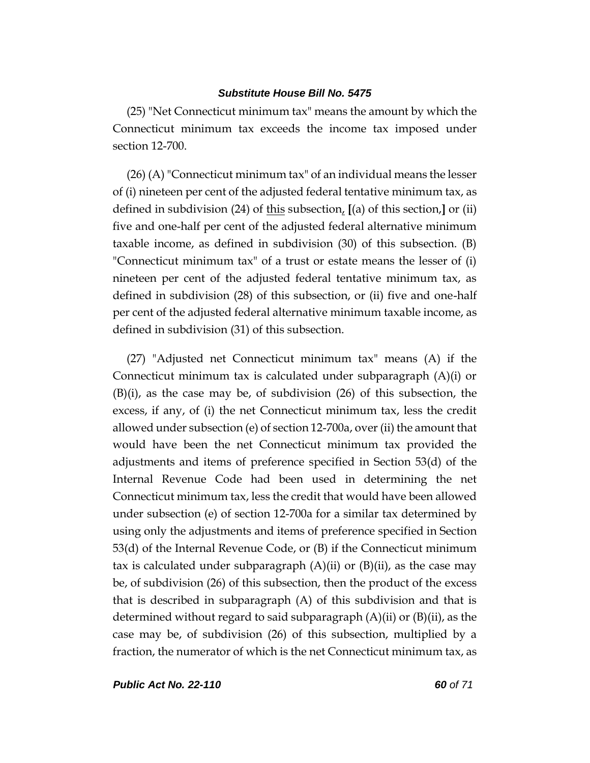(25) "Net Connecticut minimum tax" means the amount by which the Connecticut minimum tax exceeds the income tax imposed under section 12-700.

(26) (A) "Connecticut minimum tax" of an individual means the lesser of (i) nineteen per cent of the adjusted federal tentative minimum tax, as defined in subdivision (24) of this subsection, **[**(a) of this section,**]** or (ii) five and one-half per cent of the adjusted federal alternative minimum taxable income, as defined in subdivision (30) of this subsection. (B) "Connecticut minimum tax" of a trust or estate means the lesser of (i) nineteen per cent of the adjusted federal tentative minimum tax, as defined in subdivision (28) of this subsection, or (ii) five and one-half per cent of the adjusted federal alternative minimum taxable income, as defined in subdivision (31) of this subsection.

(27) "Adjusted net Connecticut minimum tax" means (A) if the Connecticut minimum tax is calculated under subparagraph (A)(i) or (B)(i), as the case may be, of subdivision (26) of this subsection, the excess, if any, of (i) the net Connecticut minimum tax, less the credit allowed under subsection (e) of section 12-700a, over (ii) the amount that would have been the net Connecticut minimum tax provided the adjustments and items of preference specified in Section 53(d) of the Internal Revenue Code had been used in determining the net Connecticut minimum tax, less the credit that would have been allowed under subsection (e) of section 12-700a for a similar tax determined by using only the adjustments and items of preference specified in Section 53(d) of the Internal Revenue Code, or (B) if the Connecticut minimum tax is calculated under subparagraph  $(A)(ii)$  or  $(B)(ii)$ , as the case may be, of subdivision (26) of this subsection, then the product of the excess that is described in subparagraph (A) of this subdivision and that is determined without regard to said subparagraph  $(A)(ii)$  or  $(B)(ii)$ , as the case may be, of subdivision (26) of this subsection, multiplied by a fraction, the numerator of which is the net Connecticut minimum tax, as

*Public Act No. 22-110 60 of 71*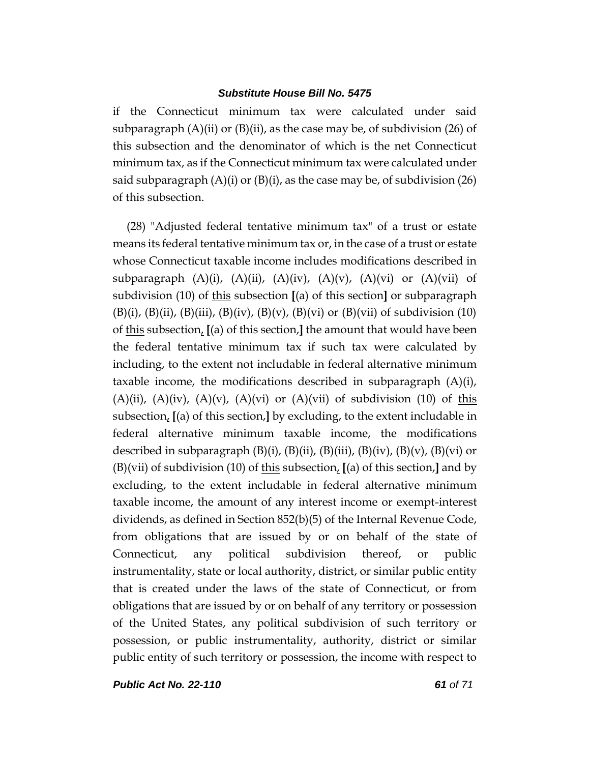if the Connecticut minimum tax were calculated under said subparagraph  $(A)$ (ii) or  $(B)$ (ii), as the case may be, of subdivision (26) of this subsection and the denominator of which is the net Connecticut minimum tax, as if the Connecticut minimum tax were calculated under said subparagraph  $(A)(i)$  or  $(B)(i)$ , as the case may be, of subdivision (26) of this subsection.

(28) "Adjusted federal tentative minimum tax" of a trust or estate means its federal tentative minimum tax or, in the case of a trust or estate whose Connecticut taxable income includes modifications described in subparagraph  $(A)(i)$ ,  $(A)(ii)$ ,  $(A)(iv)$ ,  $(A)(v)$ ,  $(A)(vi)$  or  $(A)(vii)$  of subdivision (10) of this subsection **[**(a) of this section**]** or subparagraph  $(B)(i)$ ,  $(B)(ii)$ ,  $(B)(iii)$ ,  $(B)(iv)$ ,  $(B)(v)$ ,  $(B)(vi)$  or  $(B)(vii)$  of subdivision (10) of this subsection, **[**(a) of this section,**]** the amount that would have been the federal tentative minimum tax if such tax were calculated by including, to the extent not includable in federal alternative minimum taxable income, the modifications described in subparagraph (A)(i), (A)(ii), (A)(iv), (A)(v), (A)(vi) or (A)(vii) of subdivision (10) of this subsection, **[**(a) of this section,**]** by excluding, to the extent includable in federal alternative minimum taxable income, the modifications described in subparagraph  $(B)(i)$ ,  $(B)(ii)$ ,  $(B)(iii)$ ,  $(B)(iv)$ ,  $(B)(v)$ ,  $(B)(vi)$  or (B)(vii) of subdivision (10) of this subsection, **[**(a) of this section,**]** and by excluding, to the extent includable in federal alternative minimum taxable income, the amount of any interest income or exempt-interest dividends, as defined in Section 852(b)(5) of the Internal Revenue Code, from obligations that are issued by or on behalf of the state of Connecticut, any political subdivision thereof, or public instrumentality, state or local authority, district, or similar public entity that is created under the laws of the state of Connecticut, or from obligations that are issued by or on behalf of any territory or possession of the United States, any political subdivision of such territory or possession, or public instrumentality, authority, district or similar public entity of such territory or possession, the income with respect to

*Public Act No. 22-110 61 of 71*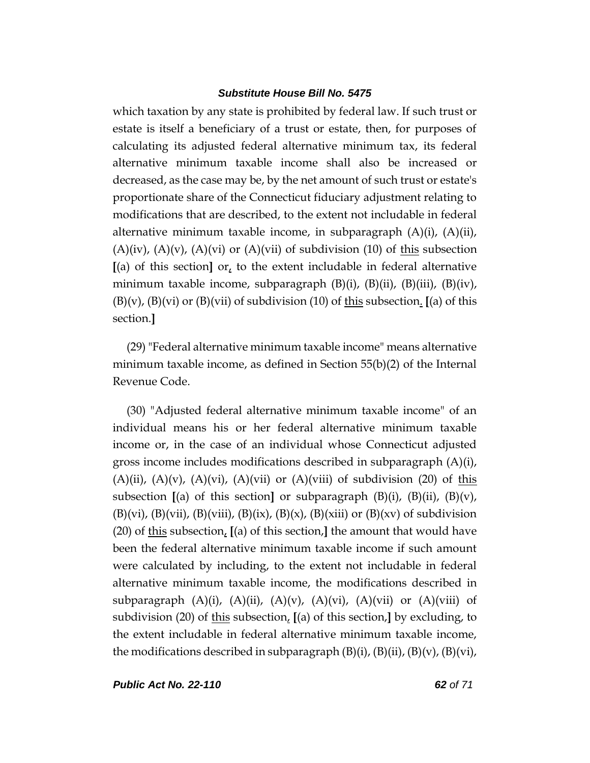which taxation by any state is prohibited by federal law. If such trust or estate is itself a beneficiary of a trust or estate, then, for purposes of calculating its adjusted federal alternative minimum tax, its federal alternative minimum taxable income shall also be increased or decreased, as the case may be, by the net amount of such trust or estate's proportionate share of the Connecticut fiduciary adjustment relating to modifications that are described, to the extent not includable in federal alternative minimum taxable income, in subparagraph (A)(i), (A)(ii),  $(A)(iv)$ ,  $(A)(v)$ ,  $(A)(vi)$  or  $(A)(vii)$  of subdivision (10) of this subsection **[**(a) of this section**]** or, to the extent includable in federal alternative minimum taxable income, subparagraph  $(B)(i)$ ,  $(B)(ii)$ ,  $(B)(iii)$ ,  $(B)(iv)$ , (B)(v), (B)(vi) or (B)(vii) of subdivision (10) of this subsection. **[**(a) of this section.**]**

(29) "Federal alternative minimum taxable income" means alternative minimum taxable income, as defined in Section 55(b)(2) of the Internal Revenue Code.

(30) "Adjusted federal alternative minimum taxable income" of an individual means his or her federal alternative minimum taxable income or, in the case of an individual whose Connecticut adjusted gross income includes modifications described in subparagraph (A)(i),  $(A)(ii)$ ,  $(A)(v)$ ,  $(A)(vi)$ ,  $(A)(vii)$  or  $(A)(viii)$  of subdivision (20) of this subsection **[**(a) of this section**]** or subparagraph (B)(i), (B)(ii), (B)(v),  $(B)(vi)$ ,  $(B)(vii)$ ,  $(B)(viii)$ ,  $(B)(ix)$ ,  $(B)(x)$ ,  $(B)(xiii)$  or  $(B)(xv)$  of subdivision (20) of this subsection, **[**(a) of this section,**]** the amount that would have been the federal alternative minimum taxable income if such amount were calculated by including, to the extent not includable in federal alternative minimum taxable income, the modifications described in subparagraph  $(A)(i)$ ,  $(A)(ii)$ ,  $(A)(v)$ ,  $(A)(vi)$ ,  $(A)(vii)$  or  $(A)(viii)$  of subdivision (20) of this subsection,  $[(a)$  of this section, $]$  by excluding, to the extent includable in federal alternative minimum taxable income, the modifications described in subparagraph  $(B)(i)$ ,  $(B)(ii)$ ,  $(B)(v)$ ,  $(B)(vi)$ ,

*Public Act No. 22-110 62 of 71*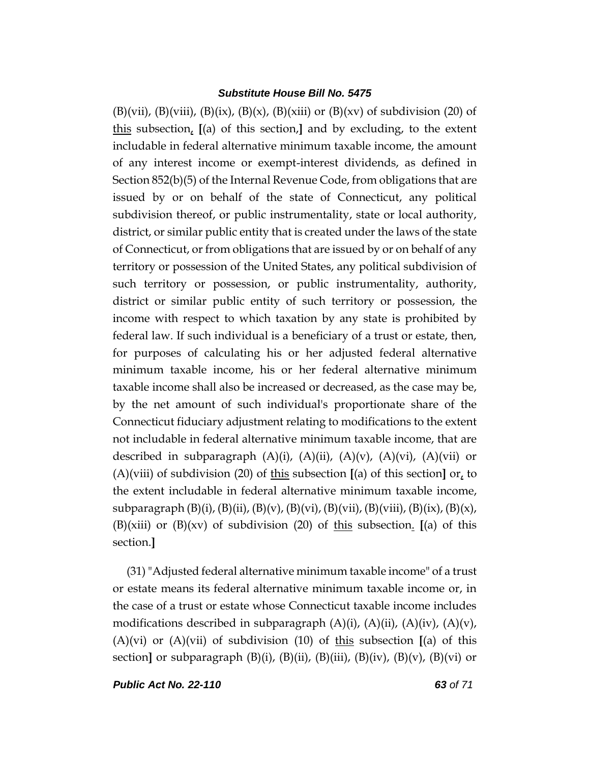$(B)(vii)$ ,  $(B)(viii)$ ,  $(B)(ix)$ ,  $(B)(x)$ ,  $(B)(xiii)$  or  $(B)(xv)$  of subdivision (20) of this subsection, **[**(a) of this section,**]** and by excluding, to the extent includable in federal alternative minimum taxable income, the amount of any interest income or exempt-interest dividends, as defined in Section 852(b)(5) of the Internal Revenue Code, from obligations that are issued by or on behalf of the state of Connecticut, any political subdivision thereof, or public instrumentality, state or local authority, district, or similar public entity that is created under the laws of the state of Connecticut, or from obligations that are issued by or on behalf of any territory or possession of the United States, any political subdivision of such territory or possession, or public instrumentality, authority, district or similar public entity of such territory or possession, the income with respect to which taxation by any state is prohibited by federal law. If such individual is a beneficiary of a trust or estate, then, for purposes of calculating his or her adjusted federal alternative minimum taxable income, his or her federal alternative minimum taxable income shall also be increased or decreased, as the case may be, by the net amount of such individual's proportionate share of the Connecticut fiduciary adjustment relating to modifications to the extent not includable in federal alternative minimum taxable income, that are described in subparagraph  $(A)(i)$ ,  $(A)(ii)$ ,  $(A)(v)$ ,  $(A)(vi)$ ,  $(A)(vii)$  or (A)(viii) of subdivision (20) of this subsection  $[(a)$  of this section  $[\alpha]$  to the extent includable in federal alternative minimum taxable income, subparagraph  $(B)(i)$ ,  $(B)(ii)$ ,  $(B)(v)$ ,  $(B)(vi)$ ,  $(B)(vii)$ ,  $(B)(viii)$ ,  $(B)(ix)$ ,  $(B)(x)$ , (B)(xiii) or (B)(xv) of subdivision (20) of this subsection. **[**(a) of this section.**]**

(31)"Adjusted federal alternative minimum taxable income" of a trust or estate means its federal alternative minimum taxable income or, in the case of a trust or estate whose Connecticut taxable income includes modifications described in subparagraph  $(A)(i)$ ,  $(A)(ii)$ ,  $(A)(iv)$ ,  $(A)(v)$ , (A)(vi) or (A)(vii) of subdivision (10) of this subsection **[**(a) of this section<sub>l</sub> or subparagraph  $(B)(i)$ ,  $(B)(ii)$ ,  $(B)(iii)$ ,  $(B)(iv)$ ,  $(B)(v)$ ,  $(B)(vi)$  or

*Public Act No. 22-110 63 of 71*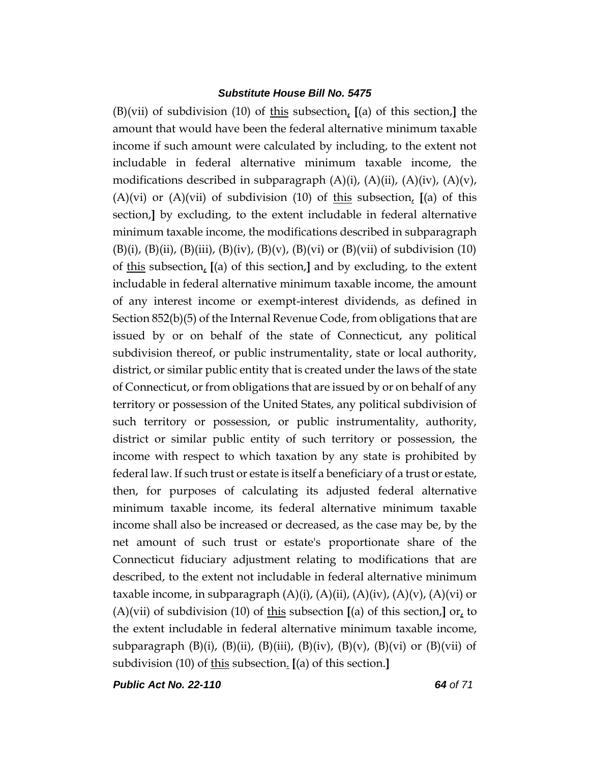(B)(vii) of subdivision (10) of this subsection, **[**(a) of this section,**]** the amount that would have been the federal alternative minimum taxable income if such amount were calculated by including, to the extent not includable in federal alternative minimum taxable income, the modifications described in subparagraph  $(A)(i)$ ,  $(A)(ii)$ ,  $(A)(iv)$ ,  $(A)(v)$ , (A)(vi) or (A)(vii) of subdivision (10) of this subsection, **[**(a) of this section,**]** by excluding, to the extent includable in federal alternative minimum taxable income, the modifications described in subparagraph  $(B)(i)$ ,  $(B)(ii)$ ,  $(B)(iii)$ ,  $(B)(iv)$ ,  $(B)(v)$ ,  $(B)(vi)$  or  $(B)(vii)$  of subdivision (10) of this subsection, **[**(a) of this section,**]** and by excluding, to the extent includable in federal alternative minimum taxable income, the amount of any interest income or exempt-interest dividends, as defined in Section 852(b)(5) of the Internal Revenue Code, from obligations that are issued by or on behalf of the state of Connecticut, any political subdivision thereof, or public instrumentality, state or local authority, district, or similar public entity that is created under the laws of the state of Connecticut, or from obligations that are issued by or on behalf of any territory or possession of the United States, any political subdivision of such territory or possession, or public instrumentality, authority, district or similar public entity of such territory or possession, the income with respect to which taxation by any state is prohibited by federal law. If such trust or estate is itself a beneficiary of a trust or estate, then, for purposes of calculating its adjusted federal alternative minimum taxable income, its federal alternative minimum taxable income shall also be increased or decreased, as the case may be, by the net amount of such trust or estate's proportionate share of the Connecticut fiduciary adjustment relating to modifications that are described, to the extent not includable in federal alternative minimum taxable income, in subparagraph  $(A)(i)$ ,  $(A)(ii)$ ,  $(A)(iv)$ ,  $(A)(v)$ ,  $(A)(vi)$  or (A)(vii) of subdivision (10) of this subsection  $[(a)$  of this section, $]$  or, to the extent includable in federal alternative minimum taxable income, subparagraph  $(B)(i)$ ,  $(B)(ii)$ ,  $(B)(iii)$ ,  $(B)(iv)$ ,  $(B)(v)$ ,  $(B)(vi)$  or  $(B)(vii)$  of subdivision (10) of this subsection. **[**(a) of this section.**]**

*Public Act No. 22-110 64 of 71*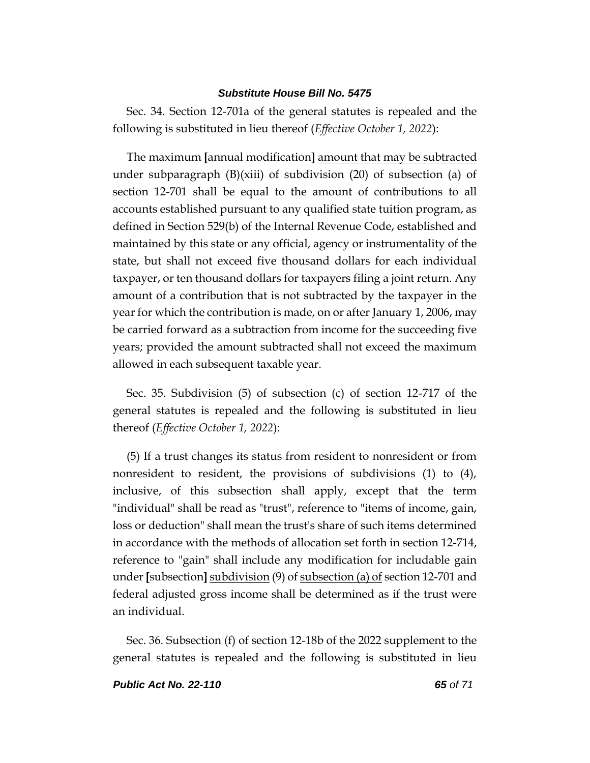Sec. 34. Section 12-701a of the general statutes is repealed and the following is substituted in lieu thereof (*Effective October 1, 2022*):

The maximum **[**annual modification**]** amount that may be subtracted under subparagraph  $(B)(xiii)$  of subdivision (20) of subsection (a) of section 12-701 shall be equal to the amount of contributions to all accounts established pursuant to any qualified state tuition program, as defined in Section 529(b) of the Internal Revenue Code, established and maintained by this state or any official, agency or instrumentality of the state, but shall not exceed five thousand dollars for each individual taxpayer, or ten thousand dollars for taxpayers filing a joint return. Any amount of a contribution that is not subtracted by the taxpayer in the year for which the contribution is made, on or after January 1, 2006, may be carried forward as a subtraction from income for the succeeding five years; provided the amount subtracted shall not exceed the maximum allowed in each subsequent taxable year.

Sec. 35. Subdivision (5) of subsection (c) of section 12-717 of the general statutes is repealed and the following is substituted in lieu thereof (*Effective October 1, 2022*):

(5) If a trust changes its status from resident to nonresident or from nonresident to resident, the provisions of subdivisions (1) to (4), inclusive, of this subsection shall apply, except that the term "individual" shall be read as "trust", reference to "items of income, gain, loss or deduction" shall mean the trust's share of such items determined in accordance with the methods of allocation set forth in section 12-714, reference to "gain" shall include any modification for includable gain under **[**subsection**]** subdivision (9) of subsection (a) of section 12-701 and federal adjusted gross income shall be determined as if the trust were an individual.

Sec. 36. Subsection (f) of section 12-18b of the 2022 supplement to the general statutes is repealed and the following is substituted in lieu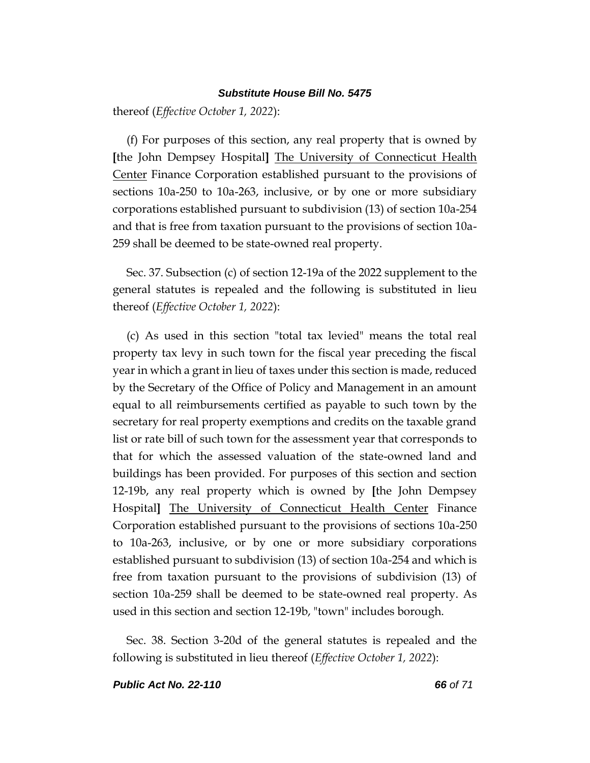thereof (*Effective October 1, 2022*):

(f) For purposes of this section, any real property that is owned by **[**the John Dempsey Hospital**]** The University of Connecticut Health Center Finance Corporation established pursuant to the provisions of sections 10a-250 to 10a-263, inclusive, or by one or more subsidiary corporations established pursuant to subdivision (13) of section 10a-254 and that is free from taxation pursuant to the provisions of section 10a-259 shall be deemed to be state-owned real property.

Sec. 37. Subsection (c) of section 12-19a of the 2022 supplement to the general statutes is repealed and the following is substituted in lieu thereof (*Effective October 1, 2022*):

(c) As used in this section "total tax levied" means the total real property tax levy in such town for the fiscal year preceding the fiscal year in which a grant in lieu of taxes under this section is made, reduced by the Secretary of the Office of Policy and Management in an amount equal to all reimbursements certified as payable to such town by the secretary for real property exemptions and credits on the taxable grand list or rate bill of such town for the assessment year that corresponds to that for which the assessed valuation of the state-owned land and buildings has been provided. For purposes of this section and section 12-19b, any real property which is owned by **[**the John Dempsey Hospital**]** The University of Connecticut Health Center Finance Corporation established pursuant to the provisions of sections 10a-250 to 10a-263, inclusive, or by one or more subsidiary corporations established pursuant to subdivision (13) of section 10a-254 and which is free from taxation pursuant to the provisions of subdivision (13) of section 10a-259 shall be deemed to be state-owned real property. As used in this section and section 12-19b, "town" includes borough.

Sec. 38. Section 3-20d of the general statutes is repealed and the following is substituted in lieu thereof (*Effective October 1, 2022*):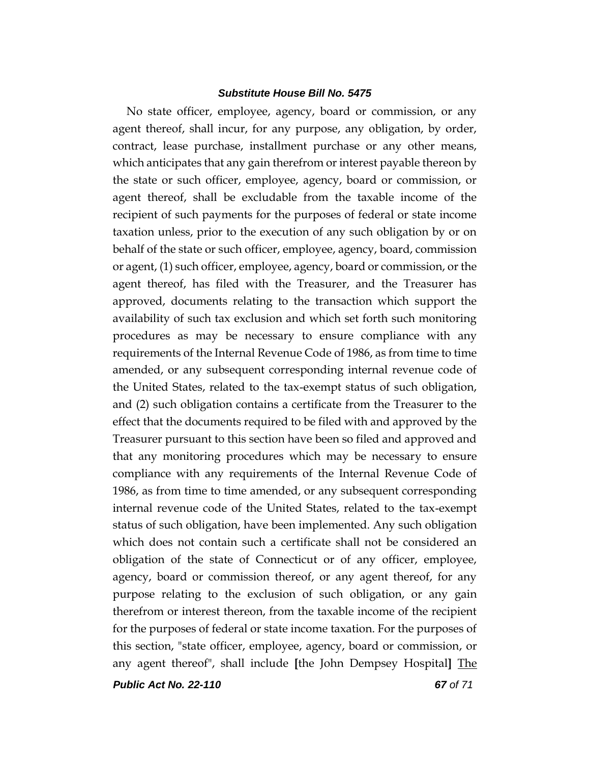No state officer, employee, agency, board or commission, or any agent thereof, shall incur, for any purpose, any obligation, by order, contract, lease purchase, installment purchase or any other means, which anticipates that any gain therefrom or interest payable thereon by the state or such officer, employee, agency, board or commission, or agent thereof, shall be excludable from the taxable income of the recipient of such payments for the purposes of federal or state income taxation unless, prior to the execution of any such obligation by or on behalf of the state or such officer, employee, agency, board, commission or agent, (1) such officer, employee, agency, board or commission, or the agent thereof, has filed with the Treasurer, and the Treasurer has approved, documents relating to the transaction which support the availability of such tax exclusion and which set forth such monitoring procedures as may be necessary to ensure compliance with any requirements of the Internal Revenue Code of 1986, as from time to time amended, or any subsequent corresponding internal revenue code of the United States, related to the tax-exempt status of such obligation, and (2) such obligation contains a certificate from the Treasurer to the effect that the documents required to be filed with and approved by the Treasurer pursuant to this section have been so filed and approved and that any monitoring procedures which may be necessary to ensure compliance with any requirements of the Internal Revenue Code of 1986, as from time to time amended, or any subsequent corresponding internal revenue code of the United States, related to the tax-exempt status of such obligation, have been implemented. Any such obligation which does not contain such a certificate shall not be considered an obligation of the state of Connecticut or of any officer, employee, agency, board or commission thereof, or any agent thereof, for any purpose relating to the exclusion of such obligation, or any gain therefrom or interest thereon, from the taxable income of the recipient for the purposes of federal or state income taxation. For the purposes of this section, "state officer, employee, agency, board or commission, or any agent thereof", shall include **[**the John Dempsey Hospital**]** The

*Public Act No. 22-110 67 of 71*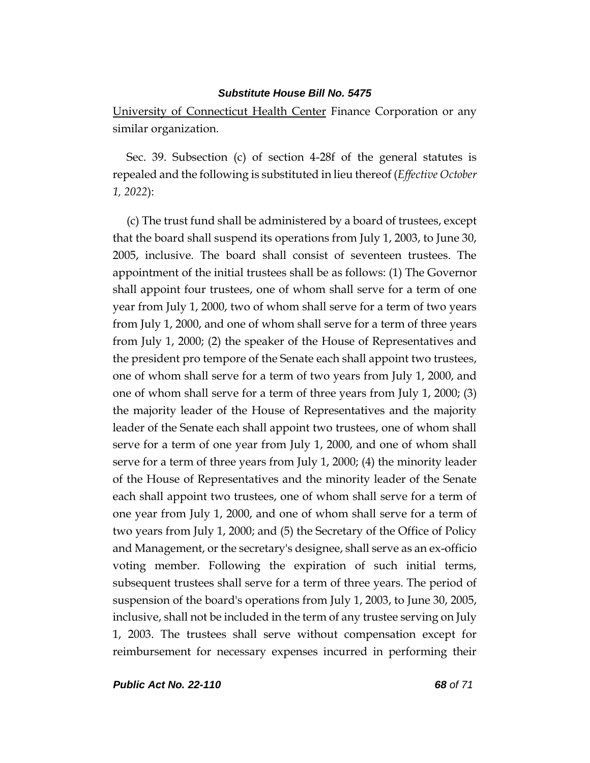University of Connecticut Health Center Finance Corporation or any similar organization.

Sec. 39. Subsection (c) of section 4-28f of the general statutes is repealed and the following is substituted in lieu thereof (*Effective October 1, 2022*):

(c) The trust fund shall be administered by a board of trustees, except that the board shall suspend its operations from July 1, 2003, to June 30, 2005, inclusive. The board shall consist of seventeen trustees. The appointment of the initial trustees shall be as follows: (1) The Governor shall appoint four trustees, one of whom shall serve for a term of one year from July 1, 2000, two of whom shall serve for a term of two years from July 1, 2000, and one of whom shall serve for a term of three years from July 1, 2000; (2) the speaker of the House of Representatives and the president pro tempore of the Senate each shall appoint two trustees, one of whom shall serve for a term of two years from July 1, 2000, and one of whom shall serve for a term of three years from July 1, 2000; (3) the majority leader of the House of Representatives and the majority leader of the Senate each shall appoint two trustees, one of whom shall serve for a term of one year from July 1, 2000, and one of whom shall serve for a term of three years from July 1, 2000; (4) the minority leader of the House of Representatives and the minority leader of the Senate each shall appoint two trustees, one of whom shall serve for a term of one year from July 1, 2000, and one of whom shall serve for a term of two years from July 1, 2000; and (5) the Secretary of the Office of Policy and Management, or the secretary's designee, shall serve as an ex-officio voting member. Following the expiration of such initial terms, subsequent trustees shall serve for a term of three years. The period of suspension of the board's operations from July 1, 2003, to June 30, 2005, inclusive, shall not be included in the term of any trustee serving on July 1, 2003. The trustees shall serve without compensation except for reimbursement for necessary expenses incurred in performing their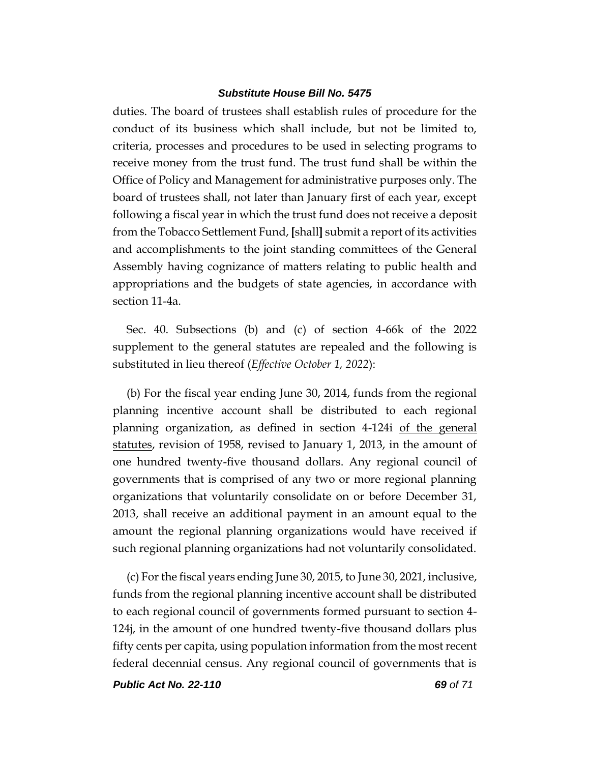duties. The board of trustees shall establish rules of procedure for the conduct of its business which shall include, but not be limited to, criteria, processes and procedures to be used in selecting programs to receive money from the trust fund. The trust fund shall be within the Office of Policy and Management for administrative purposes only. The board of trustees shall, not later than January first of each year, except following a fiscal year in which the trust fund does not receive a deposit from the Tobacco Settlement Fund, **[**shall**]** submit a report of its activities and accomplishments to the joint standing committees of the General Assembly having cognizance of matters relating to public health and appropriations and the budgets of state agencies, in accordance with section 11-4a.

Sec. 40. Subsections (b) and (c) of section 4-66k of the 2022 supplement to the general statutes are repealed and the following is substituted in lieu thereof (*Effective October 1, 2022*):

(b) For the fiscal year ending June 30, 2014, funds from the regional planning incentive account shall be distributed to each regional planning organization, as defined in section 4-124i of the general statutes, revision of 1958, revised to January 1, 2013, in the amount of one hundred twenty-five thousand dollars. Any regional council of governments that is comprised of any two or more regional planning organizations that voluntarily consolidate on or before December 31, 2013, shall receive an additional payment in an amount equal to the amount the regional planning organizations would have received if such regional planning organizations had not voluntarily consolidated.

(c) For the fiscal years ending June 30, 2015, to June 30, 2021, inclusive, funds from the regional planning incentive account shall be distributed to each regional council of governments formed pursuant to section 4- 124j, in the amount of one hundred twenty-five thousand dollars plus fifty cents per capita, using population information from the most recent federal decennial census. Any regional council of governments that is

*Public Act No. 22-110 69 of 71*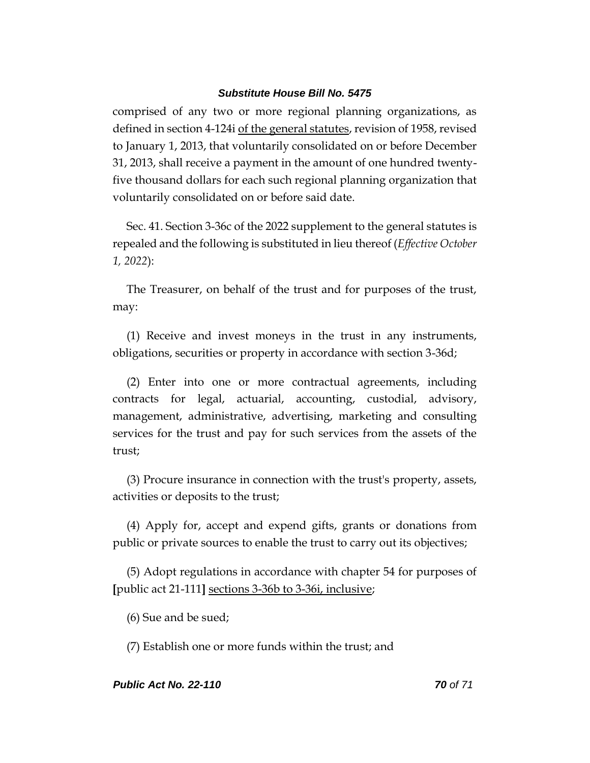comprised of any two or more regional planning organizations, as defined in section 4-124i of the general statutes, revision of 1958, revised to January 1, 2013, that voluntarily consolidated on or before December 31, 2013, shall receive a payment in the amount of one hundred twentyfive thousand dollars for each such regional planning organization that voluntarily consolidated on or before said date.

Sec. 41. Section 3-36c of the 2022 supplement to the general statutes is repealed and the following is substituted in lieu thereof (*Effective October 1, 2022*):

The Treasurer, on behalf of the trust and for purposes of the trust, may:

(1) Receive and invest moneys in the trust in any instruments, obligations, securities or property in accordance with section 3-36d;

(2) Enter into one or more contractual agreements, including contracts for legal, actuarial, accounting, custodial, advisory, management, administrative, advertising, marketing and consulting services for the trust and pay for such services from the assets of the trust;

(3) Procure insurance in connection with the trust's property, assets, activities or deposits to the trust;

(4) Apply for, accept and expend gifts, grants or donations from public or private sources to enable the trust to carry out its objectives;

(5) Adopt regulations in accordance with chapter 54 for purposes of **[**public act 21-111**]** sections 3-36b to 3-36i, inclusive;

(6) Sue and be sued;

(7) Establish one or more funds within the trust; and